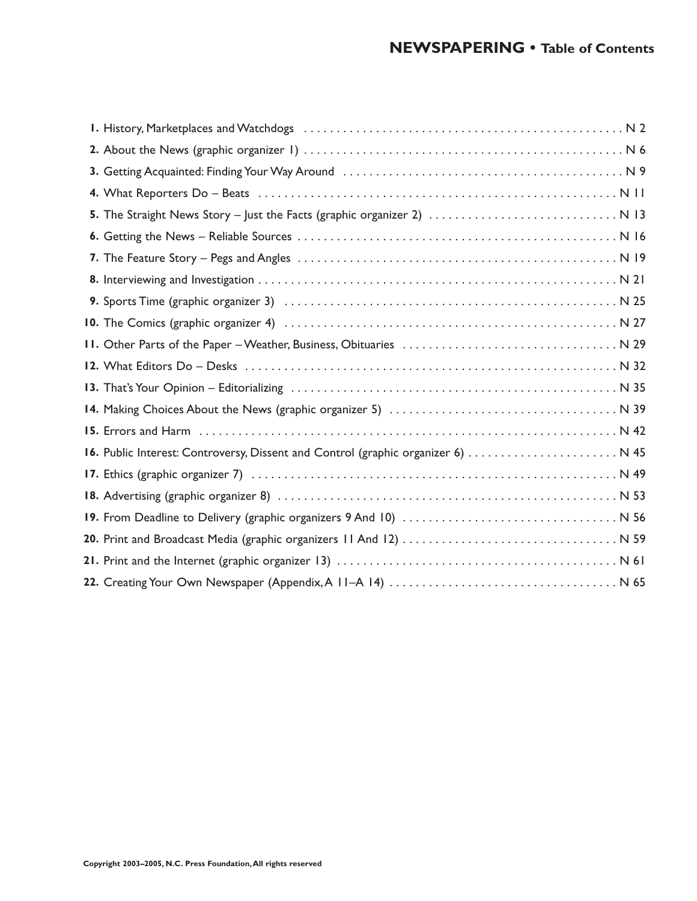| I. History, Marketplaces and Watchdogs (and accommodation of the control of the National School and National S |
|----------------------------------------------------------------------------------------------------------------|
|                                                                                                                |
|                                                                                                                |
|                                                                                                                |
| 5. The Straight News Story - Just the Facts (graphic organizer 2)  N 13                                        |
|                                                                                                                |
|                                                                                                                |
|                                                                                                                |
|                                                                                                                |
|                                                                                                                |
|                                                                                                                |
|                                                                                                                |
|                                                                                                                |
|                                                                                                                |
|                                                                                                                |
| 16. Public Interest: Controversy, Dissent and Control (graphic organizer 6)  N 45                              |
|                                                                                                                |
|                                                                                                                |
|                                                                                                                |
|                                                                                                                |
|                                                                                                                |
|                                                                                                                |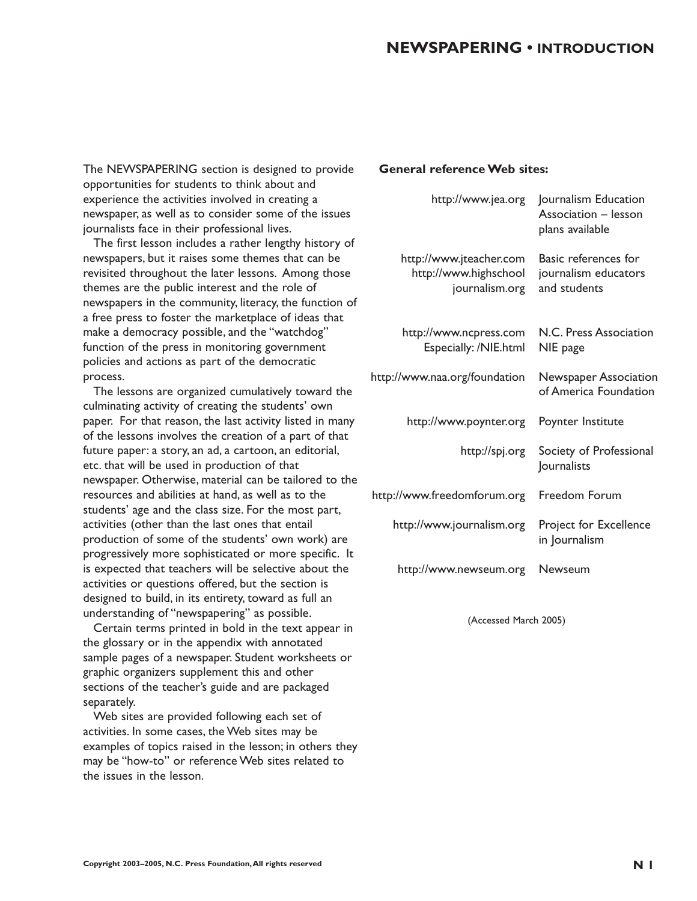# **NEWSPAPERING • INTRODUCTION**

The NEWSPAPERING section is designed to provide opportunities for students to think about and experience the activities involved in creating a newspaper, as well as to consider some of the issues journalists face in their professional lives.

The first lesson includes a rather lengthy history of newspapers, but it raises some themes that can be revisited throughout the later lessons. Among those themes are the public interest and the role of newspapers in the community, literacy, the function of a free press to foster the marketplace of ideas that make a democracy possible, and the "watchdog" function of the press in monitoring government policies and actions as part of the democratic process.

The lessons are organized cumulatively toward the culminating activity of creating the students' own paper. For that reason, the last activity listed in many of the lessons involves the creation of a part of that future paper: a story, an ad, a cartoon, an editorial, etc. that will be used in production of that newspaper. Otherwise, material can be tailored to the resources and abilities at hand, as well as to the students' age and the class size. For the most part, activities (other than the last ones that entail production of some of the students' own work) are progressively more sophisticated or more specific. It is expected that teachers will be selective about the activities or questions offered, but the section is designed to build, in its entirety, toward as full an understanding of "newspapering" as possible.

Certain terms printed in bold in the text appear in the glossary or in the appendix with annotated sample pages of a newspaper. Student worksheets or graphic organizers supplement this and other sections of the teacher's guide and are packaged separately.

Web sites are provided following each set of activities. In some cases, the Web sites may be examples of topics raised in the lesson; in others they may be "how-to" or reference Web sites related to the issues in the lesson.

#### **General reference Web sites:**

| http://www.jea.org                                                 | Journalism Education<br>Association - lesson<br>plans available |
|--------------------------------------------------------------------|-----------------------------------------------------------------|
| http://www.jteacher.com<br>http://www.highschool<br>journalism.org | Basic references for<br>journalism educators<br>and students    |
| http://www.ncpress.com<br>Especially: /NIE.html                    | N.C. Press Association<br>NIE page                              |
| http://www.naa.org/foundation                                      | <b>Newspaper Association</b><br>of America Foundation           |
| http://www.poynter.org                                             | Poynter Institute                                               |
| http://spj.org                                                     | Society of Professional<br>Journalists                          |
| http://www.freedomforum.org                                        | Freedom Forum                                                   |
| http://www.journalism.org                                          | Project for Excellence<br>in Journalism                         |
| http://www.newseum.org                                             | Newseum                                                         |

(Accessed March 2005)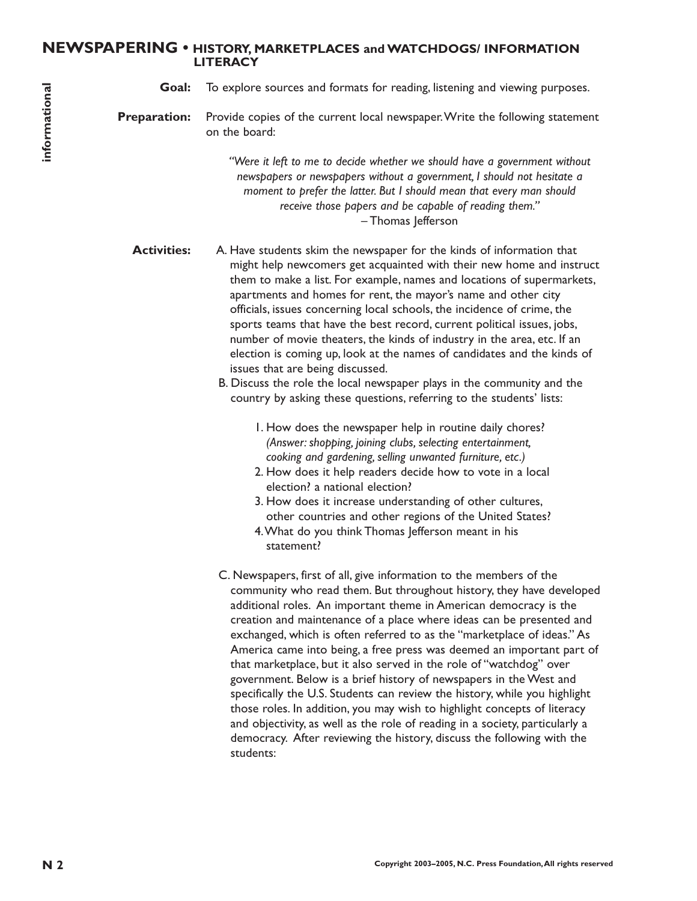# **NEWSPAPERING • HISTORY, MARKETPLACES and WATCHDOGS/ INFORMATION LITERACY**

**Goal:** To explore sources and formats for reading, listening and viewing purposes.

**Preparation:** Provide copies of the current local newspaper.Write the following statement on the board:

> *"Were it left to me to decide whether we should have a government without newspapers or newspapers without a government, I should not hesitate a moment to prefer the latter. But I should mean that every man should receive those papers and be capable of reading them."* – Thomas Jefferson

**Activities:** A. Have students skim the newspaper for the kinds of information that might help newcomers get acquainted with their new home and instruct them to make a list. For example, names and locations of supermarkets, apartments and homes for rent, the mayor's name and other city officials, issues concerning local schools, the incidence of crime, the sports teams that have the best record, current political issues, jobs, number of movie theaters, the kinds of industry in the area, etc. If an election is coming up, look at the names of candidates and the kinds of issues that are being discussed.

> B. Discuss the role the local newspaper plays in the community and the country by asking these questions, referring to the students' lists:

- 1. How does the newspaper help in routine daily chores? *(Answer: shopping, joining clubs, selecting entertainment, cooking and gardening, selling unwanted furniture, etc.)*
- 2. How does it help readers decide how to vote in a local election? a national election?
- 3. How does it increase understanding of other cultures, other countries and other regions of the United States?
- 4.What do you think Thomas Jefferson meant in his statement?
- **Co Example control and formats for receiving pluring and viewing purposes.<br>
<b>Preparation** example the correct focal photon or example the computer of the state of the control and the state of the control and the control C. Newspapers, first of all, give information to the members of the community who read them. But throughout history, they have developed additional roles. An important theme in American democracy is the creation and maintenance of a place where ideas can be presented and exchanged, which is often referred to as the "marketplace of ideas." As America came into being, a free press was deemed an important part of that marketplace, but it also served in the role of "watchdog" over government. Below is a brief history of newspapers in the West and specifically the U.S. Students can review the history, while you highlight those roles. In addition, you may wish to highlight concepts of literacy and objectivity, as well as the role of reading in a society, particularly a democracy. After reviewing the history, discuss the following with the students: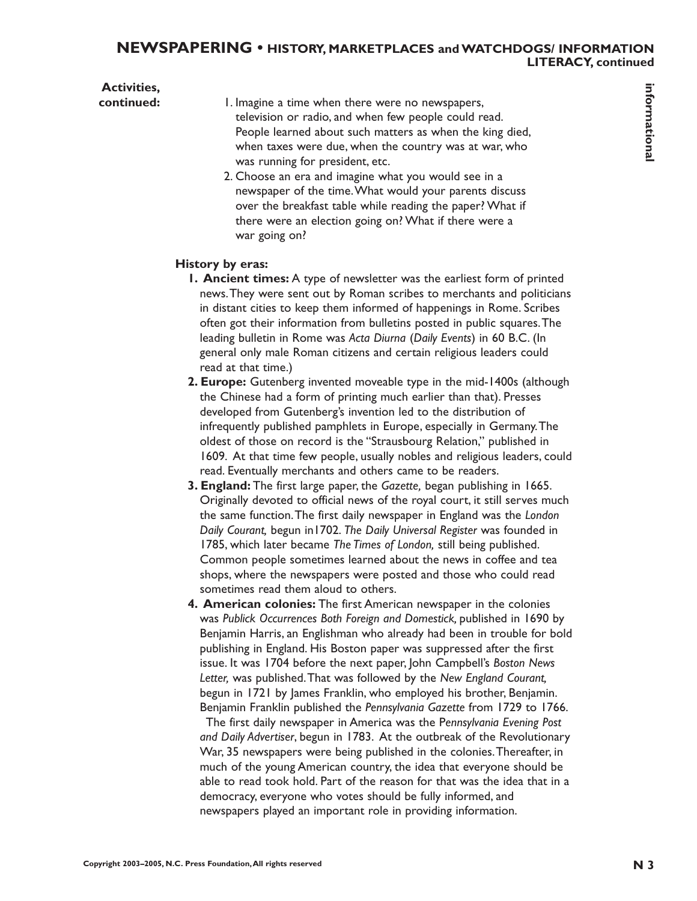# **NEWSPAPERING • HISTORY, MARKETPLACES and WATCHDOGS/ INFORMATION LITERACY, continued**

| <b>Activities,</b> |                                                                                                                                                 | informational |
|--------------------|-------------------------------------------------------------------------------------------------------------------------------------------------|---------------|
| continued:         | I. Imagine a time when there were no newspapers,                                                                                                |               |
|                    | television or radio, and when few people could read.                                                                                            |               |
|                    | People learned about such matters as when the king died,                                                                                        |               |
|                    | when taxes were due, when the country was at war, who                                                                                           |               |
|                    | was running for president, etc.                                                                                                                 |               |
|                    | 2. Choose an era and imagine what you would see in a                                                                                            |               |
|                    | newspaper of the time. What would your parents discuss                                                                                          |               |
|                    | over the breakfast table while reading the paper? What if                                                                                       |               |
|                    | there were an election going on? What if there were a<br>war going on?                                                                          |               |
|                    |                                                                                                                                                 |               |
|                    | History by eras:                                                                                                                                |               |
|                    | <b>I. Ancient times:</b> A type of newsletter was the earliest form of printed                                                                  |               |
|                    | news. They were sent out by Roman scribes to merchants and politicians                                                                          |               |
|                    | in distant cities to keep them informed of happenings in Rome. Scribes                                                                          |               |
|                    | often got their information from bulletins posted in public squares. The                                                                        |               |
|                    | leading bulletin in Rome was Acta Diurna (Daily Events) in 60 B.C. (In                                                                          |               |
|                    | general only male Roman citizens and certain religious leaders could                                                                            |               |
|                    | read at that time.)                                                                                                                             |               |
|                    | 2. Europe: Gutenberg invented moveable type in the mid-1400s (although                                                                          |               |
|                    | the Chinese had a form of printing much earlier than that). Presses                                                                             |               |
|                    | developed from Gutenberg's invention led to the distribution of                                                                                 |               |
|                    | infrequently published pamphlets in Europe, especially in Germany. The<br>oldest of those on record is the "Strausbourg Relation," published in |               |
|                    | 1609. At that time few people, usually nobles and religious leaders, could                                                                      |               |
|                    | read. Eventually merchants and others came to be readers.                                                                                       |               |
|                    | 3. England: The first large paper, the Gazette, began publishing in 1665.                                                                       |               |
|                    | Originally devoted to official news of the royal court, it still serves much                                                                    |               |
|                    | the same function. The first daily newspaper in England was the London                                                                          |               |
|                    | Daily Courant, begun in 1702. The Daily Universal Register was founded in                                                                       |               |
|                    | 1785, which later became The Times of London, still being published.                                                                            |               |
|                    | Common people sometimes learned about the news in coffee and tea                                                                                |               |
|                    | shops, where the newspapers were posted and those who could read                                                                                |               |
|                    | sometimes read them aloud to others.                                                                                                            |               |
|                    | 4. American colonies: The first American newspaper in the colonies                                                                              |               |
|                    | was Publick Occurrences Both Foreign and Domestick, published in 1690 by                                                                        |               |
|                    | Benjamin Harris, an Englishman who already had been in trouble for bold                                                                         |               |
|                    | publishing in England. His Boston paper was suppressed after the first                                                                          |               |
|                    | issue. It was 1704 before the next paper, John Campbell's Boston News                                                                           |               |
|                    | Letter, was published. That was followed by the New England Courant,                                                                            |               |
|                    | begun in 1721 by James Franklin, who employed his brother, Benjamin.                                                                            |               |
|                    | Benjamin Franklin published the Pennsylvania Gazette from 1729 to 1766.                                                                         |               |
|                    | The first daily newspaper in America was the Pennsylvania Evening Post                                                                          |               |
|                    | and Daily Advertiser, begun in 1783. At the outbreak of the Revolutionary                                                                       |               |
|                    | War, 35 newspapers were being published in the colonies. Thereafter, in                                                                         |               |
|                    | much of the young American country, the idea that everyone should be                                                                            |               |
|                    | able to read took hold. Part of the reason for that was the idea that in a                                                                      |               |
|                    | democracy, everyone who votes should be fully informed, and                                                                                     |               |
|                    | newspapers played an important role in providing information.                                                                                   |               |
|                    |                                                                                                                                                 |               |
|                    |                                                                                                                                                 |               |
|                    | Copyright 2003-2005, N.C. Press Foundation, All rights reserved                                                                                 | <b>N</b> 3    |

#### **History by eras:**

- **1. Ancient times:** A type of newsletter was the earliest form of printed news.They were sent out by Roman scribes to merchants and politicians in distant cities to keep them informed of happenings in Rome. Scribes often got their information from bulletins posted in public squares.The leading bulletin in Rome was *Acta Diurna* (*Daily Events*) in 60 B.C. (In general only male Roman citizens and certain religious leaders could read at that time.)
- **2. Europe:** Gutenberg invented moveable type in the mid-1400s (although the Chinese had a form of printing much earlier than that). Presses developed from Gutenberg's invention led to the distribution of infrequently published pamphlets in Europe, especially in Germany.The oldest of those on record is the "Strausbourg Relation," published in 1609. At that time few people, usually nobles and religious leaders, could read. Eventually merchants and others came to be readers.
- **3. England:** The first large paper, the *Gazette,* began publishing in 1665. Originally devoted to official news of the royal court, it still serves much the same function.The first daily newspaper in England was the *London Daily Courant,* begun in1702. *The Daily Universal Register* was founded in 1785, which later became *The Times of London,* still being published. Common people sometimes learned about the news in coffee and tea shops, where the newspapers were posted and those who could read sometimes read them aloud to others.
- **4. American colonies:** The first American newspaper in the colonies was *Publick Occurrences Both Foreign and Domestick,* published in 1690 by Benjamin Harris, an Englishman who already had been in trouble for bold publishing in England. His Boston paper was suppressed after the first issue. It was 1704 before the next paper, John Campbell's *Boston News Letter,* was published.That was followed by the *New England Courant,* begun in 1721 by James Franklin, who employed his brother, Benjamin. Benjamin Franklin published the *Pennsylvania Gazette* from 1729 to 1766.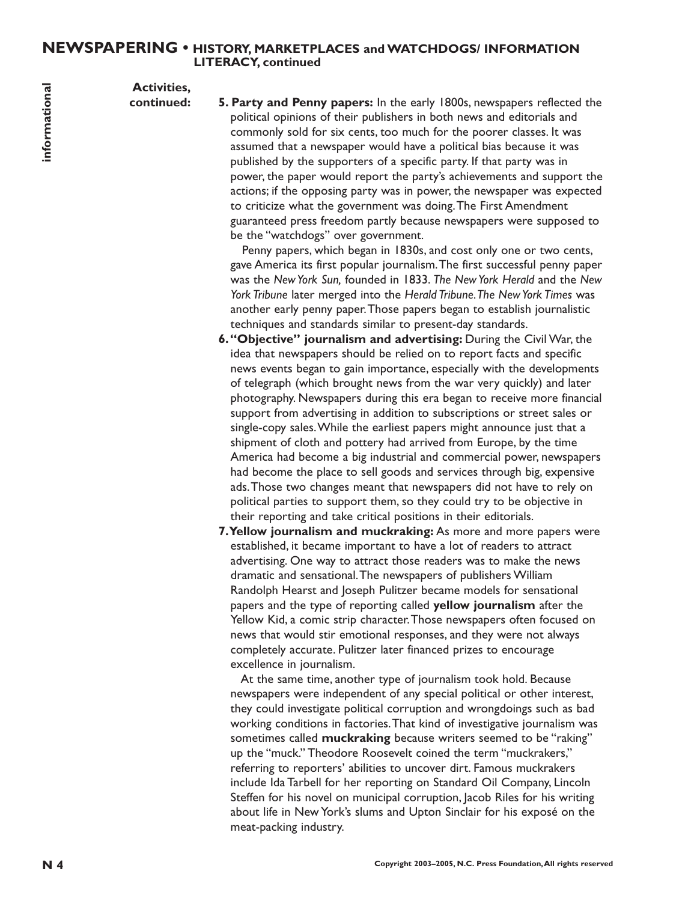### **NEWSPAPERING • HISTORY, MARKETPLACES and WATCHDOGS/ INFORMATION LITERACY, continued**

**Activities,**

**continued: 5. Party and Penny papers:** In the early 1800s, newspapers reflected the political opinions of their publishers in both news and editorials and commonly sold for six cents, too much for the poorer classes. It was assumed that a newspaper would have a political bias because it was published by the supporters of a specific party. If that party was in power, the paper would report the party's achievements and support the actions; if the opposing party was in power, the newspaper was expected to criticize what the government was doing.The First Amendment guaranteed press freedom partly because newspapers were supposed to be the "watchdogs" over government.

> Penny papers, which began in 1830s, and cost only one or two cents, gave America its first popular journalism.The first successful penny paper was the *New York Sun,* founded in 1833. *The New York Herald* and the *New York Tribune* later merged into the *Herald Tribune.The New York Times* was another early penny paper.Those papers began to establish journalistic techniques and standards similar to present-day standards.

- **R Excitively A Constrained Press Foundation**, **Constrained Press Foundation**, **Constrained by the state state in the constrained by the state in the state state in the specifical bis because the specifical bis becau 6."Objective" journalism and advertising:** During the Civil War, the idea that newspapers should be relied on to report facts and specific news events began to gain importance, especially with the developments of telegraph (which brought news from the war very quickly) and later photography. Newspapers during this era began to receive more financial support from advertising in addition to subscriptions or street sales or single-copy sales.While the earliest papers might announce just that a shipment of cloth and pottery had arrived from Europe, by the time America had become a big industrial and commercial power, newspapers had become the place to sell goods and services through big, expensive ads.Those two changes meant that newspapers did not have to rely on political parties to support them, so they could try to be objective in their reporting and take critical positions in their editorials.
	- **7.Yellow journalism and muckraking:** As more and more papers were established, it became important to have a lot of readers to attract advertising. One way to attract those readers was to make the news dramatic and sensational.The newspapers of publishers William Randolph Hearst and Joseph Pulitzer became models for sensational papers and the type of reporting called **yellow journalism** after the Yellow Kid, a comic strip character.Those newspapers often focused on news that would stir emotional responses, and they were not always completely accurate. Pulitzer later financed prizes to encourage excellence in journalism.

At the same time, another type of journalism took hold. Because newspapers were independent of any special political or other interest, they could investigate political corruption and wrongdoings such as bad working conditions in factories.That kind of investigative journalism was sometimes called **muckraking** because writers seemed to be "raking" up the "muck." Theodore Roosevelt coined the term "muckrakers," referring to reporters' abilities to uncover dirt. Famous muckrakers include Ida Tarbell for her reporting on Standard Oil Company, Lincoln Steffen for his novel on municipal corruption, Jacob Riles for his writing about life in New York's slums and Upton Sinclair for his exposé on the meat-packing industry.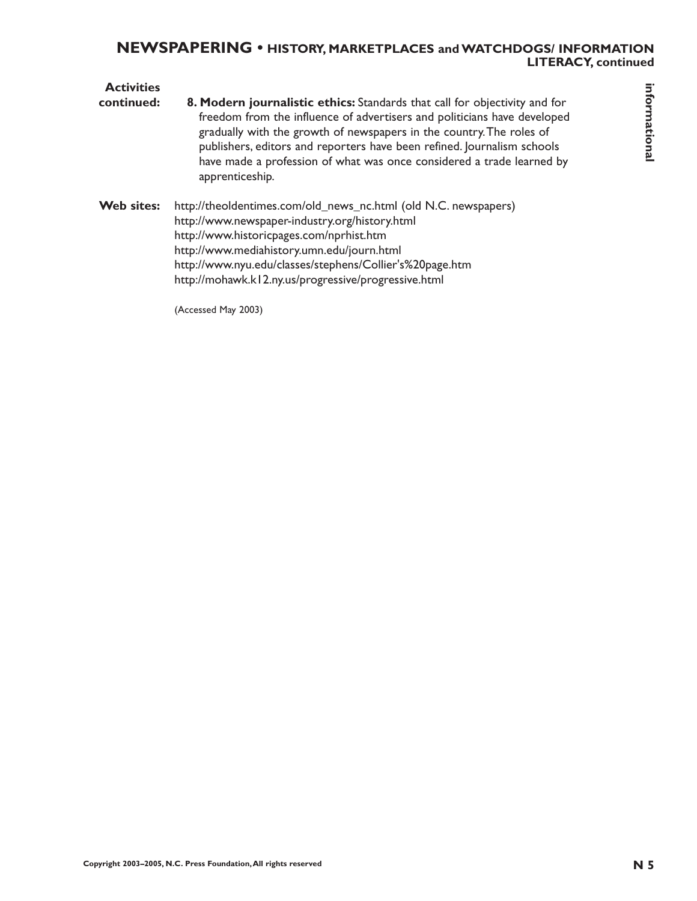# **NEWSPAPERING • HISTORY, MARKETPLACES and WATCHDOGS/ INFORMATION LITERACY, continued**

| <b>Activities</b><br>continued: | 8. Modern journalistic ethics: Standards that call for objectivity and for<br>freedom from the influence of advertisers and politicians have developed<br>gradually with the growth of newspapers in the country. The roles of<br>publishers, editors and reporters have been refined. Journalism schools<br>have made a profession of what was once considered a trade learned by<br>apprenticeship. | informational  |
|---------------------------------|-------------------------------------------------------------------------------------------------------------------------------------------------------------------------------------------------------------------------------------------------------------------------------------------------------------------------------------------------------------------------------------------------------|----------------|
| Web sites:                      | http://theoldentimes.com/old_news_nc.html (old N.C. newspapers)<br>http://www.newspaper-industry.org/history.html<br>http://www.historicpages.com/nprhist.htm<br>http://www.mediahistory.umn.edu/journ.html<br>http://www.nyu.edu/classes/stephens/Collier's%20page.htm<br>http://mohawk.kl2.ny.us/progressive/progressive.html                                                                       |                |
|                                 | (Accessed May 2003)                                                                                                                                                                                                                                                                                                                                                                                   |                |
|                                 |                                                                                                                                                                                                                                                                                                                                                                                                       |                |
|                                 |                                                                                                                                                                                                                                                                                                                                                                                                       |                |
|                                 |                                                                                                                                                                                                                                                                                                                                                                                                       |                |
|                                 |                                                                                                                                                                                                                                                                                                                                                                                                       |                |
|                                 |                                                                                                                                                                                                                                                                                                                                                                                                       |                |
|                                 |                                                                                                                                                                                                                                                                                                                                                                                                       |                |
|                                 |                                                                                                                                                                                                                                                                                                                                                                                                       |                |
|                                 |                                                                                                                                                                                                                                                                                                                                                                                                       |                |
|                                 |                                                                                                                                                                                                                                                                                                                                                                                                       |                |
|                                 |                                                                                                                                                                                                                                                                                                                                                                                                       |                |
|                                 | Copyright 2003-2005, N.C. Press Foundation, All rights reserved                                                                                                                                                                                                                                                                                                                                       | N <sub>5</sub> |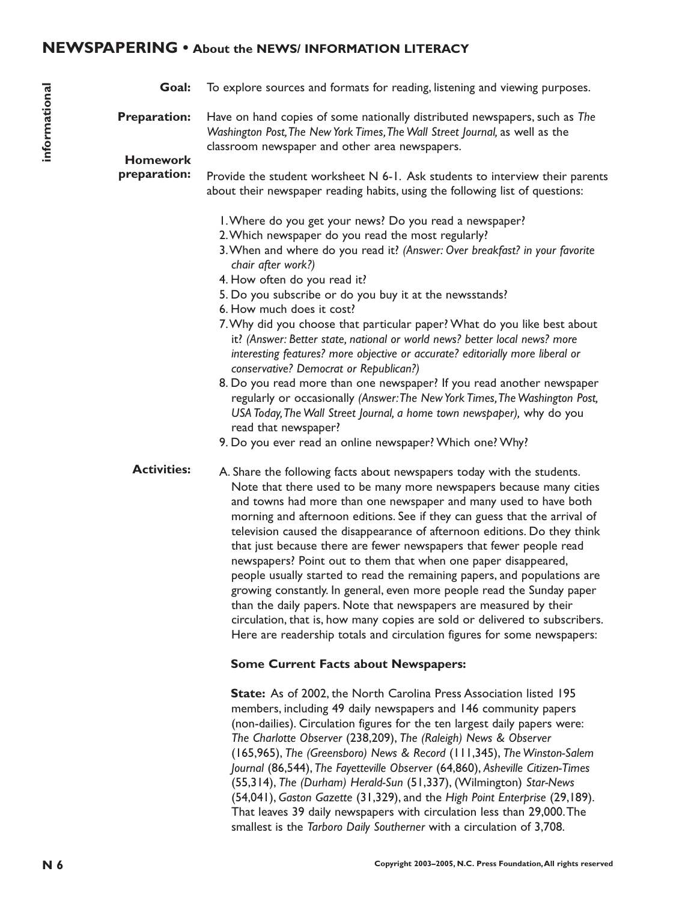# **NEWSPAPERING • About the NEWS/ INFORMATION LITERACY**

|               | Goal:                                  | To explore sources and formats for reading, listening and viewing purposes.                                                                                                                                                                                                                                                                                                                                                                                                                                                                                                                                                                                                                                                                                                                                                                                                                                                                           |
|---------------|----------------------------------------|-------------------------------------------------------------------------------------------------------------------------------------------------------------------------------------------------------------------------------------------------------------------------------------------------------------------------------------------------------------------------------------------------------------------------------------------------------------------------------------------------------------------------------------------------------------------------------------------------------------------------------------------------------------------------------------------------------------------------------------------------------------------------------------------------------------------------------------------------------------------------------------------------------------------------------------------------------|
| informational | <b>Preparation:</b><br><b>Homework</b> | Have on hand copies of some nationally distributed newspapers, such as The<br>Washington Post, The New York Times, The Wall Street Journal, as well as the<br>classroom newspaper and other area newspapers.                                                                                                                                                                                                                                                                                                                                                                                                                                                                                                                                                                                                                                                                                                                                          |
|               | preparation:                           | Provide the student worksheet $N$ 6-1. Ask students to interview their parents<br>about their newspaper reading habits, using the following list of questions:                                                                                                                                                                                                                                                                                                                                                                                                                                                                                                                                                                                                                                                                                                                                                                                        |
|               |                                        | I. Where do you get your news? Do you read a newspaper?<br>2. Which newspaper do you read the most regularly?<br>3. When and where do you read it? (Answer: Over breakfast? in your favorite<br>chair after work?)<br>4. How often do you read it?<br>5. Do you subscribe or do you buy it at the newsstands?<br>6. How much does it cost?<br>7. Why did you choose that particular paper? What do you like best about<br>it? (Answer: Better state, national or world news? better local news? more<br>interesting features? more objective or accurate? editorially more liberal or<br>conservative? Democrat or Republican?)<br>8. Do you read more than one newspaper? If you read another newspaper<br>regularly or occasionally (Answer: The New York Times, The Washington Post,<br>USA Today, The Wall Street Journal, a home town newspaper), why do you<br>read that newspaper?<br>9. Do you ever read an online newspaper? Which one? Why? |
|               | <b>Activities:</b>                     | A. Share the following facts about newspapers today with the students.<br>Note that there used to be many more newspapers because many cities<br>and towns had more than one newspaper and many used to have both<br>morning and afternoon editions. See if they can guess that the arrival of<br>television caused the disappearance of afternoon editions. Do they think<br>that just because there are fewer newspapers that fewer people read<br>newspapers? Point out to them that when one paper disappeared,<br>people usually started to read the remaining papers, and populations are<br>growing constantly. In general, even more people read the Sunday paper<br>than the daily papers. Note that newspapers are measured by their<br>circulation, that is, how many copies are sold or delivered to subscribers.<br>Here are readership totals and circulation figures for some newspapers:                                              |
|               |                                        | <b>Some Current Facts about Newspapers:</b>                                                                                                                                                                                                                                                                                                                                                                                                                                                                                                                                                                                                                                                                                                                                                                                                                                                                                                           |
|               |                                        | State: As of 2002, the North Carolina Press Association listed 195<br>members, including 49 daily newspapers and 146 community papers<br>(non-dailies). Circulation figures for the ten largest daily papers were:<br>The Charlotte Observer (238,209), The (Raleigh) News & Observer<br>(165,965), The (Greensboro) News & Record (111,345), The Winston-Salem<br>Journal (86,544), The Fayetteville Observer (64,860), Asheville Citizen-Times<br>(55,314), The (Durham) Herald-Sun (51,337), (Wilmington) Star-News<br>(54,041), Gaston Gazette (31,329), and the High Point Enterprise (29,189).<br>That leaves 39 daily newspapers with circulation less than 29,000. The<br>smallest is the Tarboro Daily Southerner with a circulation of 3,708.                                                                                                                                                                                               |
| N 6           |                                        | Copyright 2003-2005, N.C. Press Foundation, All rights reserved                                                                                                                                                                                                                                                                                                                                                                                                                                                                                                                                                                                                                                                                                                                                                                                                                                                                                       |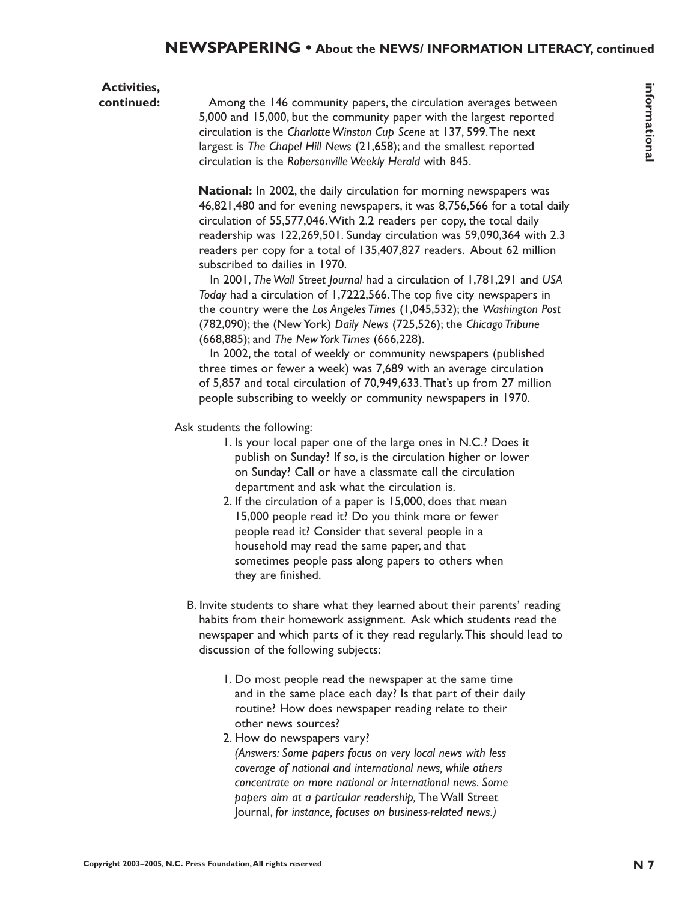# **Activities,**

**continued:** Among the 146 community papers, the circulation averages between 5,000 and 15,000, but the community paper with the largest reported circulation is the *Charlotte Winston Cup Scene* at 137, 599.The next largest is *The Chapel Hill News* (21,658); and the smallest reported circulation is the *Robersonville Weekly Herald* with 845.

**Convertisely,** An any the Combuston in controllation average between the combuston and the combuston is the Copyright 2003–2009. The specific large to the Copyright 2003–2008 and 1.5 (2003–2013) and the smallest responses **National:** In 2002, the daily circulation for morning newspapers was 46,821,480 and for evening newspapers, it was 8,756,566 for a total daily circulation of 55,577,046.With 2.2 readers per copy, the total daily readership was 122,269,501. Sunday circulation was 59,090,364 with 2.3 readers per copy for a total of 135,407,827 readers. About 62 million subscribed to dailies in 1970.

In 2001, *The Wall Street Journal* had a circulation of 1,781,291 and *USA Today* had a circulation of 1,7222,566.The top five city newspapers in the country were the *Los Angeles Times* (1,045,532); the *Washington Post* (782,090); the (New York) *Daily News* (725,526); the *Chicago Tribune* (668,885); and *The New York Times* (666,228).

In 2002, the total of weekly or community newspapers (published three times or fewer a week) was 7,689 with an average circulation of 5,857 and total circulation of 70,949,633.That's up from 27 million people subscribing to weekly or community newspapers in 1970.

Ask students the following:

- 1. Is your local paper one of the large ones in N.C.? Does it publish on Sunday? If so, is the circulation higher or lower on Sunday? Call or have a classmate call the circulation department and ask what the circulation is.
- 2. If the circulation of a paper is 15,000, does that mean 15,000 people read it? Do you think more or fewer people read it? Consider that several people in a household may read the same paper, and that sometimes people pass along papers to others when they are finished.
- B. Invite students to share what they learned about their parents' reading habits from their homework assignment. Ask which students read the newspaper and which parts of it they read regularly.This should lead to discussion of the following subjects:
	- 1. Do most people read the newspaper at the same time and in the same place each day? Is that part of their daily routine? How does newspaper reading relate to their other news sources?
	- 2. How do newspapers vary?
		- *(Answers: Some papers focus on very local news with less coverage of national and international news, while others concentrate on more national or international news. Some papers aim at a particular readership,* The Wall Street Journal, *for instance, focuses on business-related news.)*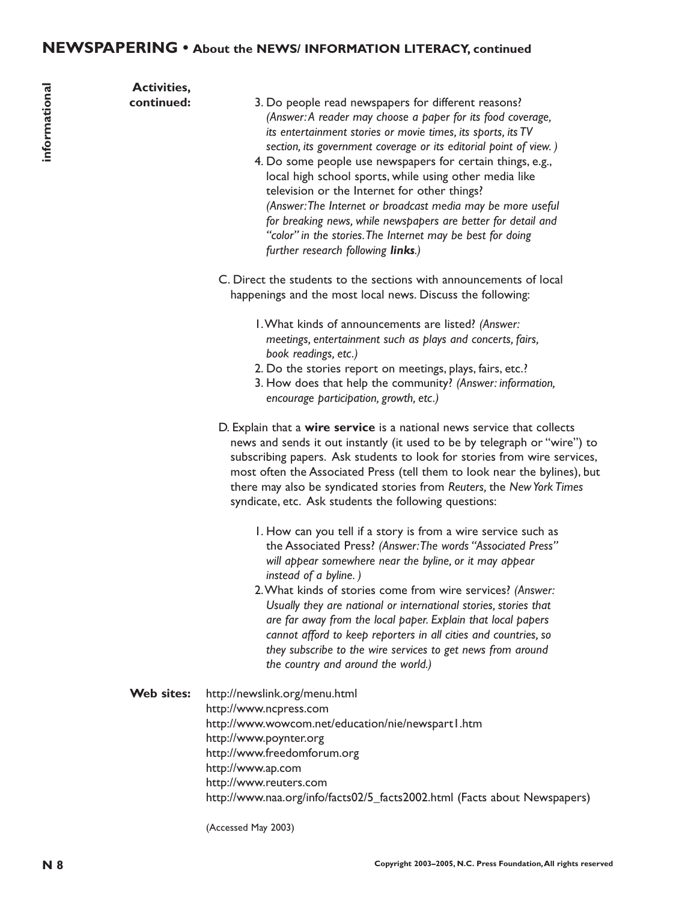| informational | <b>Activities,</b><br>continued: | 3. Do people read newspapers for different reasons?<br>(Answer: A reader may choose a paper for its food coverage,<br>its entertainment stories or movie times, its sports, its TV<br>section, its government coverage or its editorial point of view.)<br>4. Do some people use newspapers for certain things, e.g.,<br>local high school sports, while using other media like<br>television or the Internet for other things?<br>(Answer: The Internet or broadcast media may be more useful<br>for breaking news, while newspapers are better for detail and<br>"color" in the stories. The Internet may be best for doing<br>further research following links.)<br>C. Direct the students to the sections with announcements of local<br>happenings and the most local news. Discuss the following:<br>I. What kinds of announcements are listed? (Answer:<br>meetings, entertainment such as plays and concerts, fairs,<br>book readings, etc.)<br>2. Do the stories report on meetings, plays, fairs, etc.?<br>3. How does that help the community? (Answer: information,<br>encourage participation, growth, etc.)<br>D. Explain that a wire service is a national news service that collects<br>news and sends it out instantly (it used to be by telegraph or "wire") to<br>subscribing papers. Ask students to look for stories from wire services,<br>most often the Associated Press (tell them to look near the bylines), but<br>there may also be syndicated stories from Reuters, the New York Times<br>syndicate, etc. Ask students the following questions:<br>I. How can you tell if a story is from a wire service such as<br>the Associated Press? (Answer: The words "Associated Press"<br>will appear somewhere near the byline, or it may appear<br>instead of a byline.)<br>2. What kinds of stories come from wire services? (Answer: |
|---------------|----------------------------------|----------------------------------------------------------------------------------------------------------------------------------------------------------------------------------------------------------------------------------------------------------------------------------------------------------------------------------------------------------------------------------------------------------------------------------------------------------------------------------------------------------------------------------------------------------------------------------------------------------------------------------------------------------------------------------------------------------------------------------------------------------------------------------------------------------------------------------------------------------------------------------------------------------------------------------------------------------------------------------------------------------------------------------------------------------------------------------------------------------------------------------------------------------------------------------------------------------------------------------------------------------------------------------------------------------------------------------------------------------------------------------------------------------------------------------------------------------------------------------------------------------------------------------------------------------------------------------------------------------------------------------------------------------------------------------------------------------------------------------------------------------------------------------------------------------------------------------------------------------------|
|               |                                  | Usually they are national or international stories, stories that<br>are far away from the local paper. Explain that local papers<br>cannot afford to keep reporters in all cities and countries, so<br>they subscribe to the wire services to get news from around<br>the country and around the world.)                                                                                                                                                                                                                                                                                                                                                                                                                                                                                                                                                                                                                                                                                                                                                                                                                                                                                                                                                                                                                                                                                                                                                                                                                                                                                                                                                                                                                                                                                                                                                       |
|               | Web sites:                       | http://newslink.org/menu.html<br>http://www.ncpress.com<br>http://www.wowcom.net/education/nie/newspart1.htm<br>http://www.poynter.org<br>http://www.freedomforum.org<br>http://www.ap.com<br>http://www.reuters.com<br>http://www.naa.org/info/facts02/5_facts2002.html (Facts about Newspapers)<br>(Accessed May 2003)                                                                                                                                                                                                                                                                                                                                                                                                                                                                                                                                                                                                                                                                                                                                                                                                                                                                                                                                                                                                                                                                                                                                                                                                                                                                                                                                                                                                                                                                                                                                       |
| N 8           |                                  | Copyright 2003-2005, N.C. Press Foundation, All rights reserved                                                                                                                                                                                                                                                                                                                                                                                                                                                                                                                                                                                                                                                                                                                                                                                                                                                                                                                                                                                                                                                                                                                                                                                                                                                                                                                                                                                                                                                                                                                                                                                                                                                                                                                                                                                                |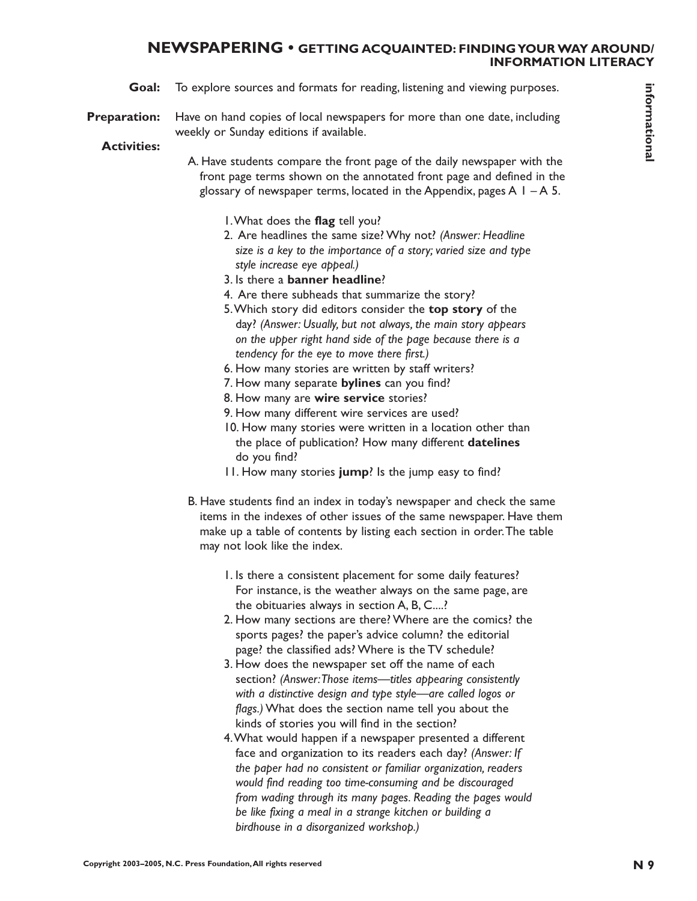#### **NEWSPAPERING • GETTING ACQUAINTED: FINDING YOUR WAY AROUND/ INFORMATION LITERACY**

- **Goal:** To explore sources and formats for reading, listening and viewing purposes.
- **Preparation:** Have on hand copies of local newspapers for more than one date, including weekly or Sunday editions if available.

#### **Activities:**

- A. Have students compare the front page of the daily newspaper with the front page terms shown on the annotated front page and defined in the glossary of newspaper terms, located in the Appendix, pages  $A \perp - A \, 5$ .
	- 1.What does the **flag** tell you?
	- 2. Are headlines the same size? Why not? *(Answer: Headline size is a key to the importance of a story; varied size and type style increase eye appeal.)*
	- 3. Is there a **banner headline**?
	- 4. Are there subheads that summarize the story?
	- 5.Which story did editors consider the **top story** of the day? *(Answer: Usually, but not always, the main story appears on the upper right hand side of the page because there is a tendency for the eye to move there first.)*
	- 6. How many stories are written by staff writers?
	- 7. How many separate **bylines** can you find?
	- 8. How many are **wire service** stories?
	- 9. How many different wire services are used?
	- 10. How many stories were written in a location other than the place of publication? How many different **datelines** do you find?
	- 11. How many stories **jump**? Is the jump easy to find?
- B. Have students find an index in today's newspaper and check the same items in the indexes of other issues of the same newspaper. Have them make up a table of contents by listing each section in order.The table may not look like the index.
	- 1. Is there a consistent placement for some daily features? For instance, is the weather always on the same page, are the obituaries always in section A, B, C....?
	- 2. How many sections are there? Where are the comics? the sports pages? the paper's advice column? the editorial page? the classified ads? Where is the TV schedule?
	- 3. How does the newspaper set off the name of each section? *(Answer:Those items—titles appearing consistently with a distinctive design and type style—are called logos or flags.)* What does the section name tell you about the kinds of stories you will find in the section?
- **Coult Co** components and formation for examples that must be resulted to the example of the state of the state of the state of the state of the state of the state of the state of the state of the state of the state of the 4.What would happen if a newspaper presented a different face and organization to its readers each day? *(Answer: If the paper had no consistent or familiar organization, readers would find reading too time-consuming and be discouraged from wading through its many pages. Reading the pages would be like fixing a meal in a strange kitchen or building a birdhouse in a disorganized workshop.)*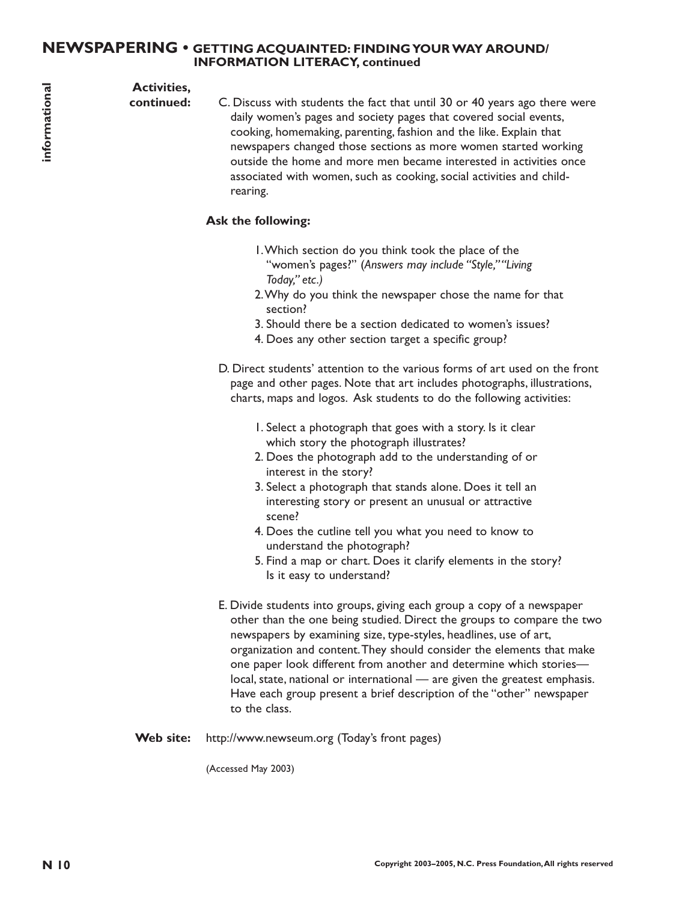## **NEWSPAPERING • GETTING ACQUAINTED: FINDING YOUR WAY AROUND/ INFORMATION LITERACY, continued**

# **Activities,**

**continued:**

C. Discuss with students the fact that until 30 or 40 years ago there were daily women's pages and society pages that covered social events, cooking, homemaking, parenting, fashion and the like. Explain that newspapers changed those sections as more women started working outside the home and more men became interested in activities once associated with women, such as cooking, social activities and childrearing.

# **Ask the following:**

- 1.Which section do you think took the place of the "women's pages?" (*Answers may include "Style,""Living Today," etc.)*
- 2.Why do you think the newspaper chose the name for that section?
- 3. Should there be a section dedicated to women's issues?
- 4. Does any other section target a specific group?
- D. Direct students' attention to the various forms of art used on the front page and other pages. Note that art includes photographs, illustrations, charts, maps and logos. Ask students to do the following activities:
	- 1. Select a photograph that goes with a story. Is it clear which story the photograph illustrates?
	- 2. Does the photograph add to the understanding of or interest in the story?
	- 3. Select a photograph that stands alone. Does it tell an interesting story or present an unusual or attractive scene?
	- 4. Does the cutline tell you what you need to know to understand the photograph?
	- 5. Find a map or chart. Does it clarify elements in the story? Is it easy to understand?
- **N 10 Content with matterns** the first transmission and the state of the particle scale in the state of the state of the state of the state of the state of the state of the state of the state of the state of the state o E. Divide students into groups, giving each group a copy of a newspaper other than the one being studied. Direct the groups to compare the two newspapers by examining size, type-styles, headlines, use of art, organization and content.They should consider the elements that make one paper look different from another and determine which stories local, state, national or international — are given the greatest emphasis. Have each group present a brief description of the "other" newspaper to the class.
	- **Web site:** http://www.newseum.org (Today's front pages)

(Accessed May 2003)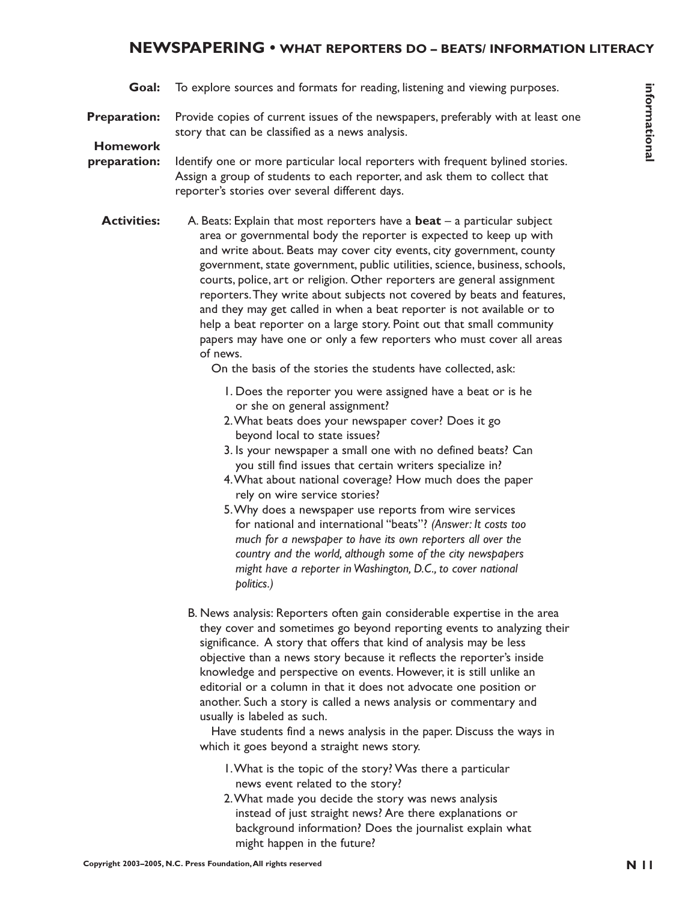# **NEWSPAPERING • WHAT REPORTERS DO – BEATS/ INFORMATION LITERACY**

- **Goal:** To explore sources and formats for reading, listening and viewing purposes.
- **Preparation:** Provide copies of current issues of the newspapers, preferably with at least one story that can be classified as a news analysis.

# **Homework**

**preparation:** Identify one or more particular local reporters with frequent bylined stories. Assign a group of students to each reporter, and ask them to collect that reporter's stories over several different days.

**Constrained formation in the constrained formation in the served of the served of the served of the served of the served of the served of the served of the served of the served of the served of the served of the served of Activities:** A. Beats: Explain that most reporters have a **beat** – a particular subject area or governmental body the reporter is expected to keep up with and write about. Beats may cover city events, city government, county government, state government, public utilities, science, business, schools, courts, police, art or religion. Other reporters are general assignment reporters.They write about subjects not covered by beats and features, and they may get called in when a beat reporter is not available or to help a beat reporter on a large story. Point out that small community papers may have one or only a few reporters who must cover all areas of news.

On the basis of the stories the students have collected, ask:

- 1. Does the reporter you were assigned have a beat or is he or she on general assignment?
- 2.What beats does your newspaper cover? Does it go beyond local to state issues?
- 3. Is your newspaper a small one with no defined beats? Can you still find issues that certain writers specialize in?
- 4.What about national coverage? How much does the paper rely on wire service stories?
- 5.Why does a newspaper use reports from wire services for national and international "beats"? *(Answer: It costs too much for a newspaper to have its own reporters all over the country and the world, although some of the city newspapers might have a reporter in Washington, D.C., to cover national politics.)*
- B. News analysis: Reporters often gain considerable expertise in the area they cover and sometimes go beyond reporting events to analyzing their significance. A story that offers that kind of analysis may be less objective than a news story because it reflects the reporter's inside knowledge and perspective on events. However, it is still unlike an editorial or a column in that it does not advocate one position or another. Such a story is called a news analysis or commentary and usually is labeled as such.

Have students find a news analysis in the paper. Discuss the ways in which it goes beyond a straight news story.

- 1.What is the topic of the story? Was there a particular news event related to the story?
- 2.What made you decide the story was news analysis instead of just straight news? Are there explanations or background information? Does the journalist explain what might happen in the future?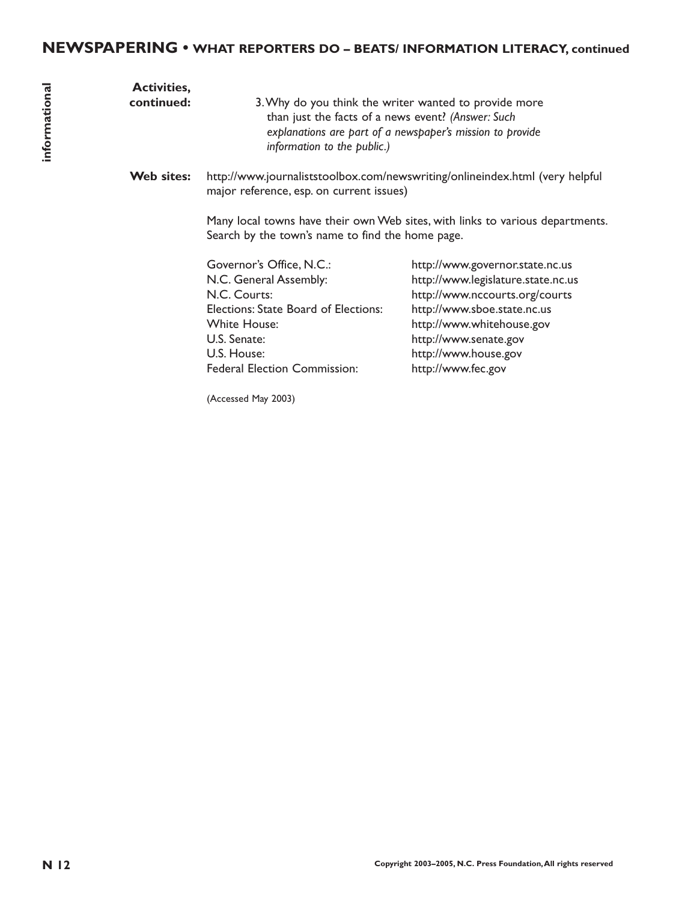# **NEWSPAPERING • WHAT REPORTERS DO – BEATS/ INFORMATION LITERACY, continued**

| informational | <b>Activities,</b><br>continued: | information to the public.)                                                                                                                                                                      | 3. Why do you think the writer wanted to provide more<br>than just the facts of a news event? (Answer: Such<br>explanations are part of a newspaper's mission to provide                                                                   |
|---------------|----------------------------------|--------------------------------------------------------------------------------------------------------------------------------------------------------------------------------------------------|--------------------------------------------------------------------------------------------------------------------------------------------------------------------------------------------------------------------------------------------|
|               | Web sites:                       | major reference, esp. on current issues)                                                                                                                                                         | http://www.journaliststoolbox.com/newswriting/onlineindex.html (very helpful                                                                                                                                                               |
|               |                                  | Search by the town's name to find the home page.                                                                                                                                                 | Many local towns have their own Web sites, with links to various departments.                                                                                                                                                              |
|               |                                  | Governor's Office, N.C.:<br>N.C. General Assembly:<br>N.C. Courts:<br>Elections: State Board of Elections:<br><b>White House:</b><br>U.S. Senate:<br>U.S. House:<br>Federal Election Commission: | http://www.governor.state.nc.us<br>http://www.legislature.state.nc.us<br>http://www.nccourts.org/courts<br>http://www.sboe.state.nc.us<br>http://www.whitehouse.gov<br>http://www.senate.gov<br>http://www.house.gov<br>http://www.fec.gov |
|               |                                  | (Accessed May 2003)                                                                                                                                                                              |                                                                                                                                                                                                                                            |
|               |                                  |                                                                                                                                                                                                  |                                                                                                                                                                                                                                            |
|               |                                  |                                                                                                                                                                                                  |                                                                                                                                                                                                                                            |
|               |                                  |                                                                                                                                                                                                  |                                                                                                                                                                                                                                            |
|               |                                  |                                                                                                                                                                                                  |                                                                                                                                                                                                                                            |
|               |                                  |                                                                                                                                                                                                  |                                                                                                                                                                                                                                            |
|               |                                  |                                                                                                                                                                                                  |                                                                                                                                                                                                                                            |
|               |                                  |                                                                                                                                                                                                  |                                                                                                                                                                                                                                            |
|               |                                  |                                                                                                                                                                                                  |                                                                                                                                                                                                                                            |
|               |                                  |                                                                                                                                                                                                  |                                                                                                                                                                                                                                            |
| N 12          |                                  |                                                                                                                                                                                                  | Copyright 2003-2005, N.C. Press Foundation, All rights reserved                                                                                                                                                                            |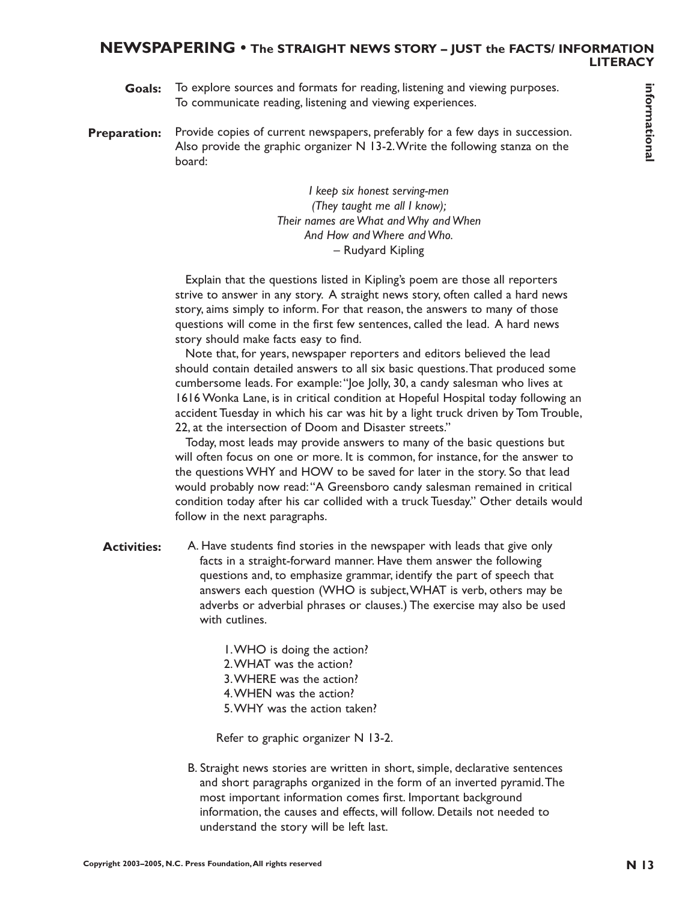# **NEWSPAPERING • The STRAIGHT NEWS STORY – JUST the FACTS/ INFORMATION LITERACY**

- To explore sources and formats for reading, listening and viewing purposes. To communicate reading, listening and viewing experiences. **Goals:**
- Provide copies of current newspapers, preferably for a few days in succession. Also provide the graphic organizer N 13-2.Write the following stanza on the board: **Preparation:**

*I keep six honest serving-men (They taught me all I know); Their names are What and Why and When And How and Where and Who.* – Rudyard Kipling

Explain that the questions listed in Kipling's poem are those all reporters strive to answer in any story. A straight news story, often called a hard news story, aims simply to inform. For that reason, the answers to many of those questions will come in the first few sentences, called the lead. A hard news story should make facts easy to find.

Note that, for years, newspaper reporters and editors believed the lead should contain detailed answers to all six basic questions.That produced some cumbersome leads. For example:"Joe Jolly, 30, a candy salesman who lives at 1616 Wonka Lane, is in critical condition at Hopeful Hospital today following an accident Tuesday in which his car was hit by a light truck driven by Tom Trouble, 22, at the intersection of Doom and Disaster streets."

Today, most leads may provide answers to many of the basic questions but will often focus on one or more. It is common, for instance, for the answer to the questions WHY and HOW to be saved for later in the story. So that lead would probably now read:"A Greensboro candy salesman remained in critical condition today after his car collided with a truck Tuesday." Other details would follow in the next paragraphs.

- A. Have students find stories in the newspaper with leads that give only facts in a straight-forward manner. Have them answer the following questions and, to emphasize grammar, identify the part of speech that answers each question (WHO is subject,WHAT is verb, others may be adverbs or adverbial phrases or clauses.) The exercise may also be used with cutlines. **Coak:** To explore courses and formation projections and exponential formation, the result of the result of the result of the results reserved in the results of the results of the results of the results reserved in the res **Activities:**
	- 1.WHO is doing the action? 2.WHAT was the action? 3.WHERE was the action? 4.WHEN was the action? 5.WHY was the action taken?

Refer to graphic organizer N 13-2.

B. Straight news stories are written in short, simple, declarative sentences and short paragraphs organized in the form of an inverted pyramid.The most important information comes first. Important background information, the causes and effects, will follow. Details not needed to understand the story will be left last.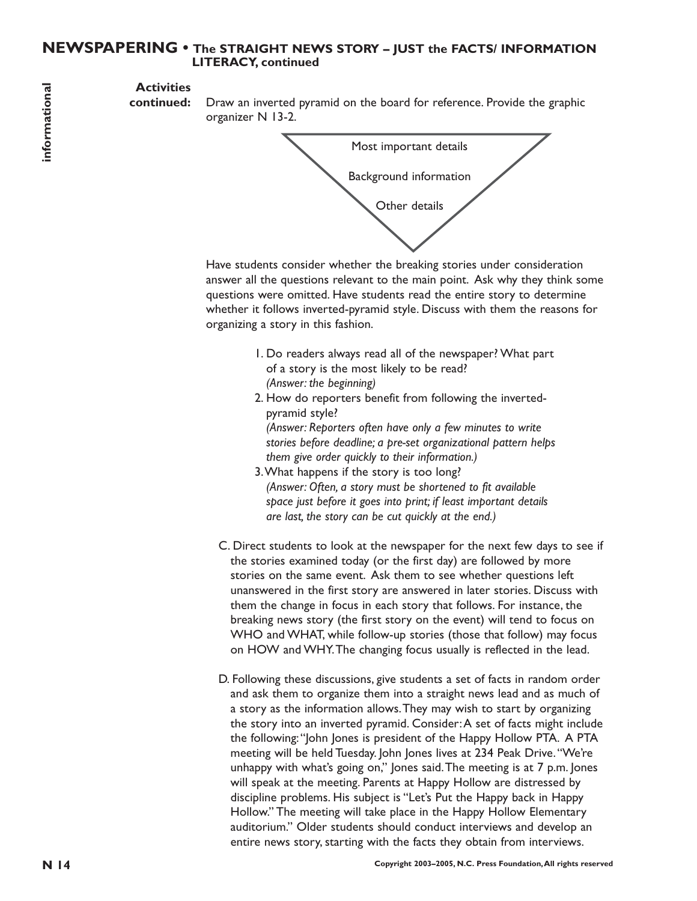# **NEWSPAPERING • The STRAIGHT NEWS STORY – JUST the FACTS/ INFORMATION LITERACY, continued**

# **Activities**

**continued:** Draw an inverted pyramid on the board for reference. Provide the graphic organizer N 13-2.



Have students consider whether the breaking stories under consideration answer all the questions relevant to the main point. Ask why they think some questions were omitted. Have students read the entire story to determine whether it follows inverted-pyramid style. Discuss with them the reasons for organizing a story in this fashion.

- 1. Do readers always read all of the newspaper? What part of a story is the most likely to be read? *(Answer: the beginning)*
- 2. How do reporters benefit from following the invertedpyramid style? *(Answer: Reporters often have only a few minutes to write*

*stories before deadline; a pre-set organizational pattern helps them give order quickly to their information.)*

- 3.What happens if the story is too long? *(Answer: Often, a story must be shortened to fit available space just before it goes into print; if least important details are last, the story can be cut quickly at the end.)*
- C. Direct students to look at the newspaper for the next few days to see if the stories examined today (or the first day) are followed by more stories on the same event. Ask them to see whether questions left unanswered in the first story are answered in later stories. Discuss with them the change in focus in each story that follows. For instance, the breaking news story (the first story on the event) will tend to focus on WHO and WHAT, while follow-up stories (those that follow) may focus on HOW and WHY.The changing focus usually is reflected in the lead.
- **Exercise the computer of the state of the state of the state of the state of the state of the state of the state of the state of the state of the state of the state of the state of the state of the state of the state of** D. Following these discussions, give students a set of facts in random order and ask them to organize them into a straight news lead and as much of a story as the information allows.They may wish to start by organizing the story into an inverted pyramid. Consider:A set of facts might include the following:"John Jones is president of the Happy Hollow PTA. A PTA meeting will be held Tuesday. John Jones lives at 234 Peak Drive."We're unhappy with what's going on," Jones said.The meeting is at 7 p.m. Jones will speak at the meeting. Parents at Happy Hollow are distressed by discipline problems. His subject is "Let's Put the Happy back in Happy Hollow." The meeting will take place in the Happy Hollow Elementary auditorium." Older students should conduct interviews and develop an entire news story, starting with the facts they obtain from interviews.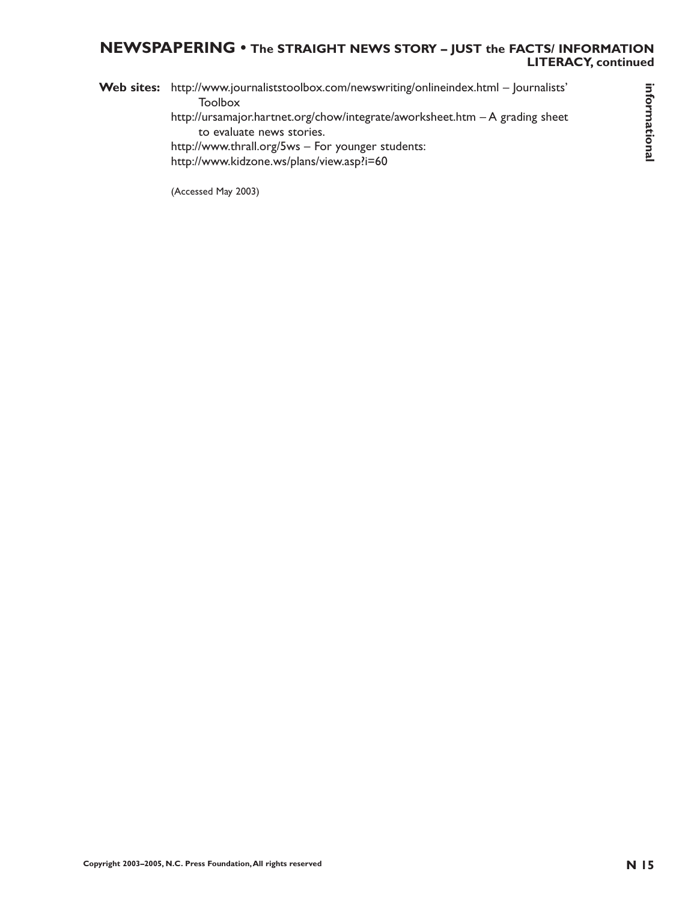# **NEWSPAPERING • The STRAIGHT NEWS STORY – JUST the FACTS/ INFORMATION LITERACY, continued**

**Construction Construction Construction,**<br>
Construction Construction Construction Construction - A grading sheet<br>
Nation Construction Construction Construction - A grading sheet<br>
Nation Construction Construction Constructi Web sites: http://www.journaliststoolbox.com/newswriting/onlineindex.html - Journalists' Toolbox http://ursamajor.hartnet.org/chow/integrate/aworksheet.htm – A grading sheet to evaluate news stories. http://www.thrall.org/5ws – For younger students: http://www.kidzone.ws/plans/view.asp?i=60

(Accessed May 2003)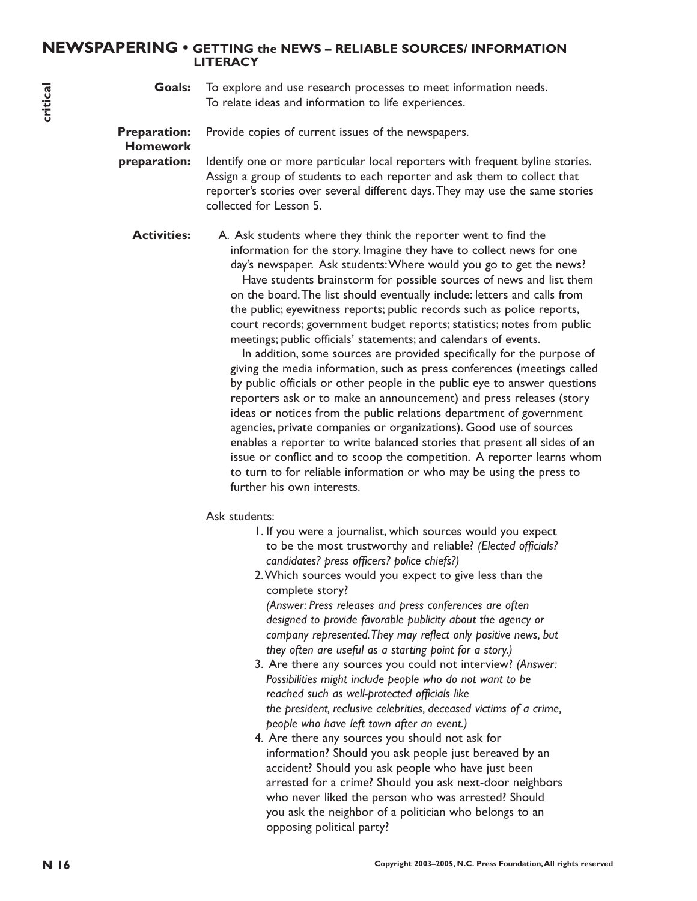## **NEWSPAPERING • GETTING the NEWS – RELIABLE SOURCES/ INFORMATION LITERACY**

**Goals:** To explore and use research processes to meet information needs. To relate ideas and information to life experiences.

**Preparation:** Provide copies of current issues of the newspapers.

# **Homework**

**preparation:** Identify one or more particular local reporters with frequent byline stories. Assign a group of students to each reporter and ask them to collect that reporter's stories over several different days.They may use the same stories collected for Lesson 5.

**Activities:** A. Ask students where they think the reporter went to find the information for the story. Imagine they have to collect news for one day's newspaper. Ask students:Where would you go to get the news?

Have students brainstorm for possible sources of news and list them on the board.The list should eventually include: letters and calls from the public; eyewitness reports; public records such as police reports, court records; government budget reports; statistics; notes from public meetings; public officials' statements; and calendars of events.

**Notice** To explore and the created precises to meet information needs.<br>
The relation of the content causes of the newslepses.<br> **Preparation:** Homework Total relation found reporters with frequence by the critical relation In addition, some sources are provided specifically for the purpose of giving the media information, such as press conferences (meetings called by public officials or other people in the public eye to answer questions reporters ask or to make an announcement) and press releases (story ideas or notices from the public relations department of government agencies, private companies or organizations). Good use of sources enables a reporter to write balanced stories that present all sides of an issue or conflict and to scoop the competition. A reporter learns whom to turn to for reliable information or who may be using the press to further his own interests.

#### Ask students:

- 1. If you were a journalist, which sources would you expect to be the most trustworthy and reliable? *(Elected officials? candidates? press officers? police chiefs?)*
- 2.Which sources would you expect to give less than the complete story?

*(Answer: Press releases and press conferences are often designed to provide favorable publicity about the agency or company represented.They may reflect only positive news, but they often are useful as a starting point for a story.)*

- 3. Are there any sources you could not interview? *(Answer: Possibilities might include people who do not want to be reached such as well-protected officials like the president, reclusive celebrities, deceased victims of a crime, people who have left town after an event.)*
- 4. Are there any sources you should not ask for information? Should you ask people just bereaved by an accident? Should you ask people who have just been arrested for a crime? Should you ask next-door neighbors who never liked the person who was arrested? Should you ask the neighbor of a politician who belongs to an opposing political party?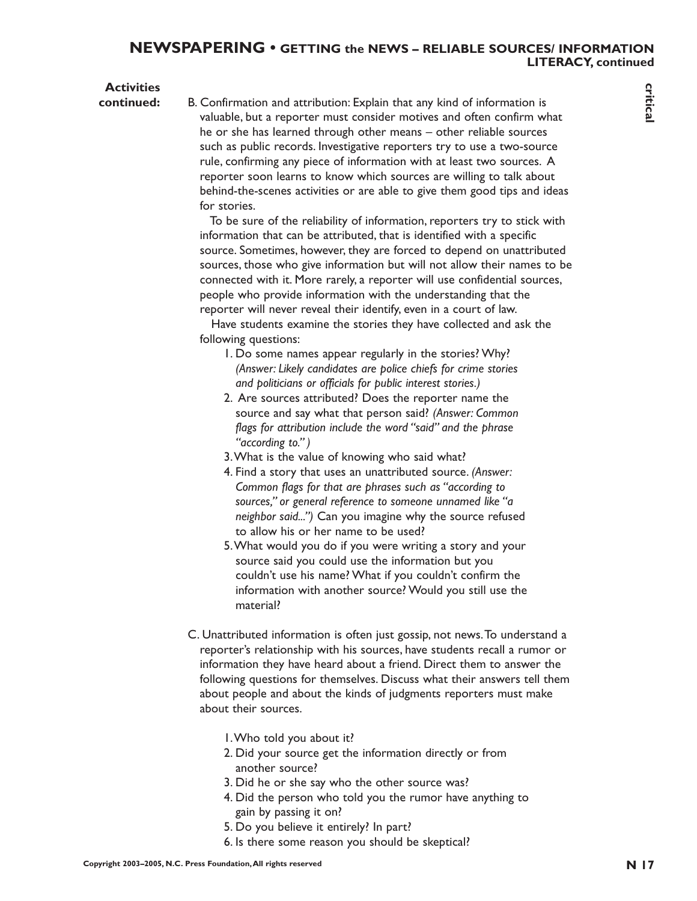# **Activities**

**Continuous many argent with the state of the contents in the state of the state of the state of the state of the state of the state of the state of the state of the state of the state of the state of the state of the sta continued:** B. Confirmation and attribution: Explain that any kind of information is valuable, but a reporter must consider motives and often confirm what he or she has learned through other means – other reliable sources such as public records. Investigative reporters try to use a two-source rule, confirming any piece of information with at least two sources. A reporter soon learns to know which sources are willing to talk about behind-the-scenes activities or are able to give them good tips and ideas for stories.

To be sure of the reliability of information, reporters try to stick with information that can be attributed, that is identified with a specific source. Sometimes, however, they are forced to depend on unattributed sources, those who give information but will not allow their names to be connected with it. More rarely, a reporter will use confidential sources, people who provide information with the understanding that the reporter will never reveal their identify, even in a court of law.

Have students examine the stories they have collected and ask the following questions:

- 1. Do some names appear regularly in the stories? Why? *(Answer: Likely candidates are police chiefs for crime stories and politicians or officials for public interest stories.)*
- 2. Are sources attributed? Does the reporter name the source and say what that person said? *(Answer: Common flags for attribution include the word "said" and the phrase "according to." )*
- 3.What is the value of knowing who said what?
- 4. Find a story that uses an unattributed source. *(Answer: Common flags for that are phrases such as "according to sources," or general reference to someone unnamed like "a neighbor said...")* Can you imagine why the source refused to allow his or her name to be used?
- 5.What would you do if you were writing a story and your source said you could use the information but you couldn't use his name? What if you couldn't confirm the information with another source? Would you still use the material?
- C. Unattributed information is often just gossip, not news.To understand a reporter's relationship with his sources, have students recall a rumor or information they have heard about a friend. Direct them to answer the following questions for themselves. Discuss what their answers tell them about people and about the kinds of judgments reporters must make about their sources.
	- 1.Who told you about it?
	- 2. Did your source get the information directly or from another source?
	- 3. Did he or she say who the other source was?
	- 4. Did the person who told you the rumor have anything to gain by passing it on?
	- 5. Do you believe it entirely? In part?
	- 6. Is there some reason you should be skeptical?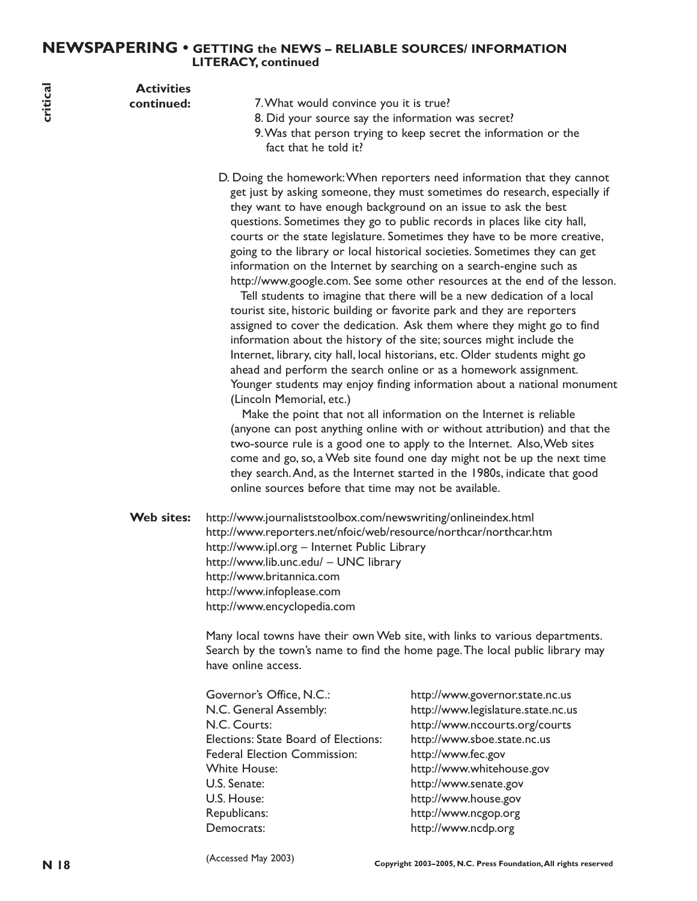# **NEWSPAPERING • GETTING the NEWS – RELIABLE SOURCES/ INFORMATION LITERACY, continued**

| critical | <b>Activities</b><br>continued: | 7. What would convince you it is true?<br>fact that he told it?                                                                                                                                                                                  | 8. Did your source say the information was secret?<br>9. Was that person trying to keep secret the information or the                                                                                                                                                                                                                                                                                                                                                                                                                                                                                                                                                                                                                                                                                                                                                                                                                                                                                                                                                                                                                                                                                                                                                                                                                                                                                                                                                                                                                                |
|----------|---------------------------------|--------------------------------------------------------------------------------------------------------------------------------------------------------------------------------------------------------------------------------------------------|------------------------------------------------------------------------------------------------------------------------------------------------------------------------------------------------------------------------------------------------------------------------------------------------------------------------------------------------------------------------------------------------------------------------------------------------------------------------------------------------------------------------------------------------------------------------------------------------------------------------------------------------------------------------------------------------------------------------------------------------------------------------------------------------------------------------------------------------------------------------------------------------------------------------------------------------------------------------------------------------------------------------------------------------------------------------------------------------------------------------------------------------------------------------------------------------------------------------------------------------------------------------------------------------------------------------------------------------------------------------------------------------------------------------------------------------------------------------------------------------------------------------------------------------------|
|          |                                 | (Lincoln Memorial, etc.)<br>online sources before that time may not be available.                                                                                                                                                                | D. Doing the homework: When reporters need information that they cannot<br>get just by asking someone, they must sometimes do research, especially if<br>they want to have enough background on an issue to ask the best<br>questions. Sometimes they go to public records in places like city hall,<br>courts or the state legislature. Sometimes they have to be more creative,<br>going to the library or local historical societies. Sometimes they can get<br>information on the Internet by searching on a search-engine such as<br>http://www.google.com. See some other resources at the end of the lesson.<br>Tell students to imagine that there will be a new dedication of a local<br>tourist site, historic building or favorite park and they are reporters<br>assigned to cover the dedication. Ask them where they might go to find<br>information about the history of the site; sources might include the<br>Internet, library, city hall, local historians, etc. Older students might go<br>ahead and perform the search online or as a homework assignment.<br>Younger students may enjoy finding information about a national monument<br>Make the point that not all information on the Internet is reliable<br>(anyone can post anything online with or without attribution) and that the<br>two-source rule is a good one to apply to the Internet. Also, Web sites<br>come and go, so, a Web site found one day might not be up the next time<br>they search. And, as the Internet started in the 1980s, indicate that good |
|          | <b>Web sites:</b>               | http://www.journaliststoolbox.com/newswriting/onlineindex.html<br>http://www.ipl.org - Internet Public Library<br>http://www.lib.unc.edu/ - UNC library<br>http://www.britannica.com<br>http://www.infoplease.com<br>http://www.encyclopedia.com | http://www.reporters.net/nfoic/web/resource/northcar/northcar.htm                                                                                                                                                                                                                                                                                                                                                                                                                                                                                                                                                                                                                                                                                                                                                                                                                                                                                                                                                                                                                                                                                                                                                                                                                                                                                                                                                                                                                                                                                    |
|          |                                 | have online access.                                                                                                                                                                                                                              | Many local towns have their own Web site, with links to various departments.<br>Search by the town's name to find the home page. The local public library may                                                                                                                                                                                                                                                                                                                                                                                                                                                                                                                                                                                                                                                                                                                                                                                                                                                                                                                                                                                                                                                                                                                                                                                                                                                                                                                                                                                        |
|          |                                 | Governor's Office, N.C.:<br>N.C. General Assembly:<br>N.C. Courts:<br>Elections: State Board of Elections:<br><b>Federal Election Commission:</b><br><b>White House:</b><br>U.S. Senate:<br>U.S. House:<br>Republicans:<br>Democrats:            | http://www.governor.state.nc.us<br>http://www.legislature.state.nc.us<br>http://www.nccourts.org/courts<br>http://www.sboe.state.nc.us<br>http://www.fec.gov<br>http://www.whitehouse.gov<br>http://www.senate.gov<br>http://www.house.gov<br>http://www.ncgop.org<br>http://www.ncdp.org                                                                                                                                                                                                                                                                                                                                                                                                                                                                                                                                                                                                                                                                                                                                                                                                                                                                                                                                                                                                                                                                                                                                                                                                                                                            |
| N 18     |                                 | (Accessed May 2003)                                                                                                                                                                                                                              | Copyright 2003-2005, N.C. Press Foundation, All rights reserved                                                                                                                                                                                                                                                                                                                                                                                                                                                                                                                                                                                                                                                                                                                                                                                                                                                                                                                                                                                                                                                                                                                                                                                                                                                                                                                                                                                                                                                                                      |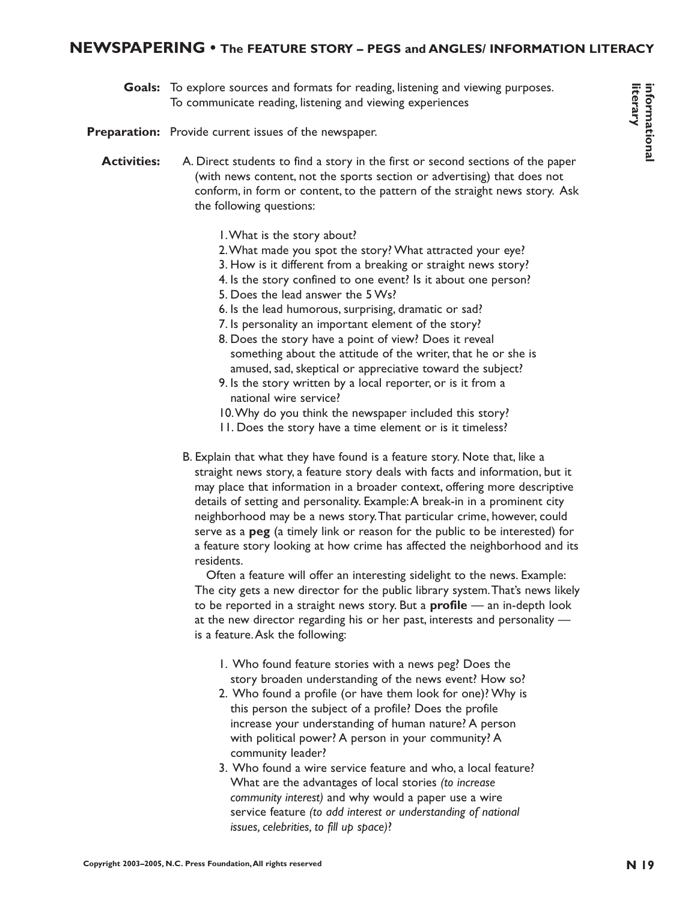# **NEWSPAPERING • The FEATURE STORY – PEGS and ANGLES/ INFORMATION LITERACY**

**Goals:** To explore sources and formats for reading, listening and viewing purposes. To communicate reading, listening and viewing experiences

Preparation: Provide current issues of the newspaper.

- **Activities:** A. Direct students to find a story in the first or second sections of the paper (with news content, not the sports section or advertising) that does not conform, in form or content, to the pattern of the straight news story. Ask the following questions:
	- 1.What is the story about?
	- 2.What made you spot the story? What attracted your eye?
	- 3. How is it different from a breaking or straight news story?
	- 4. Is the story confined to one event? Is it about one person?
	- 5. Does the lead answer the 5 Ws?
	- 6. Is the lead humorous, surprising, dramatic or sad?
	- 7. Is personality an important element of the story?
	- 8. Does the story have a point of view? Does it reveal something about the attitude of the writer, that he or she is amused, sad, skeptical or appreciative toward the subject?
	- 9. Is the story written by a local reporter, or is it from a national wire service?
	- 10.Why do you think the newspaper included this story?
	- 11. Does the story have a time element or is it timeless?
- **Coak:** To explore sources and formulate for results restring and viewing properties.<br> **Preparation:** Provide current issues of the average reserved formulate results of the presses Foundation Content, not the spot are not B. Explain that what they have found is a feature story. Note that, like a straight news story, a feature story deals with facts and information, but it may place that information in a broader context, offering more descriptive details of setting and personality. Example:A break-in in a prominent city neighborhood may be a news story.That particular crime, however, could serve as a **peg** (a timely link or reason for the public to be interested) for a feature story looking at how crime has affected the neighborhood and its residents.

Often a feature will offer an interesting sidelight to the news. Example: The city gets a new director for the public library system.That's news likely to be reported in a straight news story. But a **profile** — an in-depth look at the new director regarding his or her past, interests and personality is a feature.Ask the following:

- 1. Who found feature stories with a news peg? Does the story broaden understanding of the news event? How so?
- 2. Who found a profile (or have them look for one)? Why is this person the subject of a profile? Does the profile increase your understanding of human nature? A person with political power? A person in your community? A community leader?
- 3. Who found a wire service feature and who, a local feature? What are the advantages of local stories *(to increase community interest)* and why would a paper use a wire service feature *(to add interest or understanding of national issues, celebrities, to fill up space)*?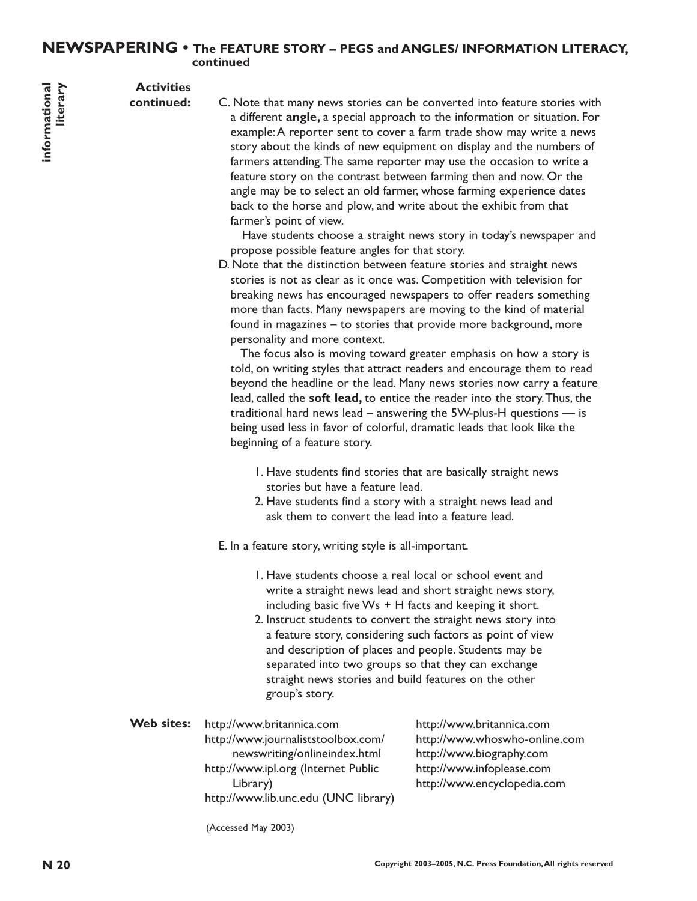# **NEWSPAPERING • The FEATURE STORY – PEGS and ANGLES/ INFORMATION LITERACY, continued**

**Activities**

**continued:**

**N C**. Note that many news stories can be converted into dealure stories with example A region reserve can to cover a family calculated with respect and to cover a family calculated with rights reserved to the stage may C. Note that many news stories can be converted into feature stories with a different **angle,** a special approach to the information or situation. For example:A reporter sent to cover a farm trade show may write a news story about the kinds of new equipment on display and the numbers of farmers attending.The same reporter may use the occasion to write a feature story on the contrast between farming then and now. Or the angle may be to select an old farmer, whose farming experience dates back to the horse and plow, and write about the exhibit from that farmer's point of view.

Have students choose a straight news story in today's newspaper and propose possible feature angles for that story.

D. Note that the distinction between feature stories and straight news stories is not as clear as it once was. Competition with television for breaking news has encouraged newspapers to offer readers something more than facts. Many newspapers are moving to the kind of material found in magazines – to stories that provide more background, more personality and more context.

The focus also is moving toward greater emphasis on how a story is told, on writing styles that attract readers and encourage them to read beyond the headline or the lead. Many news stories now carry a feature lead, called the **soft lead,** to entice the reader into the story.Thus, the traditional hard news lead – answering the 5W-plus-H questions — is being used less in favor of colorful, dramatic leads that look like the beginning of a feature story.

- 1. Have students find stories that are basically straight news stories but have a feature lead.
- 2. Have students find a story with a straight news lead and ask them to convert the lead into a feature lead.

E. In a feature story, writing style is all-important.

- 1. Have students choose a real local or school event and write a straight news lead and short straight news story, including basic five  $Ws + H$  facts and keeping it short.
- 2. Instruct students to convert the straight news story into a feature story, considering such factors as point of view and description of places and people. Students may be separated into two groups so that they can exchange straight news stories and build features on the other group's story.

| Web sites: | http://www.britannica.com            | http://www.britannica.com     |  |
|------------|--------------------------------------|-------------------------------|--|
|            | http://www.journaliststoolbox.com/   | http://www.whoswho-online.com |  |
|            | newswriting/onlineindex.html         | http://www.biography.com      |  |
|            | http://www.ipl.org (Internet Public  | http://www.infoplease.com     |  |
|            | Library)                             | http://www.encyclopedia.com   |  |
|            | http://www.lib.unc.edu (UNC library) |                               |  |
|            |                                      |                               |  |

(Accessed May 2003)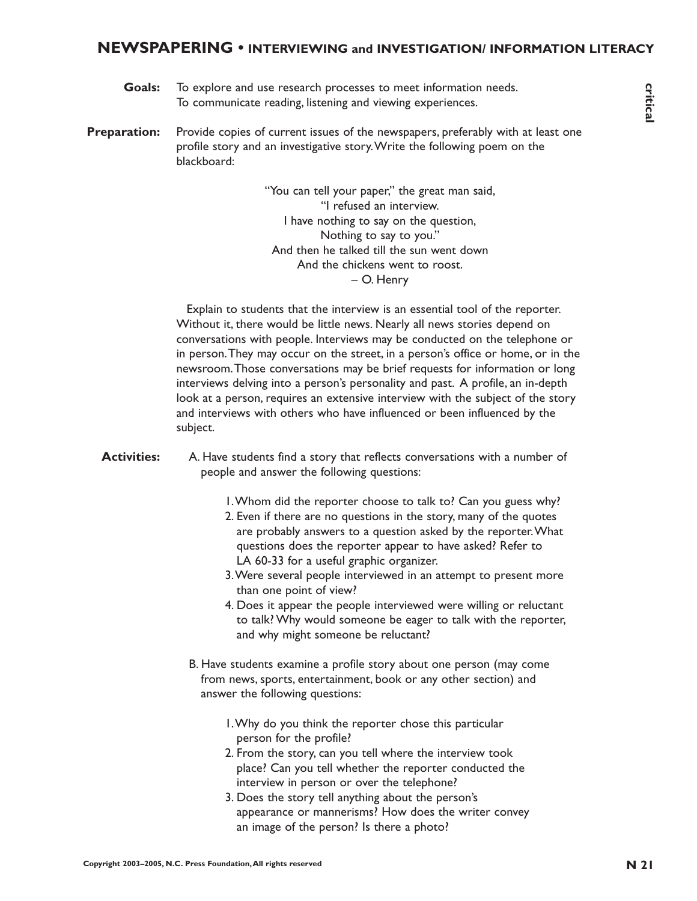# **NEWSPAPERING • INTERVIEWING and INVESTIGATION/ INFORMATION LITERACY**

**Goals:** To explore and use research processes to meet information needs. To communicate reading, listening and viewing experiences.

**Preparation:** Provide copies of current issues of the newspapers, preferably with at least one profile story and an investigative story.Write the following poem on the blackboard:

> "You can tell your paper," the great man said, "I refused an interview. I have nothing to say on the question, Nothing to say to you." And then he talked till the sun went down And the chickens went to roost. – O. Henry

**Coales** To explore and the research processes for research four range of convertibles the access for the new paper and the results research and the results research and the results of the results of the results research a Explain to students that the interview is an essential tool of the reporter. Without it, there would be little news. Nearly all news stories depend on conversations with people. Interviews may be conducted on the telephone or in person.They may occur on the street, in a person's office or home, or in the newsroom.Those conversations may be brief requests for information or long interviews delving into a person's personality and past. A profile, an in-depth look at a person, requires an extensive interview with the subject of the story and interviews with others who have influenced or been influenced by the subject.

#### **Activities:** A. Have students find a story that reflects conversations with a number of people and answer the following questions:

- 1.Whom did the reporter choose to talk to? Can you guess why?
- 2. Even if there are no questions in the story, many of the quotes are probably answers to a question asked by the reporter.What questions does the reporter appear to have asked? Refer to LA 60-33 for a useful graphic organizer.
- 3.Were several people interviewed in an attempt to present more than one point of view?
- 4. Does it appear the people interviewed were willing or reluctant to talk? Why would someone be eager to talk with the reporter, and why might someone be reluctant?
- B. Have students examine a profile story about one person (may come from news, sports, entertainment, book or any other section) and answer the following questions:
	- 1.Why do you think the reporter chose this particular person for the profile?
	- 2. From the story, can you tell where the interview took place? Can you tell whether the reporter conducted the interview in person or over the telephone?
	- 3. Does the story tell anything about the person's appearance or mannerisms? How does the writer convey an image of the person? Is there a photo?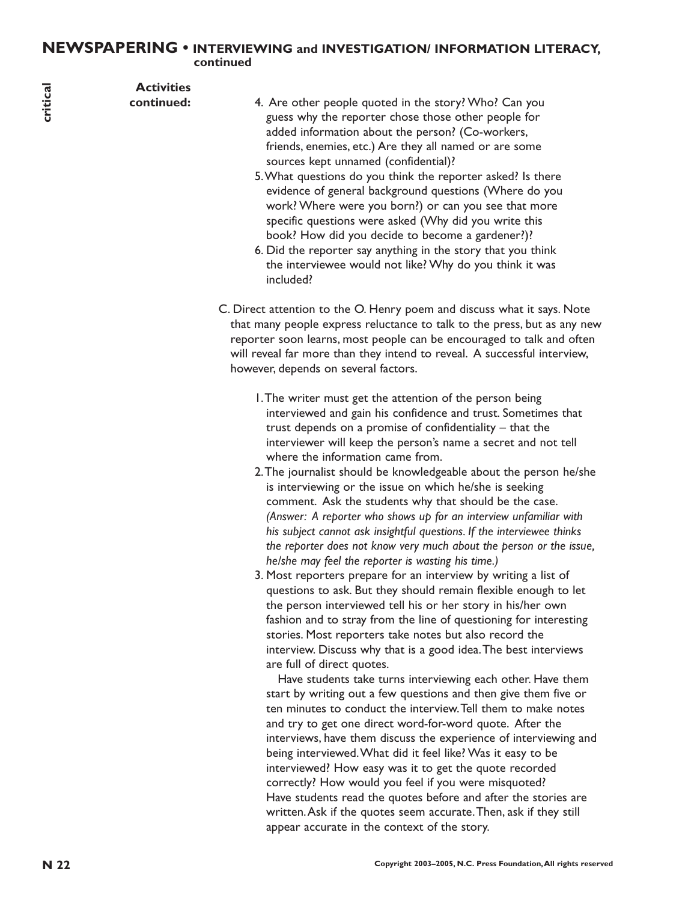# **NEWSPAPERING • INTERVIEWING and INVESTIGATION/ INFORMATION LITERACY, continued**

| critical | <b>Activities</b><br>continued: | 4. Are other people quoted in the story? Who? Can you<br>guess why the reporter chose those other people for<br>added information about the person? (Co-workers,<br>friends, enemies, etc.) Are they all named or are some<br>sources kept unnamed (confidential)?<br>5. What questions do you think the reporter asked? Is there<br>evidence of general background questions (Where do you<br>work? Where were you born?) or can you see that more<br>specific questions were asked (Why did you write this<br>book? How did you decide to become a gardener?)?<br>6. Did the reporter say anything in the story that you think<br>the interviewee would not like? Why do you think it was<br>included?                                                                                                                                                                                                                                                                                                                                                                                                                                                                                                                                                                                                                                                                                                                                                                                                                                                                                                                                                                                                                                                                                                                                                                                                           |
|----------|---------------------------------|--------------------------------------------------------------------------------------------------------------------------------------------------------------------------------------------------------------------------------------------------------------------------------------------------------------------------------------------------------------------------------------------------------------------------------------------------------------------------------------------------------------------------------------------------------------------------------------------------------------------------------------------------------------------------------------------------------------------------------------------------------------------------------------------------------------------------------------------------------------------------------------------------------------------------------------------------------------------------------------------------------------------------------------------------------------------------------------------------------------------------------------------------------------------------------------------------------------------------------------------------------------------------------------------------------------------------------------------------------------------------------------------------------------------------------------------------------------------------------------------------------------------------------------------------------------------------------------------------------------------------------------------------------------------------------------------------------------------------------------------------------------------------------------------------------------------------------------------------------------------------------------------------------------------|
|          |                                 | C. Direct attention to the O. Henry poem and discuss what it says. Note<br>that many people express reluctance to talk to the press, but as any new<br>reporter soon learns, most people can be encouraged to talk and often<br>will reveal far more than they intend to reveal. A successful interview,<br>however, depends on several factors.                                                                                                                                                                                                                                                                                                                                                                                                                                                                                                                                                                                                                                                                                                                                                                                                                                                                                                                                                                                                                                                                                                                                                                                                                                                                                                                                                                                                                                                                                                                                                                   |
|          |                                 | I. The writer must get the attention of the person being<br>interviewed and gain his confidence and trust. Sometimes that<br>trust depends on a promise of confidentiality $-$ that the<br>interviewer will keep the person's name a secret and not tell<br>where the information came from.<br>2. The journalist should be knowledgeable about the person he/she<br>is interviewing or the issue on which he/she is seeking<br>comment. Ask the students why that should be the case.<br>(Answer: A reporter who shows up for an interview unfamiliar with<br>his subject cannot ask insightful questions. If the interviewee thinks<br>the reporter does not know very much about the person or the issue,<br>he/she may feel the reporter is wasting his time.)<br>3. Most reporters prepare for an interview by writing a list of<br>questions to ask. But they should remain flexible enough to let<br>the person interviewed tell his or her story in his/her own<br>fashion and to stray from the line of questioning for interesting<br>stories. Most reporters take notes but also record the<br>interview. Discuss why that is a good idea. The best interviews<br>are full of direct quotes.<br>Have students take turns interviewing each other. Have them<br>start by writing out a few questions and then give them five or<br>ten minutes to conduct the interview. Tell them to make notes<br>and try to get one direct word-for-word quote. After the<br>interviews, have them discuss the experience of interviewing and<br>being interviewed. What did it feel like? Was it easy to be<br>interviewed? How easy was it to get the quote recorded<br>correctly? How would you feel if you were misquoted?<br>Have students read the quotes before and after the stories are<br>written. Ask if the quotes seem accurate. Then, ask if they still<br>appear accurate in the context of the story. |
| N 22     |                                 | Copyright 2003-2005, N.C. Press Foundation, All rights reserved                                                                                                                                                                                                                                                                                                                                                                                                                                                                                                                                                                                                                                                                                                                                                                                                                                                                                                                                                                                                                                                                                                                                                                                                                                                                                                                                                                                                                                                                                                                                                                                                                                                                                                                                                                                                                                                    |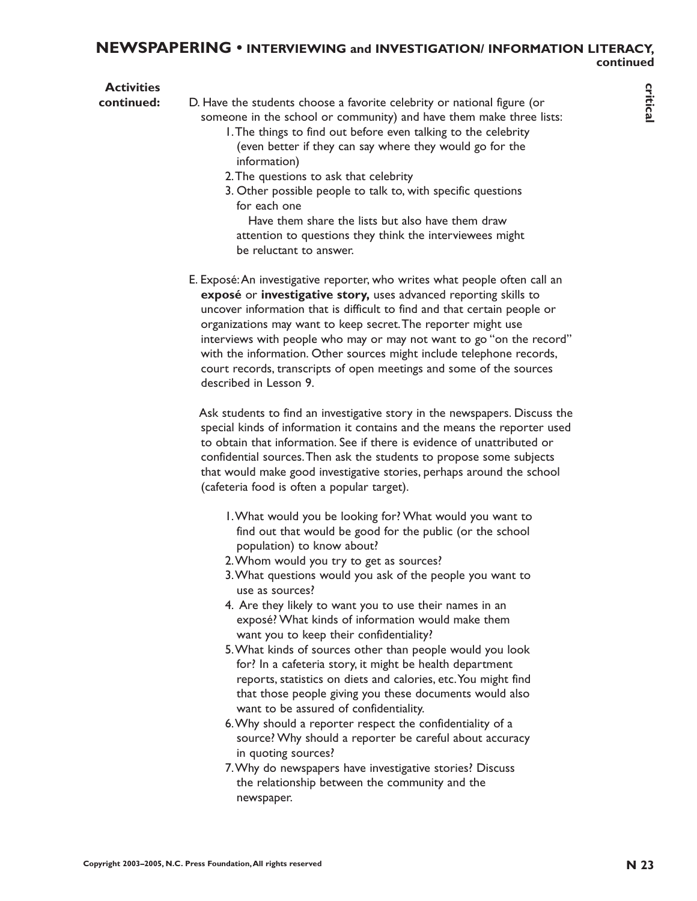#### **NEWSPAPERING • INTERVIEWING and INVESTIGATION/ INFORMATION LITERACY, continued**

**Activities continued:** D. Have the students choose a favorite celebrity or national figure (or someone in the school or community) and have them make three lists: 1.The things to find out before even talking to the celebrity

- (even better if they can say where they would go for the information)
- 2.The questions to ask that celebrity
- 3. Other possible people to talk to, with specific questions for each one

Have them share the lists but also have them draw attention to questions they think the interviewees might be reluctant to answer.

**Continued:** D. Hew the student choose a feworac celebrity or naroonal figure (or signal ratio of the celebration contributes the method in the celebration of the celebration,  $\frac{2}{3}$  (the minimum pair of not student co E. Exposé:An investigative reporter, who writes what people often call an **exposé** or **investigative story,** uses advanced reporting skills to uncover information that is difficult to find and that certain people or organizations may want to keep secret.The reporter might use interviews with people who may or may not want to go "on the record" with the information. Other sources might include telephone records, court records, transcripts of open meetings and some of the sources described in Lesson 9.

Ask students to find an investigative story in the newspapers. Discuss the special kinds of information it contains and the means the reporter used to obtain that information. See if there is evidence of unattributed or confidential sources.Then ask the students to propose some subjects that would make good investigative stories, perhaps around the school (cafeteria food is often a popular target).

- 1.What would you be looking for? What would you want to find out that would be good for the public (or the school population) to know about?
- 2.Whom would you try to get as sources?
- 3.What questions would you ask of the people you want to use as sources?
- 4. Are they likely to want you to use their names in an exposé? What kinds of information would make them want you to keep their confidentiality?
- 5.What kinds of sources other than people would you look for? In a cafeteria story, it might be health department reports, statistics on diets and calories, etc.You might find that those people giving you these documents would also want to be assured of confidentiality.
- 6.Why should a reporter respect the confidentiality of a source? Why should a reporter be careful about accuracy in quoting sources?
- 7.Why do newspapers have investigative stories? Discuss the relationship between the community and the newspaper.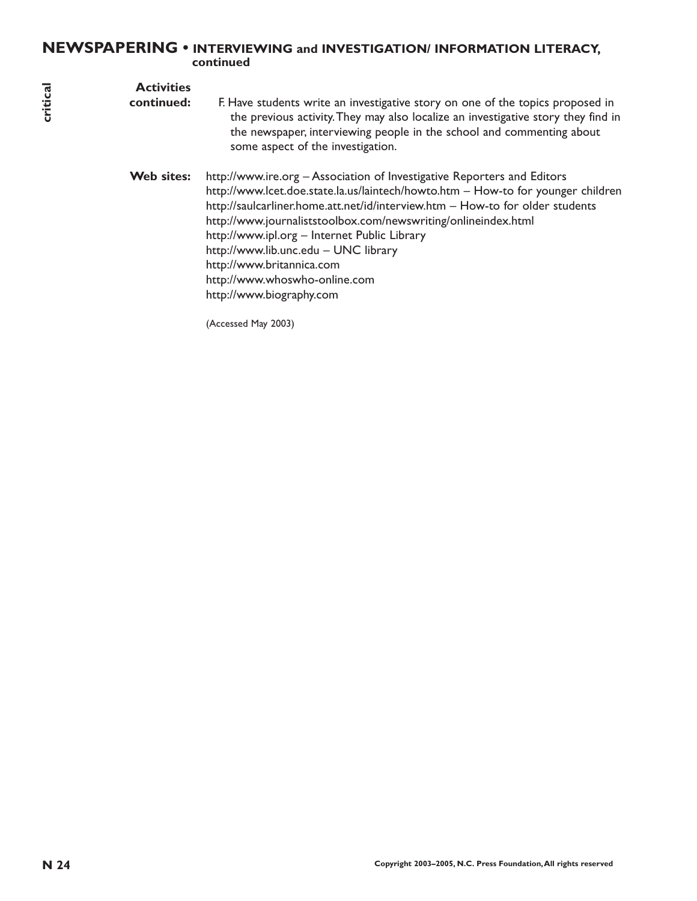# **NEWSPAPERING • INTERVIEWING and INVESTIGATION/ INFORMATION LITERACY, continued**

| critical | <b>Activities</b><br>continued: | F. Have students write an investigative story on one of the topics proposed in<br>the previous activity. They may also localize an investigative story they find in<br>the newspaper, interviewing people in the school and commenting about<br>some aspect of the investigation.                                                                                                                                                                                                                                       |
|----------|---------------------------------|-------------------------------------------------------------------------------------------------------------------------------------------------------------------------------------------------------------------------------------------------------------------------------------------------------------------------------------------------------------------------------------------------------------------------------------------------------------------------------------------------------------------------|
|          | Web sites:                      | http://www.ire.org - Association of Investigative Reporters and Editors<br>http://www.lcet.doe.state.la.us/laintech/howto.htm - How-to for younger children<br>http://saulcarliner.home.att.net/id/interview.htm - How-to for older students<br>http://www.journaliststoolbox.com/newswriting/onlineindex.html<br>http://www.ipl.org - Internet Public Library<br>http://www.lib.unc.edu - UNC library<br>http://www.britannica.com<br>http://www.whoswho-online.com<br>http://www.biography.com<br>(Accessed May 2003) |
|          |                                 |                                                                                                                                                                                                                                                                                                                                                                                                                                                                                                                         |
|          |                                 |                                                                                                                                                                                                                                                                                                                                                                                                                                                                                                                         |
|          |                                 |                                                                                                                                                                                                                                                                                                                                                                                                                                                                                                                         |
| N 24     |                                 | Copyright 2003-2005, N.C. Press Foundation, All rights reserved                                                                                                                                                                                                                                                                                                                                                                                                                                                         |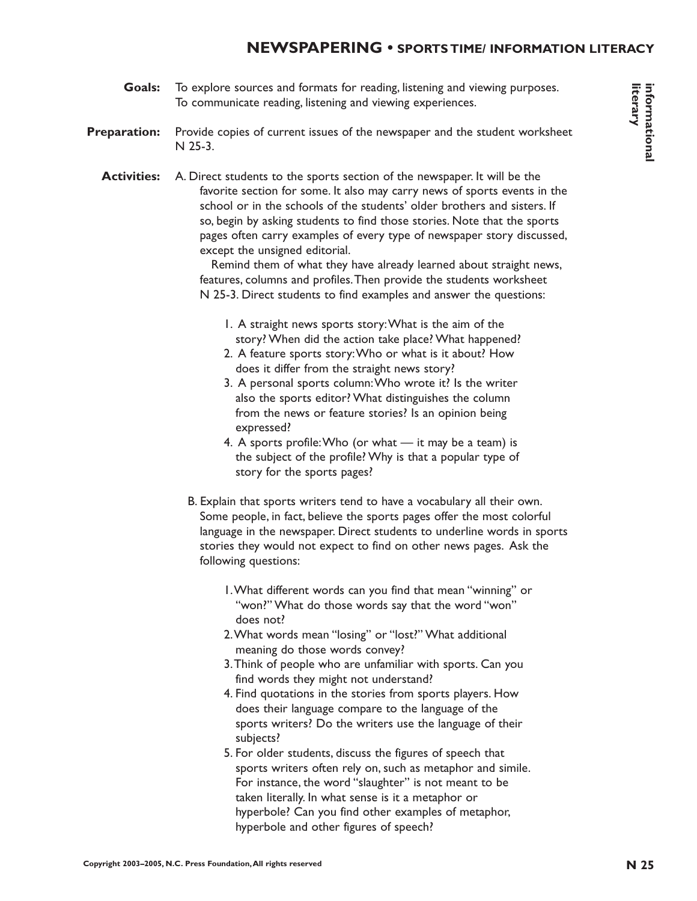# **NEWSPAPERING • SPORTS TIME/ INFORMATION LITERACY**

**Goals:** To explore sources and formats for reading, listening and viewing purposes. To communicate reading, listening and viewing experiences.

#### **Preparation:** Provide copies of current issues of the newspaper and the student worksheet N 25-3.

**Conder To expect control of the interary and interary the control of the two-paper interary and the studient worse have the pressure and the studient worse have the studient worse have the studient worse of the two-paper Activities:** A. Direct students to the sports section of the newspaper. It will be the favorite section for some. It also may carry news of sports events in the school or in the schools of the students' older brothers and sisters. If so, begin by asking students to find those stories. Note that the sports pages often carry examples of every type of newspaper story discussed, except the unsigned editorial.

Remind them of what they have already learned about straight news, features, columns and profiles.Then provide the students worksheet N 25-3. Direct students to find examples and answer the questions:

- 1. A straight news sports story:What is the aim of the story? When did the action take place? What happened?
- 2. A feature sports story:Who or what is it about? How does it differ from the straight news story?
- 3. A personal sports column:Who wrote it? Is the writer also the sports editor? What distinguishes the column from the news or feature stories? Is an opinion being expressed?
- 4. A sports profile: Who (or what  $-$  it may be a team) is the subject of the profile? Why is that a popular type of story for the sports pages?
- B. Explain that sports writers tend to have a vocabulary all their own. Some people, in fact, believe the sports pages offer the most colorful language in the newspaper. Direct students to underline words in sports stories they would not expect to find on other news pages. Ask the following questions:
	- 1.What different words can you find that mean "winning" or "won?" What do those words say that the word "won" does not?
	- 2.What words mean "losing" or "lost?" What additional meaning do those words convey?
	- 3.Think of people who are unfamiliar with sports. Can you find words they might not understand?
	- 4. Find quotations in the stories from sports players. How does their language compare to the language of the sports writers? Do the writers use the language of their subjects?
	- 5. For older students, discuss the figures of speech that sports writers often rely on, such as metaphor and simile. For instance, the word "slaughter" is not meant to be taken literally. In what sense is it a metaphor or hyperbole? Can you find other examples of metaphor, hyperbole and other figures of speech?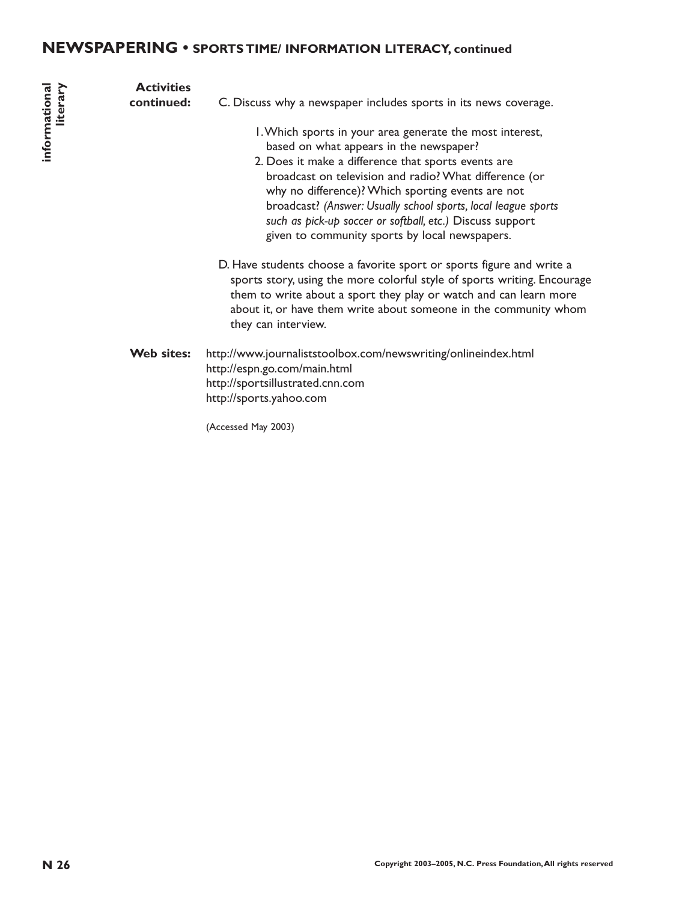# **NEWSPAPERING • SPORTS TIME/ INFORMATION LITERACY, continued**

| informational<br>literary | <b>Activities</b><br>continued: | C. Discuss why a newspaper includes sports in its news coverage.<br>I. Which sports in your area generate the most interest,<br>based on what appears in the newspaper?<br>2. Does it make a difference that sports events are<br>broadcast on television and radio? What difference (or<br>why no difference)? Which sporting events are not<br>broadcast? (Answer: Usually school sports, local league sports<br>such as pick-up soccer or softball, etc.) Discuss support<br>given to community sports by local newspapers.<br>D. Have students choose a favorite sport or sports figure and write a<br>sports story, using the more colorful style of sports writing. Encourage<br>them to write about a sport they play or watch and can learn more<br>about it, or have them write about someone in the community whom |
|---------------------------|---------------------------------|------------------------------------------------------------------------------------------------------------------------------------------------------------------------------------------------------------------------------------------------------------------------------------------------------------------------------------------------------------------------------------------------------------------------------------------------------------------------------------------------------------------------------------------------------------------------------------------------------------------------------------------------------------------------------------------------------------------------------------------------------------------------------------------------------------------------------|
|                           | Web sites:                      | they can interview.<br>http://www.journaliststoolbox.com/newswriting/onlineindex.html<br>http://espn.go.com/main.html<br>http://sportsillustrated.cnn.com<br>http://sports.yahoo.com<br>(Accessed May 2003)                                                                                                                                                                                                                                                                                                                                                                                                                                                                                                                                                                                                                  |
| N 26                      |                                 | Copyright 2003-2005, N.C. Press Foundation, All rights reserved                                                                                                                                                                                                                                                                                                                                                                                                                                                                                                                                                                                                                                                                                                                                                              |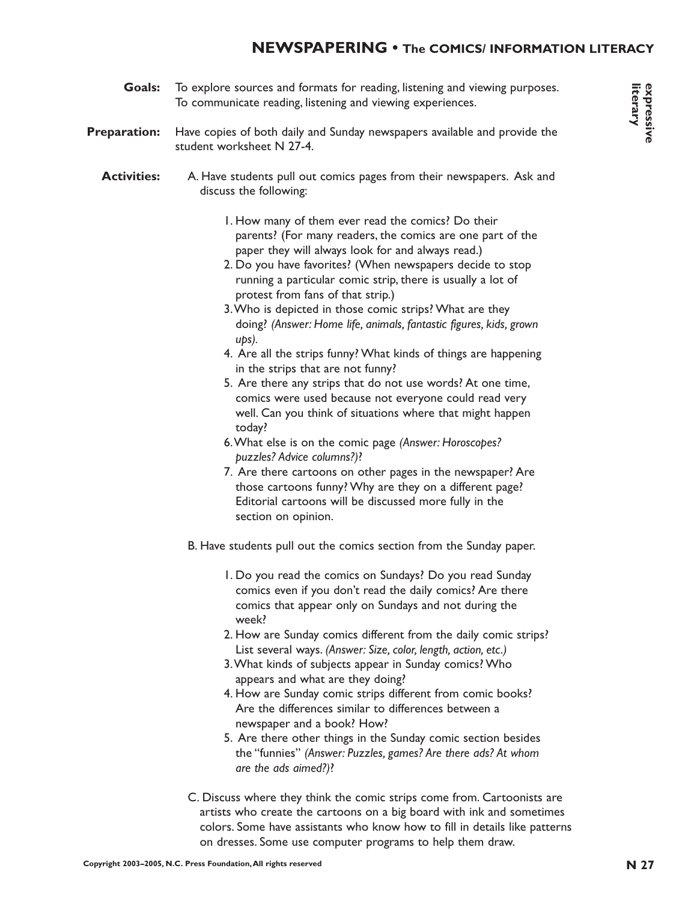# **NEWSPAPERING • The COMICS/ INFORMATION LITERACY**

**Goals:** To explore sources and formats for reading, listening and viewing purposes. To communicate reading, listening and viewing experiences.

#### **Preparation:** Have copies of both daily and Sunday newspapers available and provide the student worksheet N 27-4.

#### **Activities:** A. Have students pull out comics pages from their newspapers. Ask and discuss the following:

- 1. How many of them ever read the comics? Do their parents? (For many readers, the comics are one part of the paper they will always look for and always read.)
- 2. Do you have favorites? (When newspapers decide to stop running a particular comic strip, there is usually a lot of protest from fans of that strip.)
- 3.Who is depicted in those comic strips? What are they doing? *(Answer: Home life, animals, fantastic figures, kids, grown ups).*
- 4. Are all the strips funny? What kinds of things are happening in the strips that are not funny?
- 5. Are there any strips that do not use words? At one time, comics were used because not everyone could read very well. Can you think of situations where that might happen today?
- 6.What else is on the comic page *(Answer: Horoscopes? puzzles? Advice columns?)*?
- 7. Are there cartoons on other pages in the newspaper? Are those cartoons funny? Why are they on a different page? Editorial cartoons will be discussed more fully in the section on opinion.
- B. Have students pull out the comics section from the Sunday paper.
	- 1. Do you read the comics on Sundays? Do you read Sunday comics even if you don't read the daily comics? Are there comics that appear only on Sundays and not during the week?
	- 2. How are Sunday comics different from the daily comic strips? List several ways. *(Answer: Size, color, length, action, etc.)*
	- 3.What kinds of subjects appear in Sunday comics? Who appears and what are they doing?
	- 4. How are Sunday comic strips different from comic books? Are the differences similar to differences between a newspaper and a book? How?
	- 5. Are there other things in the Sunday comic section besides the "funnies" *(Answer: Puzzles, games? Are there ads? At whom are the ads aimed?)*?
- C. Discuss where they think the comic strips come from. Cartoonists are artists who create the cartoons on a big board with ink and sometimes colors. Some have assistants who know how to fill in details like patterns on dresses. Some use computer programs to help them draw.

**expressive literary**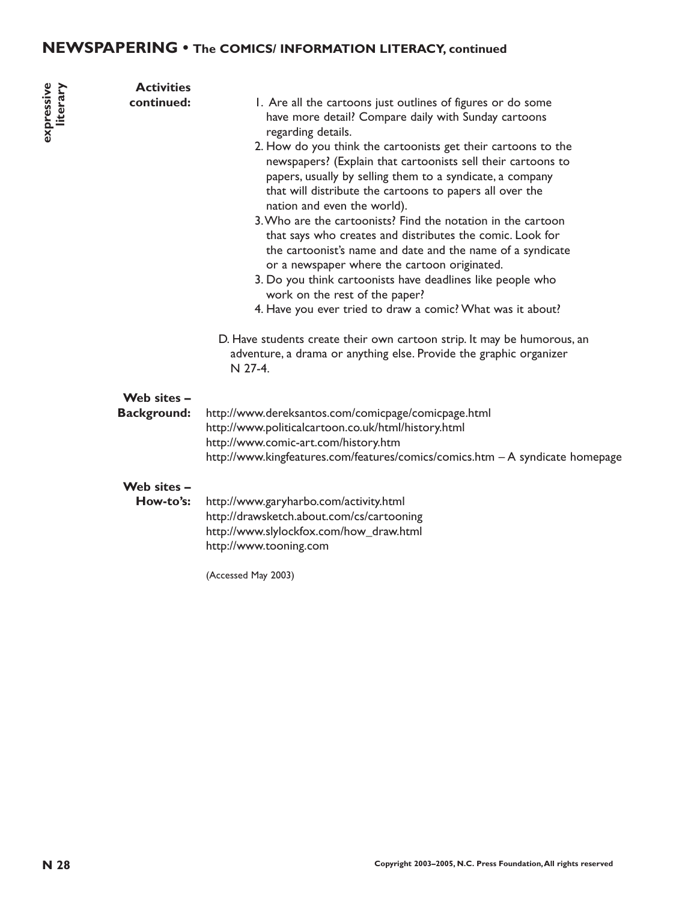# **NEWSPAPERING • The COMICS/ INFORMATION LITERACY, continued**

| expressive<br>literary | <b>Activities</b><br>continued:   | I. Are all the cartoons just outlines of figures or do some<br>have more detail? Compare daily with Sunday cartoons<br>regarding details.<br>2. How do you think the cartoonists get their cartoons to the<br>newspapers? (Explain that cartoonists sell their cartoons to<br>papers, usually by selling them to a syndicate, a company<br>that will distribute the cartoons to papers all over the<br>nation and even the world).<br>3. Who are the cartoonists? Find the notation in the cartoon<br>that says who creates and distributes the comic. Look for<br>the cartoonist's name and date and the name of a syndicate<br>or a newspaper where the cartoon originated.<br>3. Do you think cartoonists have deadlines like people who<br>work on the rest of the paper?<br>4. Have you ever tried to draw a comic? What was it about?<br>D. Have students create their own cartoon strip. It may be humorous, an<br>adventure, a drama or anything else. Provide the graphic organizer<br>N 27-4. |
|------------------------|-----------------------------------|---------------------------------------------------------------------------------------------------------------------------------------------------------------------------------------------------------------------------------------------------------------------------------------------------------------------------------------------------------------------------------------------------------------------------------------------------------------------------------------------------------------------------------------------------------------------------------------------------------------------------------------------------------------------------------------------------------------------------------------------------------------------------------------------------------------------------------------------------------------------------------------------------------------------------------------------------------------------------------------------------------|
|                        | Web sites -<br><b>Background:</b> | http://www.dereksantos.com/comicpage/comicpage.html<br>http://www.politicalcartoon.co.uk/html/history.html<br>http://www.comic-art.com/history.htm<br>http://www.kingfeatures.com/features/comics/comics.htm - A syndicate homepage                                                                                                                                                                                                                                                                                                                                                                                                                                                                                                                                                                                                                                                                                                                                                                     |
|                        | Web sites -<br>How-to's:          | http://www.garyharbo.com/activity.html<br>http://drawsketch.about.com/cs/cartooning<br>http://www.slylockfox.com/how_draw.html<br>http://www.tooning.com                                                                                                                                                                                                                                                                                                                                                                                                                                                                                                                                                                                                                                                                                                                                                                                                                                                |

(Accessed May 2003)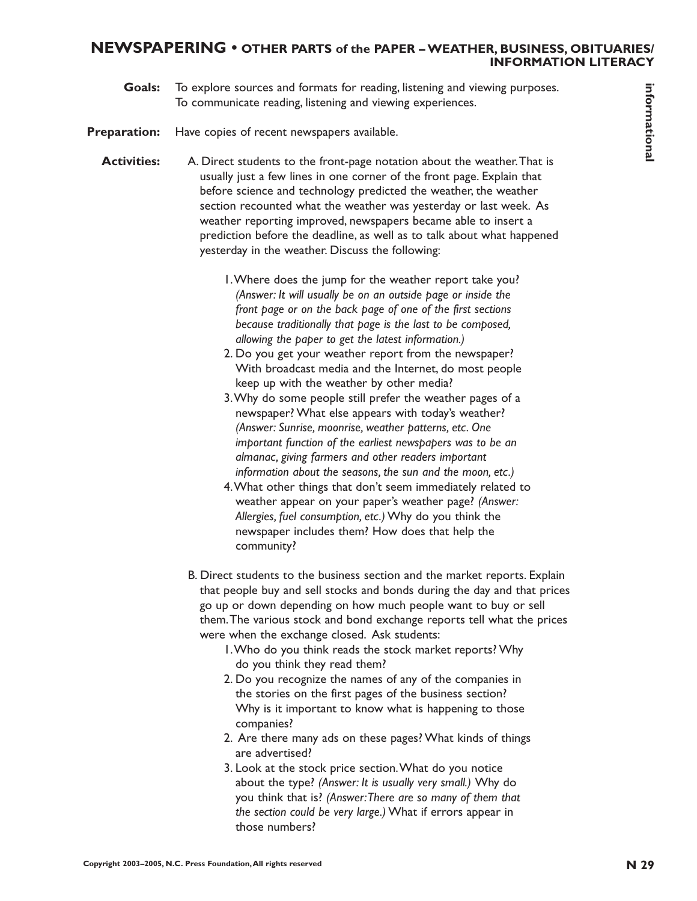#### **NEWSPAPERING • OTHER PARTS of the PAPER – WEATHER, BUSINESS, OBITUARIES/ INFORMATION LITERACY**

**Goals:** To explore sources and formats for reading, listening and viewing purposes. To communicate reading, listening and viewing experiences.

**Preparation:** Have copies of recent newspapers available.

- **Conder** To explore sources and formation process Foundation in the weather. The copyright and the state of the state of the state of the state of the state of the state of the state of the state of the state of the state **Activities:** A. Direct students to the front-page notation about the weather.That is usually just a few lines in one corner of the front page. Explain that before science and technology predicted the weather, the weather section recounted what the weather was yesterday or last week. As weather reporting improved, newspapers became able to insert a prediction before the deadline, as well as to talk about what happened yesterday in the weather. Discuss the following:
	- 1.Where does the jump for the weather report take you? *(Answer: It will usually be on an outside page or inside the front page or on the back page of one of the first sections because traditionally that page is the last to be composed, allowing the paper to get the latest information.)*
	- 2. Do you get your weather report from the newspaper? With broadcast media and the Internet, do most people keep up with the weather by other media?
	- 3.Why do some people still prefer the weather pages of a newspaper? What else appears with today's weather? *(Answer: Sunrise, moonrise, weather patterns, etc. One important function of the earliest newspapers was to be an almanac, giving farmers and other readers important information about the seasons, the sun and the moon, etc.)*
	- 4.What other things that don't seem immediately related to weather appear on your paper's weather page? *(Answer: Allergies, fuel consumption, etc.)* Why do you think the newspaper includes them? How does that help the community?
	- B. Direct students to the business section and the market reports. Explain that people buy and sell stocks and bonds during the day and that prices go up or down depending on how much people want to buy or sell them.The various stock and bond exchange reports tell what the prices were when the exchange closed. Ask students:
		- 1.Who do you think reads the stock market reports? Why do you think they read them?
		- 2. Do you recognize the names of any of the companies in the stories on the first pages of the business section? Why is it important to know what is happening to those companies?
		- 2. Are there many ads on these pages? What kinds of things are advertised?
		- 3. Look at the stock price section.What do you notice about the type? *(Answer: It is usually very small.)* Why do you think that is? *(Answer:There are so many of them that the section could be very large.)* What if errors appear in those numbers?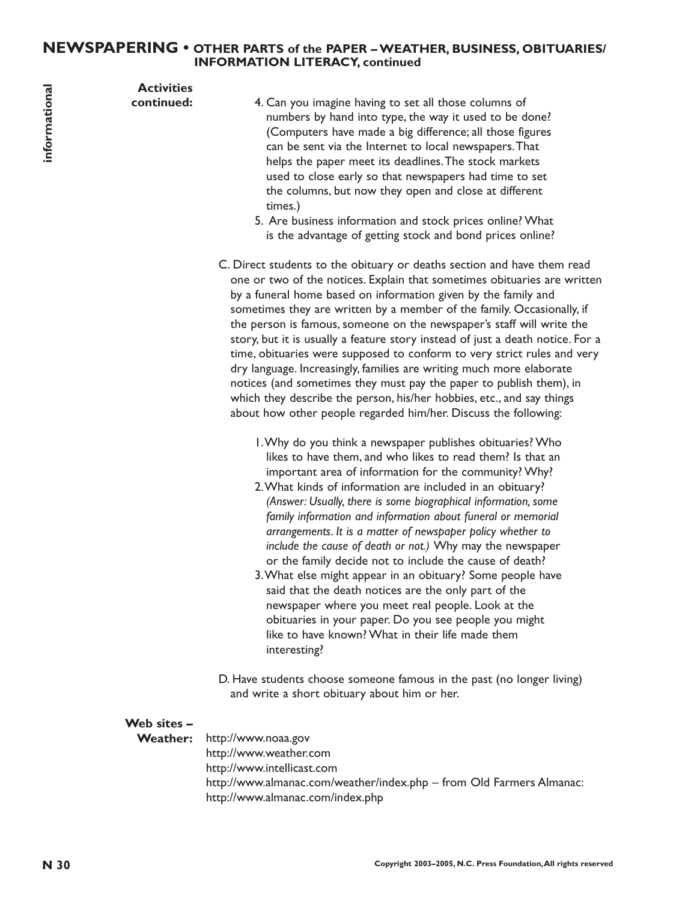#### **NEWSPAPERING • OTHER PARTS of the PAPER – WEATHER, BUSINESS, OBITUARIES/ INFORMATION LITERACY, continued**

**Activities**

**continued:**

- 4. Can you imagine having to set all those columns of numbers by hand into type, the way it used to be done? (Computers have made a big difference; all those figures can be sent via the Internet to local newspapers.That helps the paper meet its deadlines.The stock markets used to close early so that newspapers had time to set the columns, but now they open and close at different times.)
- 5. Are business information and stock prices online? What is the advantage of getting stock and bond prices online?
- C. Direct students to the obituary or deaths section and have them read one or two of the notices. Explain that sometimes obituaries are written by a funeral home based on information given by the family and sometimes they are written by a member of the family. Occasionally, if the person is famous, someone on the newspaper's staff will write the story, but it is usually a feature story instead of just a death notice. For a time, obituaries were supposed to conform to very strict rules and very dry language. Increasingly, families are writing much more elaborate notices (and sometimes they must pay the paper to publish them), in which they describe the person, his/her hobbies, etc., and say things about how other people regarded him/her. Discuss the following:
	- 1.Why do you think a newspaper publishes obituaries? Who likes to have them, and who likes to read them? Is that an important area of information for the community? Why?
	- 2.What kinds of information are included in an obituary? *(Answer: Usually, there is some biographical information, some family information and information about funeral or memorial arrangements. It is a matter of newspaper policy whether to include the cause of death or not.)* Why may the newspaper or the family decide not to include the cause of death?
	- 3.What else might appear in an obituary? Some people have said that the death notices are the only part of the newspaper where you meet real people. Look at the obituaries in your paper. Do you see people you might like to have known? What in their life made them interesting?
- D. Have students choose someone famous in the past (no longer living) and write a short obituary about him or her.

#### **Web sites –**

**Weather:** http://www.noaa.gov http://www.weather.com http://www.intellicast.com http://www.almanac.com/weather/index.php – from Old Farmers Almanac: http://www.almanac.com/index.php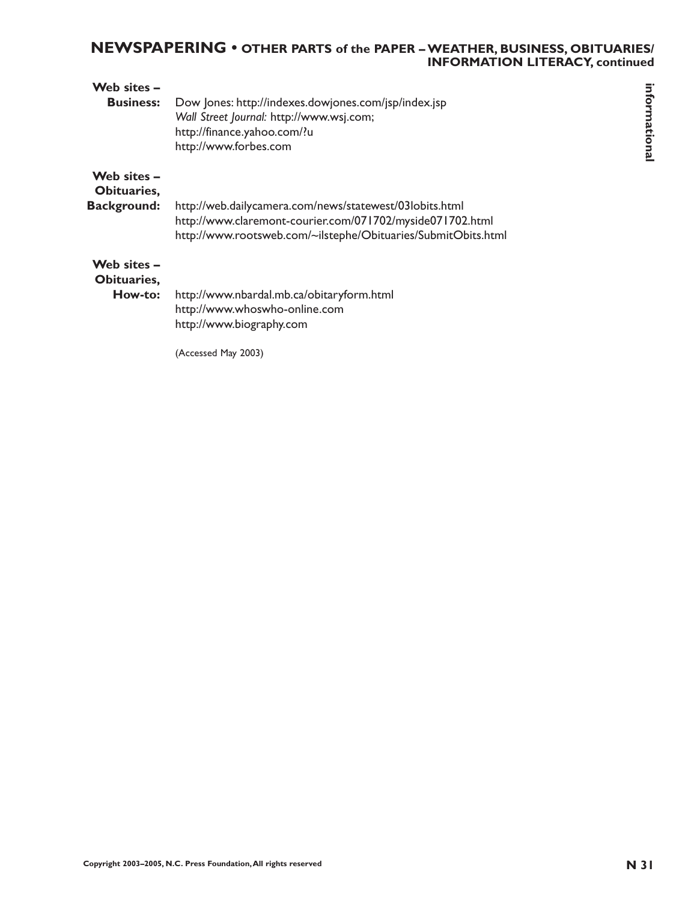# **NEWSPAPERING • OTHER PARTS of the PAPER – WEATHER, BUSINESS, OBITUARIES/ INFORMATION LITERACY, continued**

| Web sites -<br><b>Business:</b>                  | Dow Jones: http://indexes.dowjones.com/jsp/index.jsp<br>Wall Street Journal: http://www.wsj.com;<br>http://finance.yahoo.com/?u<br>http://www.forbes.com                              | informational |
|--------------------------------------------------|---------------------------------------------------------------------------------------------------------------------------------------------------------------------------------------|---------------|
| Web sites -<br>Obituaries,<br><b>Background:</b> | http://web.dailycamera.com/news/statewest/03lobits.html<br>http://www.claremont-courier.com/071702/myside071702.html<br>http://www.rootsweb.com/~ilstephe/Obituaries/SubmitObits.html |               |
| Web sites -<br>Obituaries,<br>How-to:            | http://www.nbardal.mb.ca/obitaryform.html<br>http://www.whoswho-online.com<br>http://www.biography.com<br>(Accessed May 2003)                                                         |               |
|                                                  | Copyright 2003-2005, N.C. Press Foundation, All rights reserved                                                                                                                       | <b>N31</b>    |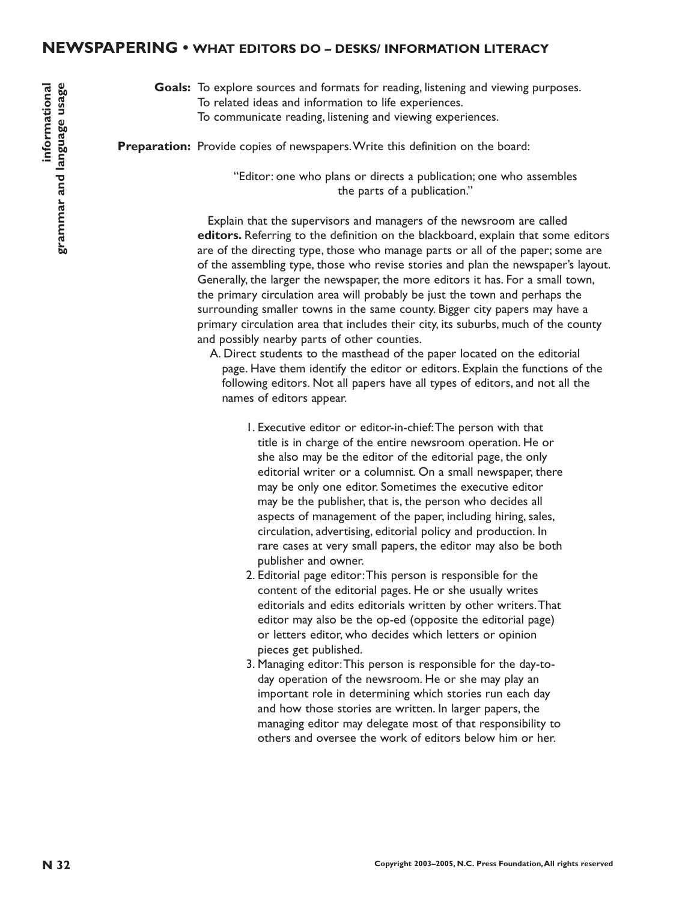#### **Goals:** To explore sources and formats for reading, listening and viewing purposes. To related ideas and information to life experiences. To communicate reading, listening and viewing experiences.

Preparation: Provide copies of newspapers. Write this definition on the board:

"Editor: one who plans or directs a publication; one who assembles the parts of a publication."

**N 32 Colairs contrast for restring for another stating experiments.** To explore the comparation term in the comparation of the supervisors of the comparation in the comparation of the supervisors of the denter stating c Explain that the supervisors and managers of the newsroom are called **editors.** Referring to the definition on the blackboard, explain that some editors are of the directing type, those who manage parts or all of the paper; some are of the assembling type, those who revise stories and plan the newspaper's layout. Generally, the larger the newspaper, the more editors it has. For a small town, the primary circulation area will probably be just the town and perhaps the surrounding smaller towns in the same county. Bigger city papers may have a primary circulation area that includes their city, its suburbs, much of the county and possibly nearby parts of other counties.

- A. Direct students to the masthead of the paper located on the editorial page. Have them identify the editor or editors. Explain the functions of the following editors. Not all papers have all types of editors, and not all the names of editors appear.
	- 1. Executive editor or editor-in-chief:The person with that title is in charge of the entire newsroom operation. He or she also may be the editor of the editorial page, the only editorial writer or a columnist. On a small newspaper, there may be only one editor. Sometimes the executive editor may be the publisher, that is, the person who decides all aspects of management of the paper, including hiring, sales, circulation, advertising, editorial policy and production. In rare cases at very small papers, the editor may also be both publisher and owner.
	- 2. Editorial page editor:This person is responsible for the content of the editorial pages. He or she usually writes editorials and edits editorials written by other writers.That editor may also be the op-ed (opposite the editorial page) or letters editor, who decides which letters or opinion pieces get published.
	- 3. Managing editor:This person is responsible for the day-today operation of the newsroom. He or she may play an important role in determining which stories run each day and how those stories are written. In larger papers, the managing editor may delegate most of that responsibility to others and oversee the work of editors below him or her.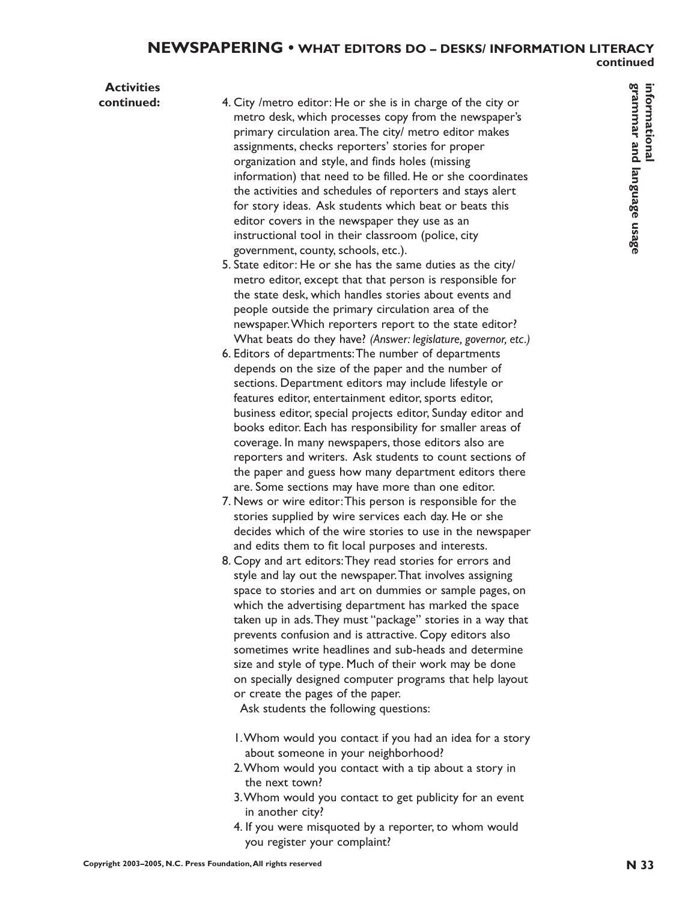# **Activities**

- **Copyrighton, detect**: How or show in charges of the dry or<br>privary colonistic area. The copyright and second and the driver matrix are educated in the second and the second and the second and language usage usage in the **continued:** 4. City /metro editor: He or she is in charge of the city or metro desk, which processes copy from the newspaper's primary circulation area.The city/ metro editor makes assignments, checks reporters' stories for proper organization and style, and finds holes (missing information) that need to be filled. He or she coordinates the activities and schedules of reporters and stays alert for story ideas. Ask students which beat or beats this editor covers in the newspaper they use as an instructional tool in their classroom (police, city government, county, schools, etc.).
	- 5. State editor: He or she has the same duties as the city/ metro editor, except that that person is responsible for the state desk, which handles stories about events and people outside the primary circulation area of the newspaper.Which reporters report to the state editor? What beats do they have? *(Answer: legislature, governor, etc.)*
	- 6. Editors of departments:The number of departments depends on the size of the paper and the number of sections. Department editors may include lifestyle or features editor, entertainment editor, sports editor, business editor, special projects editor, Sunday editor and books editor. Each has responsibility for smaller areas of coverage. In many newspapers, those editors also are reporters and writers. Ask students to count sections of the paper and guess how many department editors there are. Some sections may have more than one editor.
	- 7. News or wire editor:This person is responsible for the stories supplied by wire services each day. He or she decides which of the wire stories to use in the newspaper and edits them to fit local purposes and interests.
	- 8. Copy and art editors:They read stories for errors and style and lay out the newspaper.That involves assigning space to stories and art on dummies or sample pages, on which the advertising department has marked the space taken up in ads.They must "package" stories in a way that prevents confusion and is attractive. Copy editors also sometimes write headlines and sub-heads and determine size and style of type. Much of their work may be done on specially designed computer programs that help layout or create the pages of the paper.

Ask students the following questions:

- 1.Whom would you contact if you had an idea for a story about someone in your neighborhood?
- 2.Whom would you contact with a tip about a story in the next town?
- 3.Whom would you contact to get publicity for an event in another city?
- 4. If you were misquoted by a reporter, to whom would you register your complaint?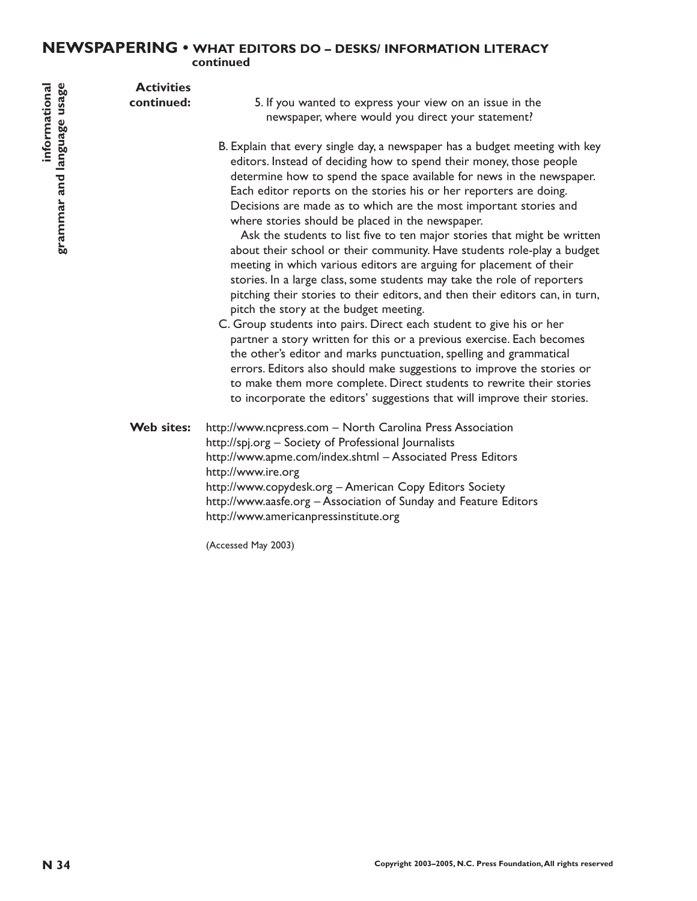# **NEWSPAPERING • WHAT EDITORS DO – DESKS/ INFORMATION LITERACY continued**

**Activities continued:**

5. If you wanted to express your view on an issue in the newspaper, where would you direct your statement?

B. Explain that every single day, a newspaper has a budget meeting with key editors. Instead of deciding how to spend their money, those people determine how to spend the space available for news in the newspaper. Each editor reports on the stories his or her reporters are doing. Decisions are made as to which are the most important stories and where stories should be placed in the newspaper.

Ask the students to list five to ten major stories that might be written about their school or their community. Have students role-play a budget meeting in which various editors are arguing for placement of their stories. In a large class, some students may take the role of reporters pitching their stories to their editors, and then their editors can, in turn, pitch the story at the budget meeting.

C. Group students into pairs. Direct each student to give his or her partner a story written for this or a previous exercise. Each becomes the other's editor and marks punctuation, spelling and grammatical errors. Editors also should make suggestions to improve the stories or to make them more complete. Direct students to rewrite their stories to incorporate the editors' suggestions that will improve their stories.

**N Continued:** 5. If you wanted to express your view on an issue in the contribute of the collapted provide properties and language users Foundation in the server press Foundation in the server of the server in the serve **Web sites:** http://www.ncpress.com – North Carolina Press Association http://spj.org – Society of Professional Journalists http://www.apme.com/index.shtml – Associated Press Editors http://www.ire.org http://www.copydesk.org – American Copy Editors Society http://www.aasfe.org – Association of Sunday and Feature Editors http://www.americanpressinstitute.org

(Accessed May 2003)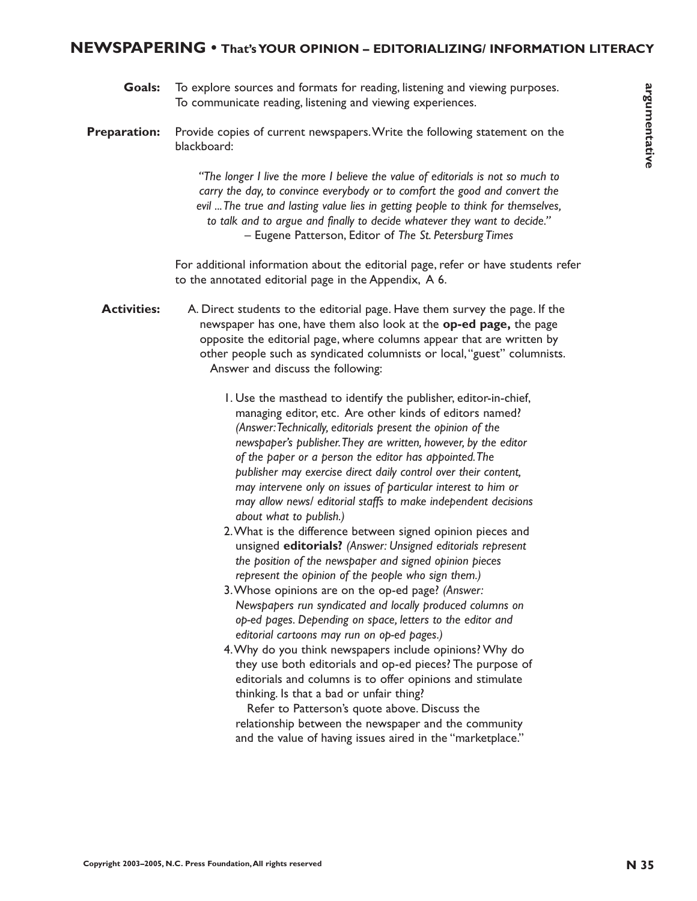- **Goals:** To explore sources and formats for reading, listening and viewing purposes. To communicate reading, listening and viewing experiences.
- **Preparation:** Provide copies of current newspapers.Write the following statement on the blackboard:

*"The longer I live the more I believe the value of editorials is not so much to carry the day, to convince everybody or to comfort the good and convert the evil ...The true and lasting value lies in getting people to think for themselves, to talk and to argue and finally to decide whatever they want to decide."* – Eugene Patterson, Editor of *The St. Petersburg Times*

For additional information about the editorial page, refer or have students refer to the annotated editorial page in the Appendix, A 6.

- **Activities:** A. Direct students to the editorial page. Have them survey the page. If the newspaper has one, have them also look at the **op-ed page,** the page opposite the editorial page, where columns appear that are written by other people such as syndicated columnists or local,"guest" columnists. Answer and discuss the following:
- **Coales** To explore sources and formulation for example, literating and viewing perposite.<br> **Preparation**: Provide copies of current newspaper. Write the following transmitten on the the state of state of the more *i* betw 1. Use the masthead to identify the publisher, editor-in-chief, managing editor, etc. Are other kinds of editors named? *(Answer:Technically, editorials present the opinion of the newspaper's publisher.They are written, however, by the editor of the paper or a person the editor has appointed.The publisher may exercise direct daily control over their content, may intervene only on issues of particular interest to him or may allow news/ editorial staffs to make independent decisions about what to publish.)*
	- 2.What is the difference between signed opinion pieces and unsigned **editorials?** *(Answer: Unsigned editorials represent the position of the newspaper and signed opinion pieces represent the opinion of the people who sign them.)*
	- 3.Whose opinions are on the op-ed page? *(Answer: Newspapers run syndicated and locally produced columns on op-ed pages. Depending on space, letters to the editor and editorial cartoons may run on op-ed pages.)*
	- 4.Why do you think newspapers include opinions? Why do they use both editorials and op-ed pieces? The purpose of editorials and columns is to offer opinions and stimulate thinking. Is that a bad or unfair thing?

Refer to Patterson's quote above. Discuss the relationship between the newspaper and the community and the value of having issues aired in the "marketplace."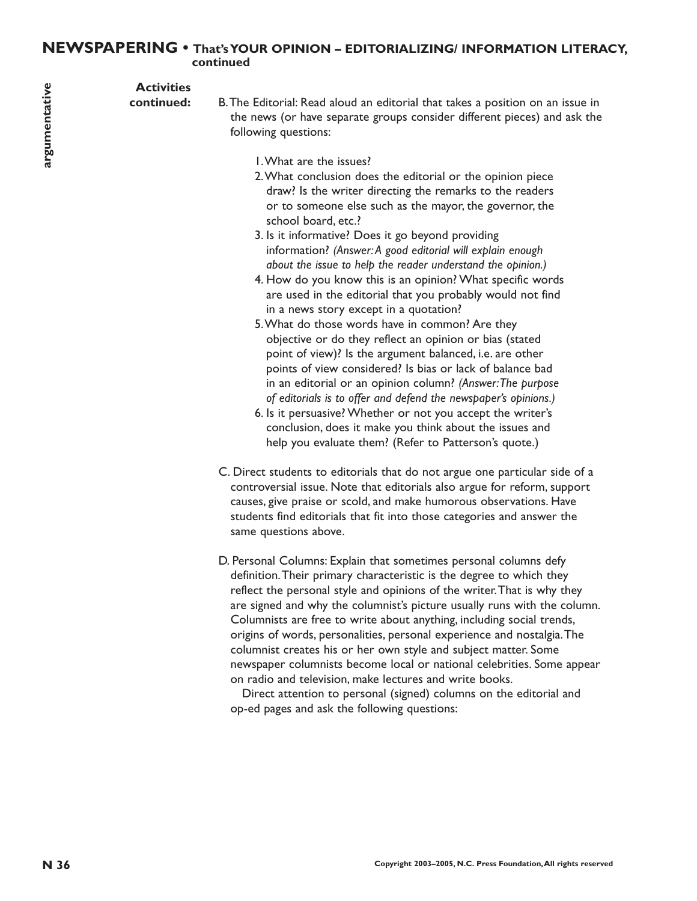# **NEWSPAPERING • That's YOUR OPINION – EDITORIALIZING/ INFORMATION LITERACY, continued**

**Activities**

**continued:** B.The Editorial: Read aloud an editorial that takes a position on an issue in the news (or have separate groups consider different pieces) and ask the following questions:

- 1.What are the issues?
- 2.What conclusion does the editorial or the opinion piece draw? Is the writer directing the remarks to the readers or to someone else such as the mayor, the governor, the school board, etc.?
- 3. Is it informative? Does it go beyond providing information? *(Answer:A good editorial will explain enough about the issue to help the reader understand the opinion.)*
- 4. How do you know this is an opinion? What specific words are used in the editorial that you probably would not find in a news story except in a quotation?
- 5.What do those words have in common? Are they objective or do they reflect an opinion or bias (stated point of view)? Is the argument balanced, i.e. are other points of view considered? Is bias or lack of balance bad in an editorial or an opinion column? *(Answer:The purpose of editorials is to offer and defend the newspaper's opinions.)*
- 6. Is it persuasive? Whether or not you accept the writer's conclusion, does it make you think about the issues and help you evaluate them? (Refer to Patterson's quote.)
- C. Direct students to editorials that do not argue one particular side of a controversial issue. Note that editorials also argue for reform, support causes, give praise or scold, and make humorous observations. Have students find editorials that fit into those categories and answer the same questions above.
- **Activities**<br> **N Control** content in the same of the same of the same of the same of the same of the same of the same of the same of the same of the same of the same of the same of the same of the same of the same of the D. Personal Columns: Explain that sometimes personal columns defy definition.Their primary characteristic is the degree to which they reflect the personal style and opinions of the writer.That is why they are signed and why the columnist's picture usually runs with the column. Columnists are free to write about anything, including social trends, origins of words, personalities, personal experience and nostalgia.The columnist creates his or her own style and subject matter. Some newspaper columnists become local or national celebrities. Some appear on radio and television, make lectures and write books.

Direct attention to personal (signed) columns on the editorial and op-ed pages and ask the following questions: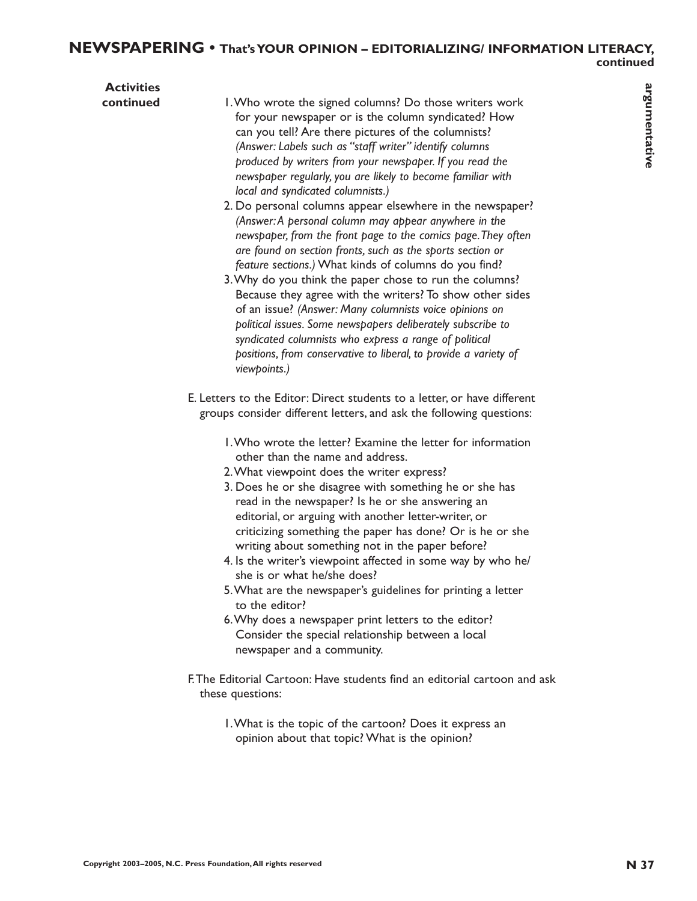| <b>Activities</b><br>continued | I. Who wrote the signed columns? Do those writers work                                                                                                                                                                                                                                                                                                                                                                                                                                                                                                                                                                                                                                                                                                                                                                                         |               |
|--------------------------------|------------------------------------------------------------------------------------------------------------------------------------------------------------------------------------------------------------------------------------------------------------------------------------------------------------------------------------------------------------------------------------------------------------------------------------------------------------------------------------------------------------------------------------------------------------------------------------------------------------------------------------------------------------------------------------------------------------------------------------------------------------------------------------------------------------------------------------------------|---------------|
|                                | for your newspaper or is the column syndicated? How<br>can you tell? Are there pictures of the columnists?<br>(Answer: Labels such as "staff writer" identify columns<br>produced by writers from your newspaper. If you read the<br>newspaper regularly, you are likely to become familiar with<br>local and syndicated columnists.)                                                                                                                                                                                                                                                                                                                                                                                                                                                                                                          | argumentative |
|                                | 2. Do personal columns appear elsewhere in the newspaper?<br>(Answer: A personal column may appear anywhere in the<br>newspaper, from the front page to the comics page. They often<br>are found on section fronts, such as the sports section or<br>feature sections.) What kinds of columns do you find?<br>3. Why do you think the paper chose to run the columns?<br>Because they agree with the writers? To show other sides<br>of an issue? (Answer: Many columnists voice opinions on<br>political issues. Some newspapers deliberately subscribe to<br>syndicated columnists who express a range of political<br>positions, from conservative to liberal, to provide a variety of<br>viewpoints.)                                                                                                                                      |               |
|                                | E. Letters to the Editor: Direct students to a letter, or have different<br>groups consider different letters, and ask the following questions:                                                                                                                                                                                                                                                                                                                                                                                                                                                                                                                                                                                                                                                                                                |               |
|                                | I. Who wrote the letter? Examine the letter for information<br>other than the name and address.<br>2. What viewpoint does the writer express?<br>3. Does he or she disagree with something he or she has<br>read in the newspaper? Is he or she answering an<br>editorial, or arguing with another letter-writer, or<br>criticizing something the paper has done? Or is he or she<br>writing about something not in the paper before?<br>4. Is the writer's viewpoint affected in some way by who he/<br>she is or what he/she does?<br>5. What are the newspaper's guidelines for printing a letter<br>to the editor?<br>6. Why does a newspaper print letters to the editor?<br>Consider the special relationship between a local<br>newspaper and a community.<br>F. The Editorial Cartoon: Have students find an editorial cartoon and ask |               |
|                                | these questions:<br>I. What is the topic of the cartoon? Does it express an<br>opinion about that topic? What is the opinion?                                                                                                                                                                                                                                                                                                                                                                                                                                                                                                                                                                                                                                                                                                                  |               |
|                                |                                                                                                                                                                                                                                                                                                                                                                                                                                                                                                                                                                                                                                                                                                                                                                                                                                                |               |
|                                | Copyright 2003-2005, N.C. Press Foundation, All rights reserved                                                                                                                                                                                                                                                                                                                                                                                                                                                                                                                                                                                                                                                                                                                                                                                | <b>N</b> 37   |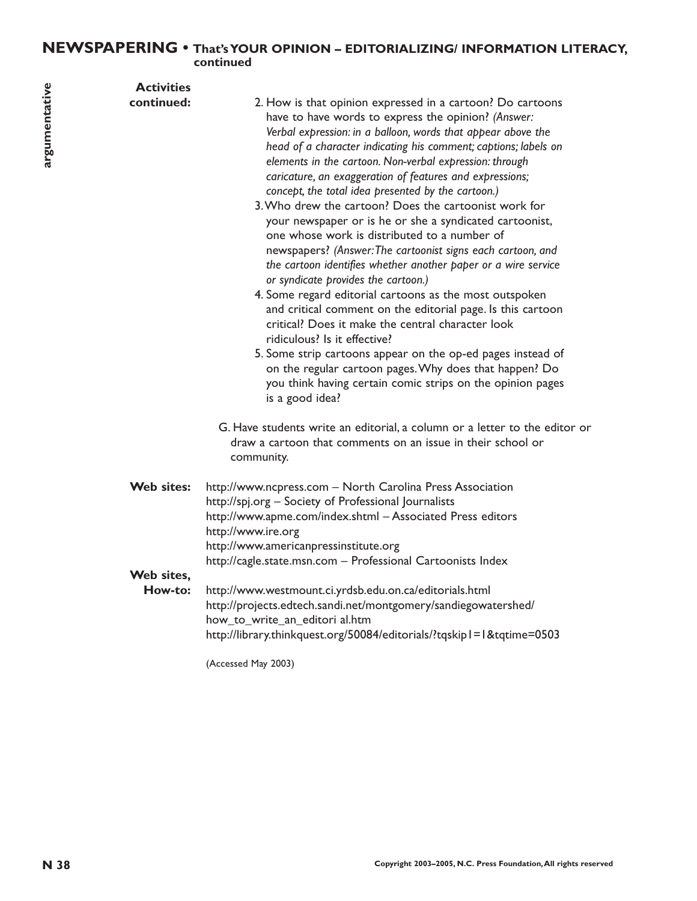# **NEWSPAPERING • That's YOUR OPINION – EDITORIALIZING/ INFORMATION LITERACY, continued**

| <b>Activities</b><br>argumentative<br>continued: | 2. How is that opinion expressed in a cartoon? Do cartoons<br>have to have words to express the opinion? (Answer:<br>Verbal expression: in a balloon, words that appear above the<br>head of a character indicating his comment; captions; labels on<br>elements in the cartoon. Non-verbal expression: through<br>caricature, an exaggeration of features and expressions;<br>concept, the total idea presented by the cartoon.)<br>3. Who drew the cartoon? Does the cartoonist work for<br>your newspaper or is he or she a syndicated cartoonist,<br>one whose work is distributed to a number of<br>newspapers? (Answer: The cartoonist signs each cartoon, and<br>the cartoon identifies whether another paper or a wire service<br>or syndicate provides the cartoon.)<br>4. Some regard editorial cartoons as the most outspoken<br>and critical comment on the editorial page. Is this cartoon<br>critical? Does it make the central character look<br>ridiculous? Is it effective?<br>5. Some strip cartoons appear on the op-ed pages instead of<br>on the regular cartoon pages. Why does that happen? Do<br>you think having certain comic strips on the opinion pages<br>is a good idea?<br>G. Have students write an editorial, a column or a letter to the editor or<br>draw a cartoon that comments on an issue in their school or<br>community. |
|--------------------------------------------------|-------------------------------------------------------------------------------------------------------------------------------------------------------------------------------------------------------------------------------------------------------------------------------------------------------------------------------------------------------------------------------------------------------------------------------------------------------------------------------------------------------------------------------------------------------------------------------------------------------------------------------------------------------------------------------------------------------------------------------------------------------------------------------------------------------------------------------------------------------------------------------------------------------------------------------------------------------------------------------------------------------------------------------------------------------------------------------------------------------------------------------------------------------------------------------------------------------------------------------------------------------------------------------------------------------------------------------------------------------------------|
| Web sites:<br>Web sites,<br>How-to:              | http://www.ncpress.com - North Carolina Press Association<br>http://spj.org - Society of Professional Journalists<br>http://www.apme.com/index.shtml - Associated Press editors<br>http://www.ire.org<br>http://www.americanpressinstitute.org<br>http://cagle.state.msn.com - Professional Cartoonists Index<br>http://www.westmount.ci.yrdsb.edu.on.ca/editorials.html<br>http://projects.edtech.sandi.net/montgomery/sandiegowatershed/<br>how_to_write_an_editori al.htm<br>http://library.thinkquest.org/50084/editorials/?tqskip1=1&tqtime=0503<br>(Accessed May 2003)                                                                                                                                                                                                                                                                                                                                                                                                                                                                                                                                                                                                                                                                                                                                                                                      |
| N 38                                             | Copyright 2003-2005, N.C. Press Foundation, All rights reserved                                                                                                                                                                                                                                                                                                                                                                                                                                                                                                                                                                                                                                                                                                                                                                                                                                                                                                                                                                                                                                                                                                                                                                                                                                                                                                   |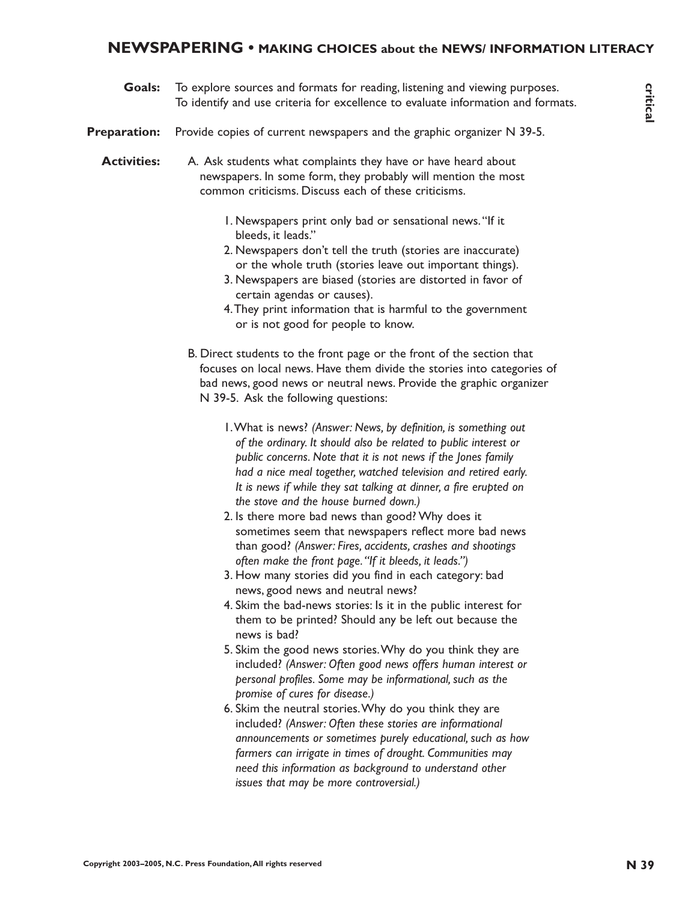# **NEWSPAPERING • MAKING CHOICES about the NEWS/ INFORMATION LITERACY**

**Goals:** To explore sources and formats for reading, listening and viewing purposes. To identify and use criteria for excellence to evaluate information and formats.

**Preparation:** Provide copies of current newspapers and the graphic organizer N 39-5.

**Activities:** A. Ask students what complaints they have or have heard about newspapers. In some form, they probably will mention the most common criticisms. Discuss each of these criticisms.

- 1. Newspapers print only bad or sensational news."If it bleeds, it leads."
- 2. Newspapers don't tell the truth (stories are inaccurate) or the whole truth (stories leave out important things).
- 3. Newspapers are biased (stories are distorted in favor of certain agendas or causes).
- 4.They print information that is harmful to the government or is not good for people to know.
- B. Direct students to the front page or the front of the section that focuses on local news. Have them divide the stories into categories of bad news, good news or neutral news. Provide the graphic organizer N 39-5. Ask the following questions:
	- 1.What is news? *(Answer: News, by definition, is something out of the ordinary. It should also be related to public interest or public concerns. Note that it is not news if the Jones family had a nice meal together, watched television and retired early. It is news if while they sat talking at dinner, a fire erupted on the stove and the house burned down.)*
	- 2. Is there more bad news than good? Why does it sometimes seem that newspapers reflect more bad news than good? *(Answer: Fires, accidents, crashes and shootings often make the front page."If it bleeds, it leads.")*
	- 3. How many stories did you find in each category: bad news, good news and neutral news?
	- 4. Skim the bad-news stories: Is it in the public interest for them to be printed? Should any be left out because the news is bad?
	- 5. Skim the good news stories.Why do you think they are included? *(Answer: Often good news offers human interest or personal profiles. Some may be informational, such as the promise of cures for disease.)*
- **Coales** To explore sources and formulation for excited the generation and the excellent of the system of the system of the system of the system of the system of the system of the system of the system of the system of the 6. Skim the neutral stories.Why do you think they are included? *(Answer: Often these stories are informational announcements or sometimes purely educational, such as how farmers can irrigate in times of drought. Communities may need this information as background to understand other issues that may be more controversial.)*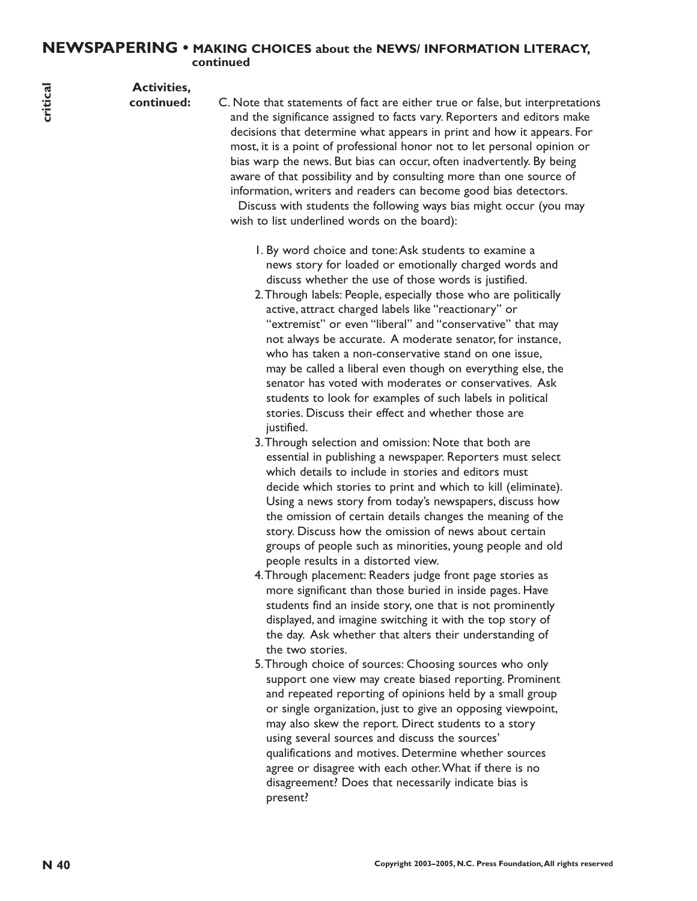# **NEWSPAPERING • MAKING CHOICES about the NEWS/ INFORMATION LITERACY, continued**

**Activities,**

**continued:** C. Note that statements of fact are either true or false, but interpretations and the significance assigned to facts vary. Reporters and editors make decisions that determine what appears in print and how it appears. For most, it is a point of professional honor not to let personal opinion or bias warp the news. But bias can occur, often inadvertently. By being aware of that possibility and by consulting more than one source of information, writers and readers can become good bias detectors.

Discuss with students the following ways bias might occur (you may wish to list underlined words on the board):

- 1. By word choice and tone:Ask students to examine a news story for loaded or emotionally charged words and discuss whether the use of those words is justified.
- **N 40 C** Note that the more than an entirely the results reserved from the more friend that the more than the system of the more than the properties are the pressure in periodic and the more than the more than the more t 2.Through labels: People, especially those who are politically active, attract charged labels like "reactionary" or "extremist" or even "liberal" and "conservative" that may not always be accurate. A moderate senator, for instance, who has taken a non-conservative stand on one issue, may be called a liberal even though on everything else, the senator has voted with moderates or conservatives. Ask students to look for examples of such labels in political stories. Discuss their effect and whether those are justified.
	- 3.Through selection and omission: Note that both are essential in publishing a newspaper. Reporters must select which details to include in stories and editors must decide which stories to print and which to kill (eliminate). Using a news story from today's newspapers, discuss how the omission of certain details changes the meaning of the story. Discuss how the omission of news about certain groups of people such as minorities, young people and old people results in a distorted view.
	- 4.Through placement: Readers judge front page stories as more significant than those buried in inside pages. Have students find an inside story, one that is not prominently displayed, and imagine switching it with the top story of the day. Ask whether that alters their understanding of the two stories.
	- 5.Through choice of sources: Choosing sources who only support one view may create biased reporting. Prominent and repeated reporting of opinions held by a small group or single organization, just to give an opposing viewpoint, may also skew the report. Direct students to a story using several sources and discuss the sources' qualifications and motives. Determine whether sources agree or disagree with each other.What if there is no disagreement? Does that necessarily indicate bias is present?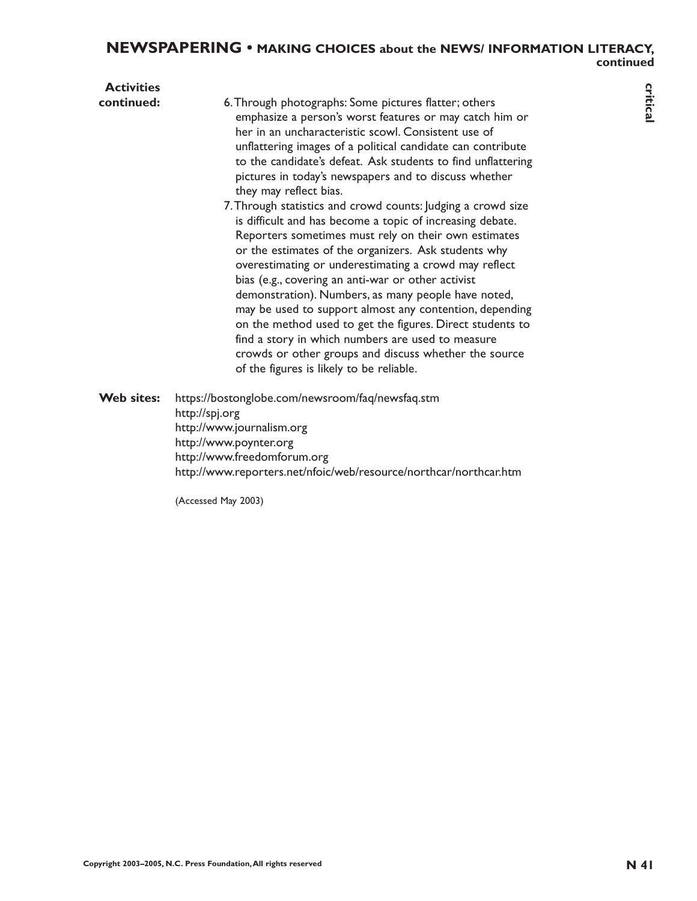# **NEWSPAPERING • MAKING CHOICES about the NEWS/ INFORMATION LITERACY, continued**

| <b>Activities</b> |                                                                                                                                                                                                                                                                                                                                                                                                                                                                                                                                                                                                                                                                                                                                                                                                                                                                                                                                                                                                                                                                                                |             |
|-------------------|------------------------------------------------------------------------------------------------------------------------------------------------------------------------------------------------------------------------------------------------------------------------------------------------------------------------------------------------------------------------------------------------------------------------------------------------------------------------------------------------------------------------------------------------------------------------------------------------------------------------------------------------------------------------------------------------------------------------------------------------------------------------------------------------------------------------------------------------------------------------------------------------------------------------------------------------------------------------------------------------------------------------------------------------------------------------------------------------|-------------|
| continued:        | 6. Through photographs: Some pictures flatter; others<br>emphasize a person's worst features or may catch him or<br>her in an uncharacteristic scowl. Consistent use of<br>unflattering images of a political candidate can contribute<br>to the candidate's defeat. Ask students to find unflattering<br>pictures in today's newspapers and to discuss whether<br>they may reflect bias.<br>7. Through statistics and crowd counts: Judging a crowd size<br>is difficult and has become a topic of increasing debate.<br>Reporters sometimes must rely on their own estimates<br>or the estimates of the organizers. Ask students why<br>overestimating or underestimating a crowd may reflect<br>bias (e.g., covering an anti-war or other activist<br>demonstration). Numbers, as many people have noted,<br>may be used to support almost any contention, depending<br>on the method used to get the figures. Direct students to<br>find a story in which numbers are used to measure<br>crowds or other groups and discuss whether the source<br>of the figures is likely to be reliable. | critical    |
| Web sites:        | https://bostonglobe.com/newsroom/faq/newsfaq.stm<br>http://spj.org<br>http://www.journalism.org<br>http://www.poynter.org<br>http://www.freedomforum.org<br>http://www.reporters.net/nfoic/web/resource/northcar/northcar.htm                                                                                                                                                                                                                                                                                                                                                                                                                                                                                                                                                                                                                                                                                                                                                                                                                                                                  |             |
|                   | (Accessed May 2003)                                                                                                                                                                                                                                                                                                                                                                                                                                                                                                                                                                                                                                                                                                                                                                                                                                                                                                                                                                                                                                                                            |             |
|                   |                                                                                                                                                                                                                                                                                                                                                                                                                                                                                                                                                                                                                                                                                                                                                                                                                                                                                                                                                                                                                                                                                                |             |
|                   |                                                                                                                                                                                                                                                                                                                                                                                                                                                                                                                                                                                                                                                                                                                                                                                                                                                                                                                                                                                                                                                                                                |             |
|                   |                                                                                                                                                                                                                                                                                                                                                                                                                                                                                                                                                                                                                                                                                                                                                                                                                                                                                                                                                                                                                                                                                                |             |
|                   |                                                                                                                                                                                                                                                                                                                                                                                                                                                                                                                                                                                                                                                                                                                                                                                                                                                                                                                                                                                                                                                                                                |             |
|                   |                                                                                                                                                                                                                                                                                                                                                                                                                                                                                                                                                                                                                                                                                                                                                                                                                                                                                                                                                                                                                                                                                                |             |
|                   |                                                                                                                                                                                                                                                                                                                                                                                                                                                                                                                                                                                                                                                                                                                                                                                                                                                                                                                                                                                                                                                                                                |             |
|                   | Copyright 2003-2005, N.C. Press Foundation, All rights reserved                                                                                                                                                                                                                                                                                                                                                                                                                                                                                                                                                                                                                                                                                                                                                                                                                                                                                                                                                                                                                                | <b>N</b> 41 |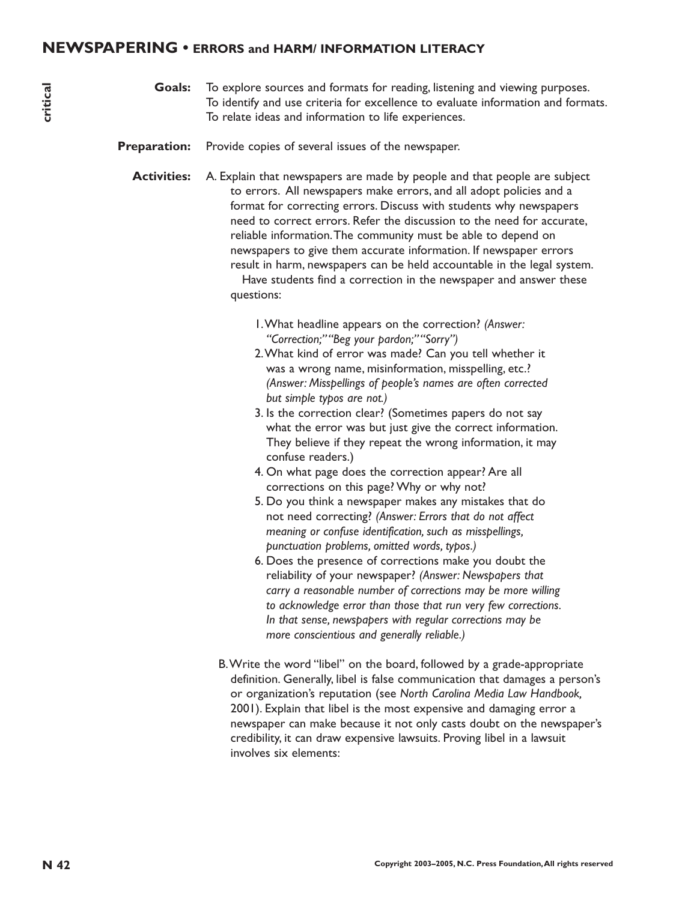- **Goals:** To explore sources and formats for reading, listening and viewing purposes. To identify and use criteria for excellence to evaluate information and formats. To relate ideas and information to life experiences.
- **Preparation:** Provide copies of several issues of the newspaper.
- **Notice** the end formula for reading iteration to the endomy and several properties.<br>
The indeed between the control of the energiese.<br> **Preparation:** Preside copies of several inserved inserved inserved inserved inserved **Activities:** A. Explain that newspapers are made by people and that people are subject to errors. All newspapers make errors, and all adopt policies and a format for correcting errors. Discuss with students why newspapers need to correct errors. Refer the discussion to the need for accurate, reliable information.The community must be able to depend on newspapers to give them accurate information. If newspaper errors result in harm, newspapers can be held accountable in the legal system. Have students find a correction in the newspaper and answer these questions:
	- 1.What headline appears on the correction? *(Answer: "Correction;""Beg your pardon;""Sorry")*
	- 2.What kind of error was made? Can you tell whether it was a wrong name, misinformation, misspelling, etc.? *(Answer: Misspellings of people's names are often corrected but simple typos are not.)*
	- 3. Is the correction clear? (Sometimes papers do not say what the error was but just give the correct information. They believe if they repeat the wrong information, it may confuse readers.)
	- 4. On what page does the correction appear? Are all corrections on this page? Why or why not?
	- 5. Do you think a newspaper makes any mistakes that do not need correcting? *(Answer: Errors that do not affect meaning or confuse identification, such as misspellings, punctuation problems, omitted words, typos.)*
	- 6. Does the presence of corrections make you doubt the reliability of your newspaper? *(Answer: Newspapers that carry a reasonable number of corrections may be more willing to acknowledge error than those that run very few corrections. In that sense, newspapers with regular corrections may be more conscientious and generally reliable.)*
	- B.Write the word "libel" on the board, followed by a grade-appropriate definition. Generally, libel is false communication that damages a person's or organization's reputation (see *North Carolina Media Law Handbook,* 2001). Explain that libel is the most expensive and damaging error a newspaper can make because it not only casts doubt on the newspaper's credibility, it can draw expensive lawsuits. Proving libel in a lawsuit involves six elements: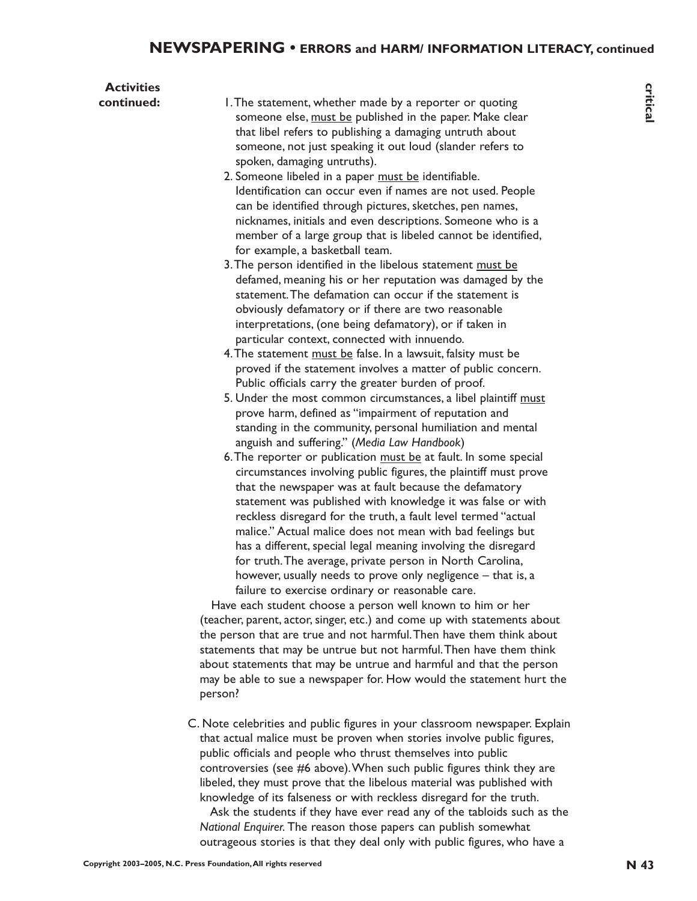| <b>Activities</b> |                                                                                                                                                                                                                                                                                                                                                                                                                                                                                                                                                                                                                                                                                                                                                                                                                                                                                                                                                                                                                                                                                                                                                                                                                                                                                                                                                                                                                                                                                                                                                                                                                                                                                                                                                                                                                                                                                                                                                                                                                                                                                                                                                                                                                                                                                                                                                                                                                                                                                                                                                                                                                                                                                                                                                             |             |
|-------------------|-------------------------------------------------------------------------------------------------------------------------------------------------------------------------------------------------------------------------------------------------------------------------------------------------------------------------------------------------------------------------------------------------------------------------------------------------------------------------------------------------------------------------------------------------------------------------------------------------------------------------------------------------------------------------------------------------------------------------------------------------------------------------------------------------------------------------------------------------------------------------------------------------------------------------------------------------------------------------------------------------------------------------------------------------------------------------------------------------------------------------------------------------------------------------------------------------------------------------------------------------------------------------------------------------------------------------------------------------------------------------------------------------------------------------------------------------------------------------------------------------------------------------------------------------------------------------------------------------------------------------------------------------------------------------------------------------------------------------------------------------------------------------------------------------------------------------------------------------------------------------------------------------------------------------------------------------------------------------------------------------------------------------------------------------------------------------------------------------------------------------------------------------------------------------------------------------------------------------------------------------------------------------------------------------------------------------------------------------------------------------------------------------------------------------------------------------------------------------------------------------------------------------------------------------------------------------------------------------------------------------------------------------------------------------------------------------------------------------------------------------------------|-------------|
| continued:        | 1. The statement, whether made by a reporter or quoting<br>someone else, must be published in the paper. Make clear<br>that libel refers to publishing a damaging untruth about<br>someone, not just speaking it out loud (slander refers to<br>spoken, damaging untruths).<br>2. Someone libeled in a paper must be identifiable.<br>Identification can occur even if names are not used. People<br>can be identified through pictures, sketches, pen names,<br>nicknames, initials and even descriptions. Someone who is a<br>member of a large group that is libeled cannot be identified,<br>for example, a basketball team.<br>3. The person identified in the libelous statement must be<br>defamed, meaning his or her reputation was damaged by the<br>statement. The defamation can occur if the statement is<br>obviously defamatory or if there are two reasonable<br>interpretations, (one being defamatory), or if taken in<br>particular context, connected with innuendo.<br>4. The statement must be false. In a lawsuit, falsity must be<br>proved if the statement involves a matter of public concern.<br>Public officials carry the greater burden of proof.<br>5. Under the most common circumstances, a libel plaintiff must<br>prove harm, defined as "impairment of reputation and<br>standing in the community, personal humiliation and mental<br>anguish and suffering." (Media Law Handbook)<br>6. The reporter or publication must be at fault. In some special<br>circumstances involving public figures, the plaintiff must prove<br>that the newspaper was at fault because the defamatory<br>statement was published with knowledge it was false or with<br>reckless disregard for the truth, a fault level termed "actual<br>malice." Actual malice does not mean with bad feelings but<br>has a different, special legal meaning involving the disregard<br>for truth. The average, private person in North Carolina,<br>however, usually needs to prove only negligence $-$ that is, a<br>failure to exercise ordinary or reasonable care.<br>Have each student choose a person well known to him or her<br>(teacher, parent, actor, singer, etc.) and come up with statements about<br>the person that are true and not harmful. Then have them think about<br>statements that may be untrue but not harmful. Then have them think<br>about statements that may be untrue and harmful and that the person<br>may be able to sue a newspaper for. How would the statement hurt the<br>person?<br>C. Note celebrities and public figures in your classroom newspaper. Explain<br>that actual malice must be proven when stories involve public figures,<br>public officials and people who thrust themselves into public | critical    |
|                   | controversies (see #6 above). When such public figures think they are<br>libeled, they must prove that the libelous material was published with<br>knowledge of its falseness or with reckless disregard for the truth.<br>Ask the students if they have ever read any of the tabloids such as the<br>National Enquirer. The reason those papers can publish somewhat                                                                                                                                                                                                                                                                                                                                                                                                                                                                                                                                                                                                                                                                                                                                                                                                                                                                                                                                                                                                                                                                                                                                                                                                                                                                                                                                                                                                                                                                                                                                                                                                                                                                                                                                                                                                                                                                                                                                                                                                                                                                                                                                                                                                                                                                                                                                                                                       |             |
|                   | outrageous stories is that they deal only with public figures, who have a                                                                                                                                                                                                                                                                                                                                                                                                                                                                                                                                                                                                                                                                                                                                                                                                                                                                                                                                                                                                                                                                                                                                                                                                                                                                                                                                                                                                                                                                                                                                                                                                                                                                                                                                                                                                                                                                                                                                                                                                                                                                                                                                                                                                                                                                                                                                                                                                                                                                                                                                                                                                                                                                                   |             |
|                   | Copyright 2003-2005, N.C. Press Foundation, All rights reserved                                                                                                                                                                                                                                                                                                                                                                                                                                                                                                                                                                                                                                                                                                                                                                                                                                                                                                                                                                                                                                                                                                                                                                                                                                                                                                                                                                                                                                                                                                                                                                                                                                                                                                                                                                                                                                                                                                                                                                                                                                                                                                                                                                                                                                                                                                                                                                                                                                                                                                                                                                                                                                                                                             | <b>N</b> 43 |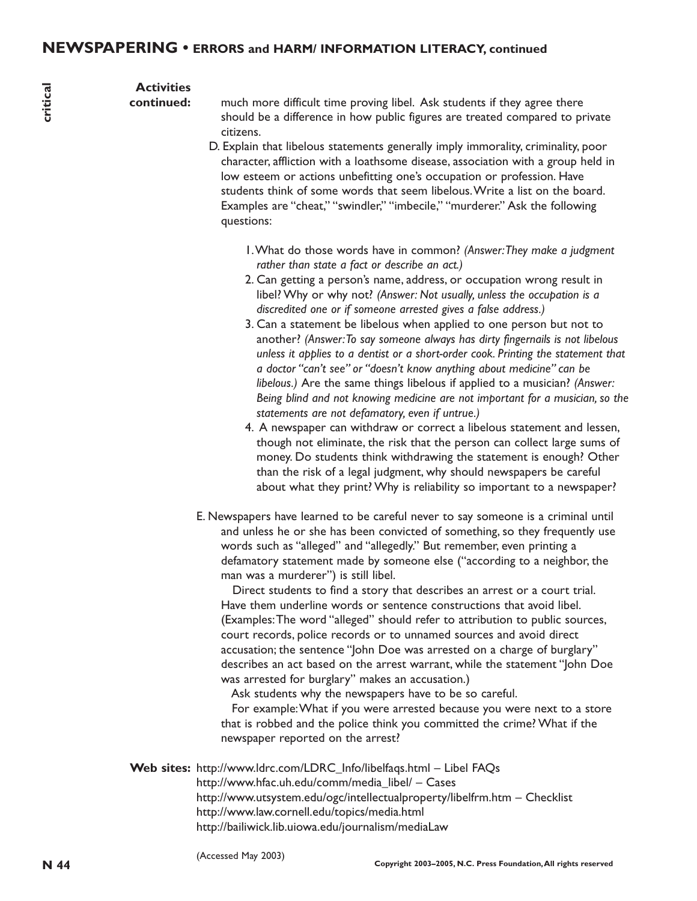# **Activities**

**continued:**

much more difficult time proving libel. Ask students if they agree there should be a difference in how public figures are treated compared to private citizens.

- D. Explain that libelous statements generally imply immorality, criminality, poor character, affliction with a loathsome disease, association with a group held in low esteem or actions unbefitting one's occupation or profession. Have students think of some words that seem libelous.Write a list on the board. Examples are "cheat," "swindler," "imbecile," "murderer." Ask the following questions:
	- 1.What do those words have in common? *(Answer:They make a judgment rather than state a fact or describe an act.)*
	- 2. Can getting a person's name, address, or occupation wrong result in libel? Why or why not? *(Answer: Not usually, unless the occupation is a discredited one or if someone arrested gives a false address.)*
	- 3. Can a statement be libelous when applied to one person but not to another? *(Answer:To say someone always has dirty fingernails is not libelous unless it applies to a dentist or a short-order cook. Printing the statement that a doctor "can't see" or "doesn't know anything about medicine" can be libelous.)* Are the same things libelous if applied to a musician? *(Answer: Being blind and not knowing medicine are not important for a musician, so the statements are not defamatory, even if untrue.)*
	- 4. A newspaper can withdraw or correct a libelous statement and lessen, though not eliminate, the risk that the person can collect large sums of money. Do students think withdrawing the statement is enough? Other than the risk of a legal judgment, why should newspapers be careful about what they print? Why is reliability so important to a newspaper?
- E. Newspapers have learned to be careful never to say someone is a criminal until and unless he or she has been convicted of something, so they frequently use words such as "alleged" and "allegedly." But remember, even printing a defamatory statement made by someone else ("according to a neighbor, the man was a murderer") is still libel.

**A contribute is the control of the state in the state of the state of the state of the state of the state of the state of the state of the state of the state of the state of the state of the state of the state of the stat** Direct students to find a story that describes an arrest or a court trial. Have them underline words or sentence constructions that avoid libel. (Examples:The word "alleged" should refer to attribution to public sources, court records, police records or to unnamed sources and avoid direct accusation; the sentence "John Doe was arrested on a charge of burglary" describes an act based on the arrest warrant, while the statement "John Doe was arrested for burglary" makes an accusation.)

Ask students why the newspapers have to be so careful.

For example:What if you were arrested because you were next to a store that is robbed and the police think you committed the crime? What if the newspaper reported on the arrest?

**Web sites:** http://www.ldrc.com/LDRC\_Info/libelfaqs.html – Libel FAQs http://www.hfac.uh.edu/comm/media\_libel/ – Cases http://www.utsystem.edu/ogc/intellectualproperty/libelfrm.htm – Checklist http://www.law.cornell.edu/topics/media.html http://bailiwick.lib.uiowa.edu/journalism/mediaLaw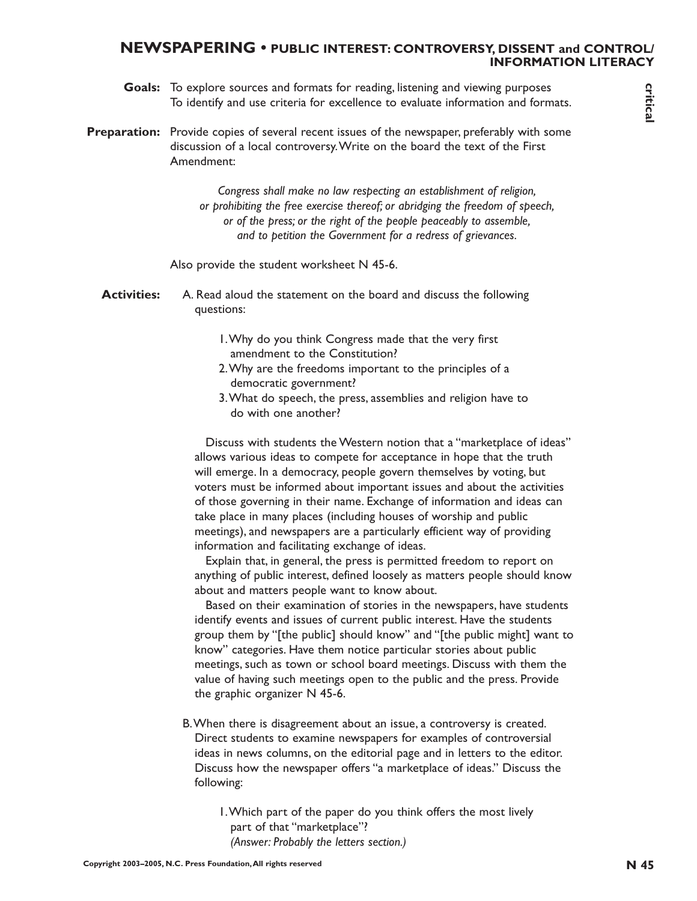# **NEWSPAPERING • PUBLIC INTEREST: CONTROVERSY, DISSENT and CONTROL/ INFORMATION LITERACY**

- **Goals:** To explore sources and formats for reading, listening and viewing purposes To identify and use criteria for excellence to evaluate information and formats.
- Preparation: Provide copies of several recent issues of the newspaper, preferably with some discussion of a local controversy.Write on the board the text of the First Amendment:

*Congress shall make no law respecting an establishment of religion, or prohibiting the free exercise thereof; or abridging the freedom of speech, or of the press; or the right of the people peaceably to assemble, and to petition the Government for a redress of grievances.*

Also provide the student worksheet N 45-6.

- **Activities:** A. Read aloud the statement on the board and discuss the following questions:
	- 1.Why do you think Congress made that the very first amendment to the Constitution?
	- 2.Why are the freedoms important to the principles of a democratic government?
	- 3.What do speech, the press, assemblies and religion have to do with one another?

**Coals:** To explore sources and formulae for reading the entropyright procedure of entropyright and tax critical reserved by example profer to the entropyright profer by well and the entropyright profer to the entropyright Discuss with students the Western notion that a "marketplace of ideas" allows various ideas to compete for acceptance in hope that the truth will emerge. In a democracy, people govern themselves by voting, but voters must be informed about important issues and about the activities of those governing in their name. Exchange of information and ideas can take place in many places (including houses of worship and public meetings), and newspapers are a particularly efficient way of providing information and facilitating exchange of ideas.

Explain that, in general, the press is permitted freedom to report on anything of public interest, defined loosely as matters people should know about and matters people want to know about.

Based on their examination of stories in the newspapers, have students identify events and issues of current public interest. Have the students group them by "[the public] should know" and "[the public might] want to know" categories. Have them notice particular stories about public meetings, such as town or school board meetings. Discuss with them the value of having such meetings open to the public and the press. Provide the graphic organizer N 45-6.

B.When there is disagreement about an issue, a controversy is created. Direct students to examine newspapers for examples of controversial ideas in news columns, on the editorial page and in letters to the editor. Discuss how the newspaper offers "a marketplace of ideas." Discuss the following:

1.Which part of the paper do you think offers the most lively part of that "marketplace"? *(Answer: Probably the letters section.)*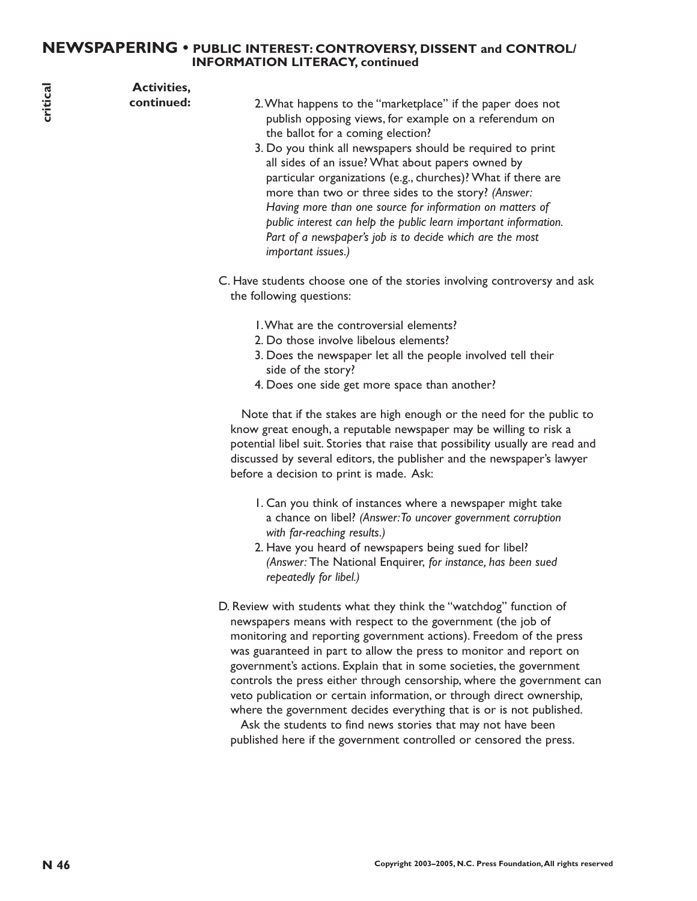# **NEWSPAPERING • PUBLIC INTEREST: CONTROVERSY, DISSENT and CONTROL/ INFORMATION LITERACY, continued**

| critical | <b>Activities,</b><br>continued: | 2. What happens to the "marketplace" if the paper does not<br>publish opposing views, for example on a referendum on                                                                                                                                                                                                                                                                                                                                                                                                                                                                                                                                                                                                   |
|----------|----------------------------------|------------------------------------------------------------------------------------------------------------------------------------------------------------------------------------------------------------------------------------------------------------------------------------------------------------------------------------------------------------------------------------------------------------------------------------------------------------------------------------------------------------------------------------------------------------------------------------------------------------------------------------------------------------------------------------------------------------------------|
|          |                                  | the ballot for a coming election?<br>3. Do you think all newspapers should be required to print<br>all sides of an issue? What about papers owned by<br>particular organizations (e.g., churches)? What if there are<br>more than two or three sides to the story? (Answer:<br>Having more than one source for information on matters of<br>public interest can help the public learn important information.<br>Part of a newspaper's job is to decide which are the most<br>important issues.)                                                                                                                                                                                                                        |
|          |                                  | C. Have students choose one of the stories involving controversy and ask<br>the following questions:                                                                                                                                                                                                                                                                                                                                                                                                                                                                                                                                                                                                                   |
|          |                                  | I. What are the controversial elements?<br>2. Do those involve libelous elements?<br>3. Does the newspaper let all the people involved tell their<br>side of the story?<br>4. Does one side get more space than another?                                                                                                                                                                                                                                                                                                                                                                                                                                                                                               |
|          |                                  | Note that if the stakes are high enough or the need for the public to<br>know great enough, a reputable newspaper may be willing to risk a<br>potential libel suit. Stories that raise that possibility usually are read and<br>discussed by several editors, the publisher and the newspaper's lawyer<br>before a decision to print is made. Ask:                                                                                                                                                                                                                                                                                                                                                                     |
|          |                                  | I. Can you think of instances where a newspaper might take<br>a chance on libel? (Answer: To uncover government corruption<br>with far-reaching results.)<br>2. Have you heard of newspapers being sued for libel?<br>(Answer: The National Enquirer, for instance, has been sued<br>repeatedly for libel.)                                                                                                                                                                                                                                                                                                                                                                                                            |
|          |                                  | D. Review with students what they think the "watchdog" function of<br>newspapers means with respect to the government (the job of<br>monitoring and reporting government actions). Freedom of the press<br>was guaranteed in part to allow the press to monitor and report on<br>government's actions. Explain that in some societies, the government<br>controls the press either through censorship, where the government can<br>veto publication or certain information, or through direct ownership,<br>where the government decides everything that is or is not published.<br>Ask the students to find news stories that may not have been<br>published here if the government controlled or censored the press. |
|          |                                  |                                                                                                                                                                                                                                                                                                                                                                                                                                                                                                                                                                                                                                                                                                                        |
| N 46     |                                  | Copyright 2003-2005, N.C. Press Foundation, All rights reserved                                                                                                                                                                                                                                                                                                                                                                                                                                                                                                                                                                                                                                                        |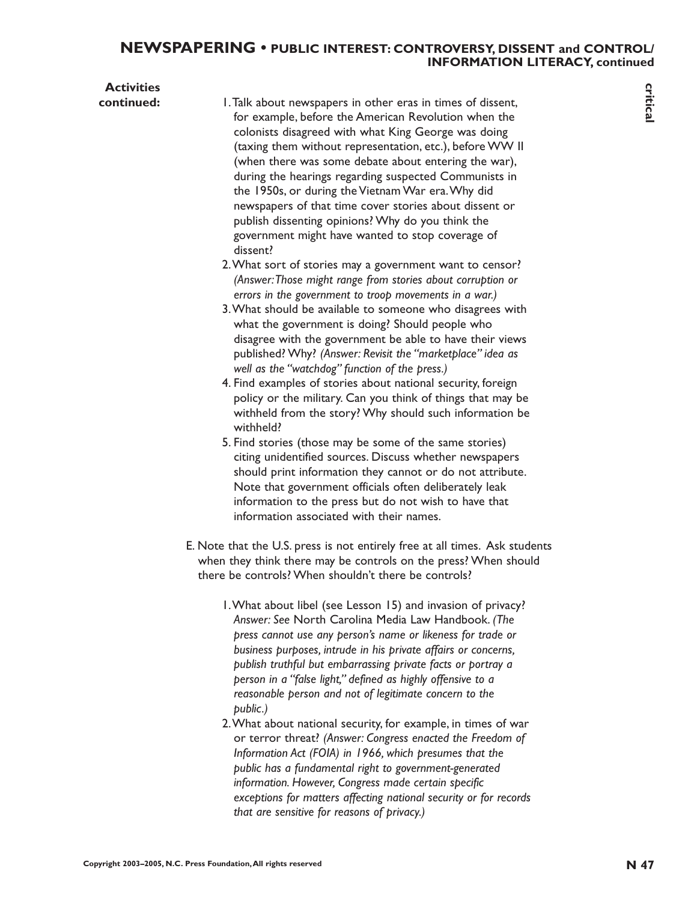# **NEWSPAPERING • PUBLIC INTEREST: CONTROVERSY, DISSENT and CONTROL/ INFORMATION LITERACY, continued**

| <b>Activities</b> |                                                                                                                                                                                                                                                                                                                                                                                                                                                                                                                                                                                                                                                                                                                                                                                                                                                                                                                                                                                                                                                                                                                                              |             |
|-------------------|----------------------------------------------------------------------------------------------------------------------------------------------------------------------------------------------------------------------------------------------------------------------------------------------------------------------------------------------------------------------------------------------------------------------------------------------------------------------------------------------------------------------------------------------------------------------------------------------------------------------------------------------------------------------------------------------------------------------------------------------------------------------------------------------------------------------------------------------------------------------------------------------------------------------------------------------------------------------------------------------------------------------------------------------------------------------------------------------------------------------------------------------|-------------|
| continued:        | I. Talk about newspapers in other eras in times of dissent,<br>for example, before the American Revolution when the<br>colonists disagreed with what King George was doing<br>(taxing them without representation, etc.), before WW II<br>(when there was some debate about entering the war),<br>during the hearings regarding suspected Communists in<br>the 1950s, or during the Vietnam War era. Why did<br>newspapers of that time cover stories about dissent or<br>publish dissenting opinions? Why do you think the<br>government might have wanted to stop coverage of<br>dissent?<br>2. What sort of stories may a government want to censor?<br>(Answer: Those might range from stories about corruption or<br>errors in the government to troop movements in a war.)<br>3. What should be available to someone who disagrees with<br>what the government is doing? Should people who<br>disagree with the government be able to have their views<br>published? Why? (Answer: Revisit the "marketplace" idea as<br>well as the "watchdog" function of the press.)<br>4. Find examples of stories about national security, foreign | critical    |
|                   | policy or the military. Can you think of things that may be<br>withheld from the story? Why should such information be<br>withheld?<br>5. Find stories (those may be some of the same stories)                                                                                                                                                                                                                                                                                                                                                                                                                                                                                                                                                                                                                                                                                                                                                                                                                                                                                                                                               |             |
|                   | citing unidentified sources. Discuss whether newspapers<br>should print information they cannot or do not attribute.<br>Note that government officials often deliberately leak<br>information to the press but do not wish to have that<br>information associated with their names.                                                                                                                                                                                                                                                                                                                                                                                                                                                                                                                                                                                                                                                                                                                                                                                                                                                          |             |
|                   | E. Note that the U.S. press is not entirely free at all times. Ask students<br>when they think there may be controls on the press? When should<br>there be controls? When shouldn't there be controls?                                                                                                                                                                                                                                                                                                                                                                                                                                                                                                                                                                                                                                                                                                                                                                                                                                                                                                                                       |             |
|                   | I. What about libel (see Lesson 15) and invasion of privacy?<br>Answer: See North Carolina Media Law Handbook. (The<br>press cannot use any person's name or likeness for trade or<br>business purposes, intrude in his private affairs or concerns,<br>publish truthful but embarrassing private facts or portray a<br>person in a "false light," defined as highly offensive to a<br>reasonable person and not of legitimate concern to the<br>public.)<br>2. What about national security, for example, in times of war<br>or terror threat? (Answer: Congress enacted the Freedom of<br>Information Act (FOIA) in 1966, which presumes that the<br>public has a fundamental right to government-generated<br>information. However, Congress made certain specific<br>exceptions for matters affecting national security or for records<br>that are sensitive for reasons of privacy.)                                                                                                                                                                                                                                                    |             |
|                   | Copyright 2003-2005, N.C. Press Foundation, All rights reserved                                                                                                                                                                                                                                                                                                                                                                                                                                                                                                                                                                                                                                                                                                                                                                                                                                                                                                                                                                                                                                                                              | <b>N</b> 47 |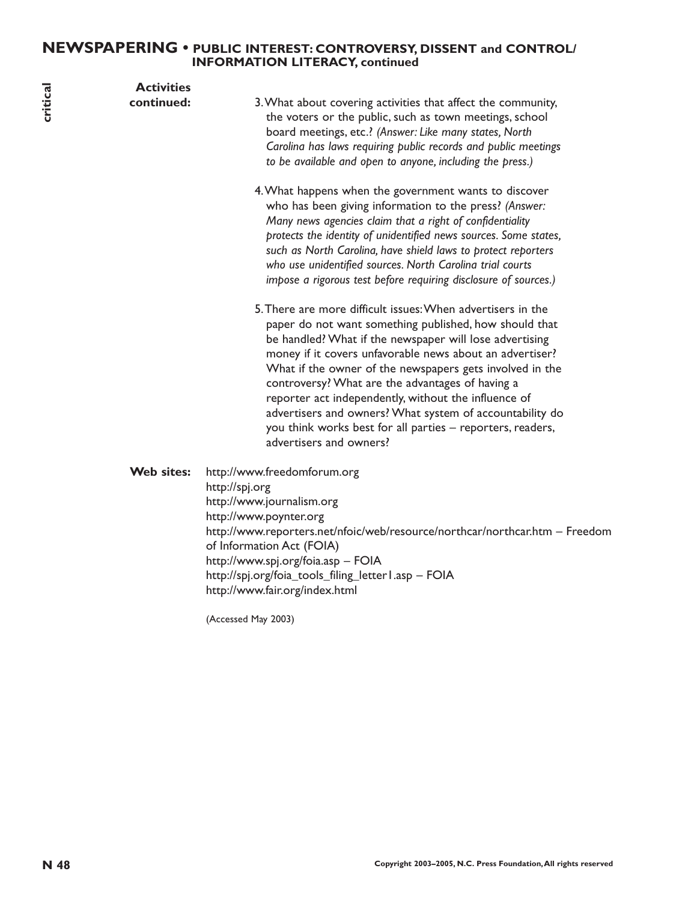# **NEWSPAPERING • PUBLIC INTEREST: CONTROVERSY, DISSENT and CONTROL/ INFORMATION LITERACY, continued**

| critical | <b>Activities</b><br>continued: | 3. What about covering activities that affect the community,<br>the voters or the public, such as town meetings, school<br>board meetings, etc.? (Answer: Like many states, North<br>Carolina has laws requiring public records and public meetings<br>to be available and open to anyone, including the press.)<br>4. What happens when the government wants to discover<br>who has been giving information to the press? (Answer:<br>Many news agencies claim that a right of confidentiality<br>protects the identity of unidentified news sources. Some states,<br>such as North Carolina, have shield laws to protect reporters<br>who use unidentified sources. North Carolina trial courts<br>impose a rigorous test before requiring disclosure of sources.)<br>5. There are more difficult issues: When advertisers in the<br>paper do not want something published, how should that<br>be handled? What if the newspaper will lose advertising<br>money if it covers unfavorable news about an advertiser?<br>What if the owner of the newspapers gets involved in the |
|----------|---------------------------------|----------------------------------------------------------------------------------------------------------------------------------------------------------------------------------------------------------------------------------------------------------------------------------------------------------------------------------------------------------------------------------------------------------------------------------------------------------------------------------------------------------------------------------------------------------------------------------------------------------------------------------------------------------------------------------------------------------------------------------------------------------------------------------------------------------------------------------------------------------------------------------------------------------------------------------------------------------------------------------------------------------------------------------------------------------------------------------|
|          | Web sites:                      | controversy? What are the advantages of having a<br>reporter act independently, without the influence of<br>advertisers and owners? What system of accountability do<br>you think works best for all parties - reporters, readers,<br>advertisers and owners?<br>http://www.freedomforum.org<br>http://spj.org                                                                                                                                                                                                                                                                                                                                                                                                                                                                                                                                                                                                                                                                                                                                                                   |
|          |                                 | http://www.journalism.org<br>http://www.poynter.org<br>http://www.reporters.net/nfoic/web/resource/northcar/northcar.htm - Freedom<br>of Information Act (FOIA)<br>http://www.spj.org/foia.asp - FOIA<br>http://spj.org/foia_tools_filing_letter l.asp - FOIA<br>http://www.fair.org/index.html                                                                                                                                                                                                                                                                                                                                                                                                                                                                                                                                                                                                                                                                                                                                                                                  |
|          |                                 | (Accessed May 2003)                                                                                                                                                                                                                                                                                                                                                                                                                                                                                                                                                                                                                                                                                                                                                                                                                                                                                                                                                                                                                                                              |
|          |                                 |                                                                                                                                                                                                                                                                                                                                                                                                                                                                                                                                                                                                                                                                                                                                                                                                                                                                                                                                                                                                                                                                                  |
| N 48     |                                 | Copyright 2003-2005, N.C. Press Foundation, All rights reserved                                                                                                                                                                                                                                                                                                                                                                                                                                                                                                                                                                                                                                                                                                                                                                                                                                                                                                                                                                                                                  |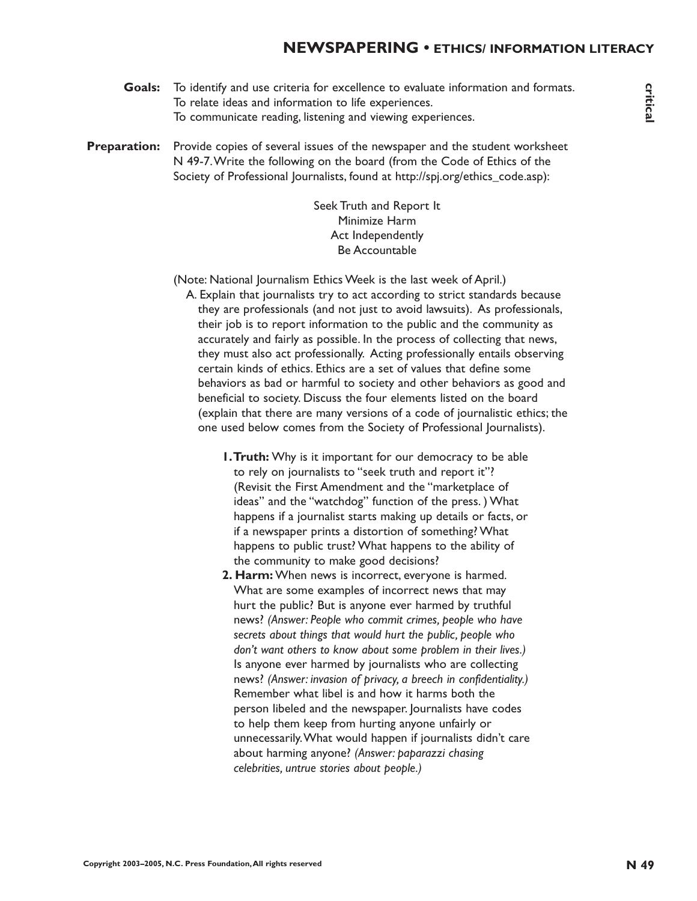- **Goals:** To identify and use criteria for excellence to evaluate information and formats. To relate ideas and information to life experiences. To communicate reading, listening and viewing experiences.
- **Preparation:** Provide copies of several issues of the newspaper and the student worksheet N 49-7.Write the following on the board (from the Code of Ethics of the Society of Professional Journalists, found at http://spj.org/ethics\_code.asp):

Seek Truth and Report It Minimize Harm Act Independently Be Accountable

- (Note: National Journalism Ethics Week is the last week of April.)
	- A. Explain that journalists try to act according to strict standards because they are professionals (and not just to avoid lawsuits). As professionals, their job is to report information to the public and the community as accurately and fairly as possible. In the process of collecting that news, they must also act professionally. Acting professionally entails observing certain kinds of ethics. Ethics are a set of values that define some behaviors as bad or harmful to society and other behaviors as good and beneficial to society. Discuss the four elements listed on the board (explain that there are many versions of a code of journalistic ethics; the one used below comes from the Society of Professional Journalists).
		- **1.Truth:** Why is it important for our democracy to be able to rely on journalists to "seek truth and report it"? (Revisit the First Amendment and the "marketplace of ideas" and the "watchdog" function of the press. ) What happens if a journalist starts making up details or facts, or if a newspaper prints a distortion of something? What happens to public trust? What happens to the ability of the community to make good decisions?
- **Coales To identify and the created for the consistence of exhibition and formation, and the communication of the company interest of the company of the based of the model of the model of the state of the model of the mode 2. Harm:** When news is incorrect, everyone is harmed. What are some examples of incorrect news that may hurt the public? But is anyone ever harmed by truthful news? *(Answer: People who commit crimes, people who have secrets about things that would hurt the public, people who don't want others to know about some problem in their lives.)* Is anyone ever harmed by journalists who are collecting news? *(Answer: invasion of privacy, a breech in confidentiality.)* Remember what libel is and how it harms both the person libeled and the newspaper. Journalists have codes to help them keep from hurting anyone unfairly or unnecessarily.What would happen if journalists didn't care about harming anyone? *(Answer: paparazzi chasing celebrities, untrue stories about people.)*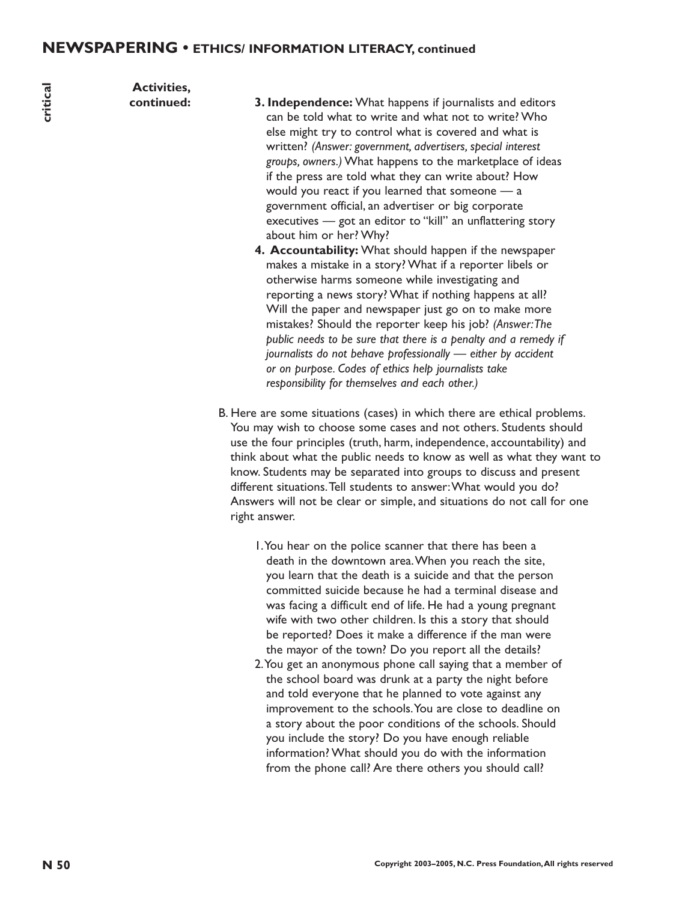**Activities,**

- **N 50 Copyright 2003–2005, N.C. Press Foundation,All rights reserved critical continued: 3. Independence:** What happens if journalists and editors can be told what to write and what not to write? Who else might try to control what is covered and what is written? *(Answer: government, advertisers, special interest groups, owners.)* What happens to the marketplace of ideas if the press are told what they can write about? How would you react if you learned that someone — a government official, an advertiser or big corporate executives — got an editor to "kill" an unflattering story about him or her? Why?
	- **4. Accountability:** What should happen if the newspaper makes a mistake in a story? What if a reporter libels or otherwise harms someone while investigating and reporting a news story? What if nothing happens at all? Will the paper and newspaper just go on to make more mistakes? Should the reporter keep his job? *(Answer:The public needs to be sure that there is a penalty and a remedy if journalists do not behave professionally — either by accident or on purpose. Codes of ethics help journalists take responsibility for themselves and each other.)*
	- B. Here are some situations (cases) in which there are ethical problems. You may wish to choose some cases and not others. Students should use the four principles (truth, harm, independence, accountability) and think about what the public needs to know as well as what they want to know. Students may be separated into groups to discuss and present different situations.Tell students to answer:What would you do? Answers will not be clear or simple, and situations do not call for one right answer.
		- 1.You hear on the police scanner that there has been a death in the downtown area.When you reach the site, you learn that the death is a suicide and that the person committed suicide because he had a terminal disease and was facing a difficult end of life. He had a young pregnant wife with two other children. Is this a story that should be reported? Does it make a difference if the man were the mayor of the town? Do you report all the details?
		- 2.You get an anonymous phone call saying that a member of the school board was drunk at a party the night before and told everyone that he planned to vote against any improvement to the schools.You are close to deadline on a story about the poor conditions of the schools. Should you include the story? Do you have enough reliable information? What should you do with the information from the phone call? Are there others you should call?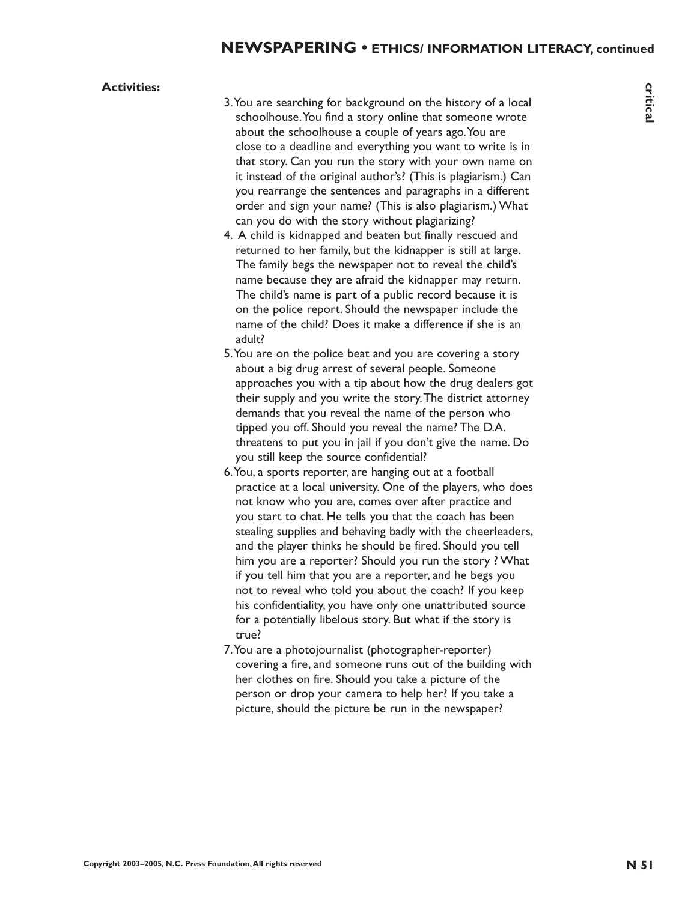#### **Activities:**

- 3.You are searching for background on the history of a local schoolhouse.You find a story online that someone wrote about the schoolhouse a couple of years ago.You are close to a deadline and everything you want to write is in that story. Can you run the story with your own name on it instead of the original author's? (This is plagiarism.) Can you rearrange the sentences and paragraphs in a different order and sign your name? (This is also plagiarism.) What can you do with the story without plagiarizing?
- 4. A child is kidnapped and beaten but finally rescued and returned to her family, but the kidnapper is still at large. The family begs the newspaper not to reveal the child's name because they are afraid the kidnapper may return. The child's name is part of a public record because it is on the police report. Should the newspaper include the name of the child? Does it make a difference if she is an adult?
- 5.You are on the police beat and you are covering a story about a big drug arrest of several people. Someone approaches you with a tip about how the drug dealers got their supply and you write the story.The district attorney demands that you reveal the name of the person who tipped you off. Should you reveal the name? The D.A. threatens to put you in jail if you don't give the name. Do you still keep the source confidential?
- **Activities:**<br>  $2. \text{You are denoted on the history of a local  
\nabsolute to a classical circuit, and a single of your gap, you are to  
\nclass to a fractional circuit, you can be  
\nthat story: Can you can be accepted by your part ago. You can  
\nthat story: Can you do keep you will be a good  
\naverage to the original advantage of (The beginning) but  
\nthe sum of a linear graph is a different  
\ncan you do will be a very without plagurating.  
\n(a) A (b) B (b) A (c) B (d) B (e) C (f) C (g) D (g) D (h) D (i).  
\nThe final data is a good of the key value of the child? If the  
\nequation of the key graph is a good value  
\nthe final data is$ 6.You, a sports reporter, are hanging out at a football practice at a local university. One of the players, who does not know who you are, comes over after practice and you start to chat. He tells you that the coach has been stealing supplies and behaving badly with the cheerleaders, and the player thinks he should be fired. Should you tell him you are a reporter? Should you run the story ? What if you tell him that you are a reporter, and he begs you not to reveal who told you about the coach? If you keep his confidentiality, you have only one unattributed source for a potentially libelous story. But what if the story is true?
	- 7.You are a photojournalist (photographer-reporter) covering a fire, and someone runs out of the building with her clothes on fire. Should you take a picture of the person or drop your camera to help her? If you take a picture, should the picture be run in the newspaper?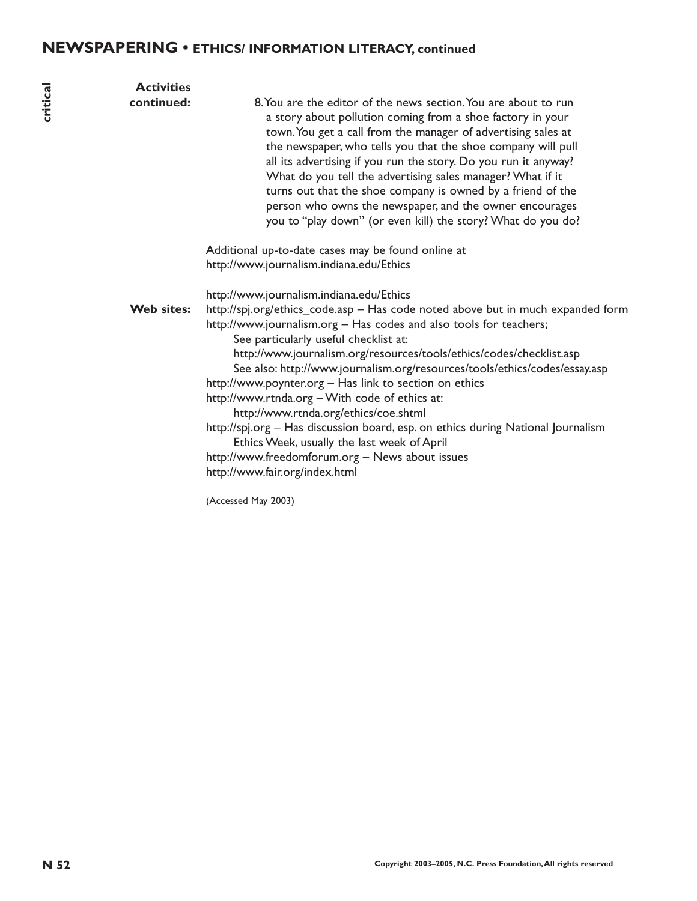# **NEWSPAPERING • ETHICS/ INFORMATION LITERACY, continued**

| critical | <b>Activities</b><br>continued: | 8. You are the editor of the news section. You are about to run<br>a story about pollution coming from a shoe factory in your<br>town. You get a call from the manager of advertising sales at<br>the newspaper, who tells you that the shoe company will pull<br>all its advertising if you run the story. Do you run it anyway?<br>What do you tell the advertising sales manager? What if it<br>turns out that the shoe company is owned by a friend of the<br>person who owns the newspaper, and the owner encourages<br>you to "play down" (or even kill) the story? What do you do?                                                                                                                                                                                     |
|----------|---------------------------------|-------------------------------------------------------------------------------------------------------------------------------------------------------------------------------------------------------------------------------------------------------------------------------------------------------------------------------------------------------------------------------------------------------------------------------------------------------------------------------------------------------------------------------------------------------------------------------------------------------------------------------------------------------------------------------------------------------------------------------------------------------------------------------|
|          |                                 | Additional up-to-date cases may be found online at<br>http://www.journalism.indiana.edu/Ethics                                                                                                                                                                                                                                                                                                                                                                                                                                                                                                                                                                                                                                                                                |
|          | Web sites:                      | http://www.journalism.indiana.edu/Ethics<br>http://spj.org/ethics_code.asp - Has code noted above but in much expanded form<br>http://www.journalism.org - Has codes and also tools for teachers;<br>See particularly useful checklist at:<br>http://www.journalism.org/resources/tools/ethics/codes/checklist.asp<br>See also: http://www.journalism.org/resources/tools/ethics/codes/essay.asp<br>http://www.poynter.org - Has link to section on ethics<br>http://www.rtnda.org - With code of ethics at:<br>http://www.rtnda.org/ethics/coe.shtml<br>http://spj.org - Has discussion board, esp. on ethics during National Journalism<br>Ethics Week, usually the last week of April<br>http://www.freedomforum.org - News about issues<br>http://www.fair.org/index.html |
|          |                                 | (Accessed May 2003)                                                                                                                                                                                                                                                                                                                                                                                                                                                                                                                                                                                                                                                                                                                                                           |
|          |                                 |                                                                                                                                                                                                                                                                                                                                                                                                                                                                                                                                                                                                                                                                                                                                                                               |
|          |                                 |                                                                                                                                                                                                                                                                                                                                                                                                                                                                                                                                                                                                                                                                                                                                                                               |
|          |                                 |                                                                                                                                                                                                                                                                                                                                                                                                                                                                                                                                                                                                                                                                                                                                                                               |
| N 52     |                                 | Copyright 2003-2005, N.C. Press Foundation, All rights reserved                                                                                                                                                                                                                                                                                                                                                                                                                                                                                                                                                                                                                                                                                                               |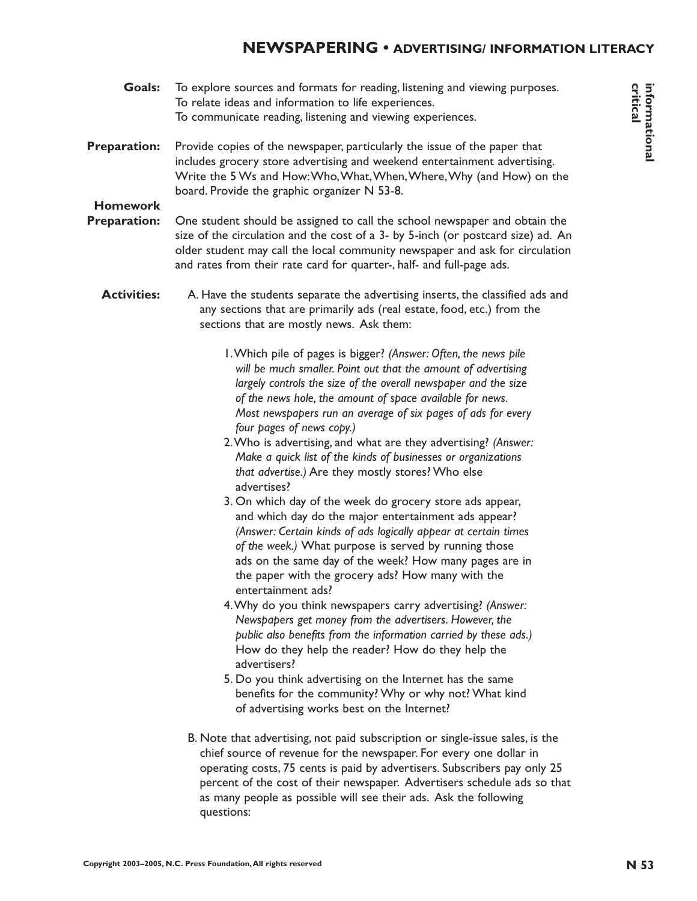# **NEWSPAPERING • ADVERTISING/ INFORMATION LITERACY**

- **Goals:** To explore sources and formats for reading, listening and viewing purposes. To relate ideas and information to life experiences. To communicate reading, listening and viewing experiences.
- **Preparation:** Provide copies of the newspaper, particularly the issue of the paper that includes grocery store advertising and weekend entertainment advertising. Write the 5 Ws and How:Who,What,When,Where,Why (and How) on the board. Provide the graphic organizer N 53-8.

# **Homework**

- **Preparation:** One student should be assigned to call the school newspaper and obtain the size of the circulation and the cost of a 3- by 5-inch (or postcard size) ad. An older student may call the local community newspaper and ask for circulation and rates from their rate card for quarter-, half- and full-page ads.
	- **Activities:** A. Have the students separate the advertising inserts, the classified ads and any sections that are primarily ads (real estate, food, etc.) from the sections that are mostly news. Ask them:
		- 1.Which pile of pages is bigger? *(Answer: Often, the news pile will be much smaller. Point out that the amount of advertising largely controls the size of the overall newspaper and the size of the news hole, the amount of space available for news. Most newspapers run an average of six pages of ads for every four pages of news copy.)*
		- 2.Who is advertising, and what are they advertising? *(Answer: Make a quick list of the kinds of businesses or organizations that advertise.)* Are they mostly stores? Who else advertises?
		- 3. On which day of the week do grocery store ads appear, and which day do the major entertainment ads appear? *(Answer: Certain kinds of ads logically appear at certain times of the week.)* What purpose is served by running those ads on the same day of the week? How many pages are in the paper with the grocery ads? How many with the entertainment ads?
		- 4.Why do you think newspapers carry advertising? *(Answer: Newspapers get money from the advertisers. However, the public also benefits from the information carried by these ads.)* How do they help the reader? How do they help the advertisers?
		- 5. Do you think advertising on the Internet has the same benefits for the community? Why or why not? What kind of advertising works best on the Internet?
- **Coals:** To explore sources and formation for earling listensity and viewing purposes.<br>
The counter reality listensity and viewing experiences.<br> **Preparation:** Press Foundation and viewing experiences the paper that<br>
inclu B. Note that advertising, not paid subscription or single-issue sales, is the chief source of revenue for the newspaper. For every one dollar in operating costs, 75 cents is paid by advertisers. Subscribers pay only 25 percent of the cost of their newspaper. Advertisers schedule ads so that as many people as possible will see their ads. Ask the following questions: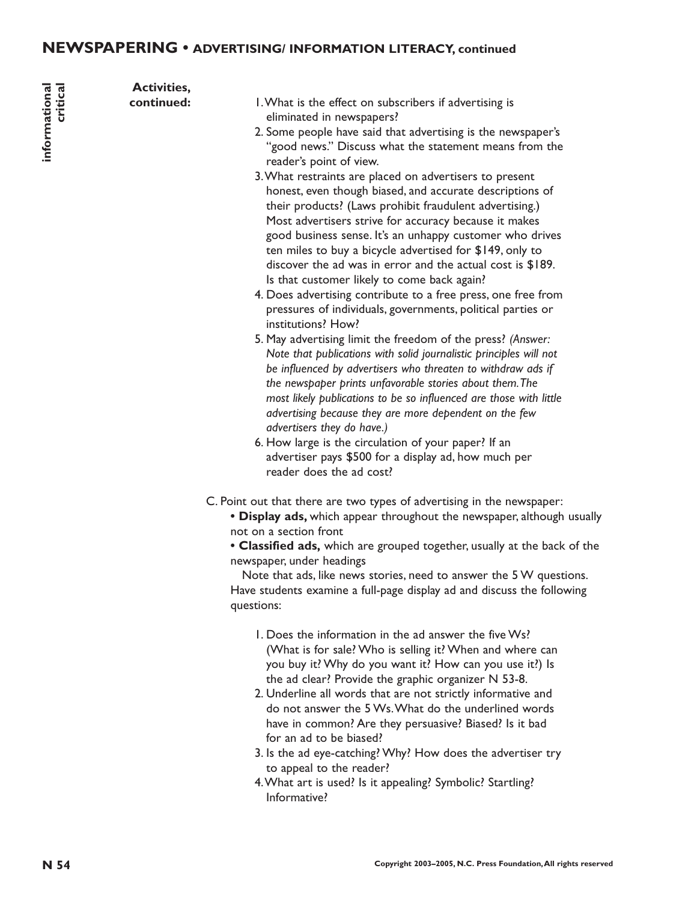# **NEWSPAPERING • ADVERTISING/ INFORMATION LITERACY, continued**

**Activities,**

- **continued:** 1. What is the effect on subscribers if advertising is eliminated in newspapers?
	- 2. Some people have said that advertising is the newspaper's "good news." Discuss what the statement means from the reader's point of view.
- **N** Consider the effect of the served in the served of the served of the served of the served in the served in the served in the served in the served in the served of the served of the served of the served of the served of 3.What restraints are placed on advertisers to present honest, even though biased, and accurate descriptions of their products? (Laws prohibit fraudulent advertising.) Most advertisers strive for accuracy because it makes good business sense. It's an unhappy customer who drives ten miles to buy a bicycle advertised for \$149, only to discover the ad was in error and the actual cost is \$189. Is that customer likely to come back again?
	- 4. Does advertising contribute to a free press, one free from pressures of individuals, governments, political parties or institutions? How?
	- 5. May advertising limit the freedom of the press? *(Answer: Note that publications with solid journalistic principles will not be influenced by advertisers who threaten to withdraw ads if the newspaper prints unfavorable stories about them.The most likely publications to be so influenced are those with little advertising because they are more dependent on the few advertisers they do have.)*
	- 6. How large is the circulation of your paper? If an advertiser pays \$500 for a display ad, how much per reader does the ad cost?
	- C. Point out that there are two types of advertising in the newspaper:
		- **Display ads,** which appear throughout the newspaper, although usually not on a section front
		- **Classified ads,** which are grouped together, usually at the back of the newspaper, under headings

Note that ads, like news stories, need to answer the 5 W questions. Have students examine a full-page display ad and discuss the following questions:

- 1. Does the information in the ad answer the five Ws? (What is for sale? Who is selling it? When and where can you buy it? Why do you want it? How can you use it?) Is the ad clear? Provide the graphic organizer N 53-8.
- 2. Underline all words that are not strictly informative and do not answer the 5 Ws.What do the underlined words have in common? Are they persuasive? Biased? Is it bad for an ad to be biased?
- 3. Is the ad eye-catching? Why? How does the advertiser try to appeal to the reader?
- 4.What art is used? Is it appealing? Symbolic? Startling? Informative?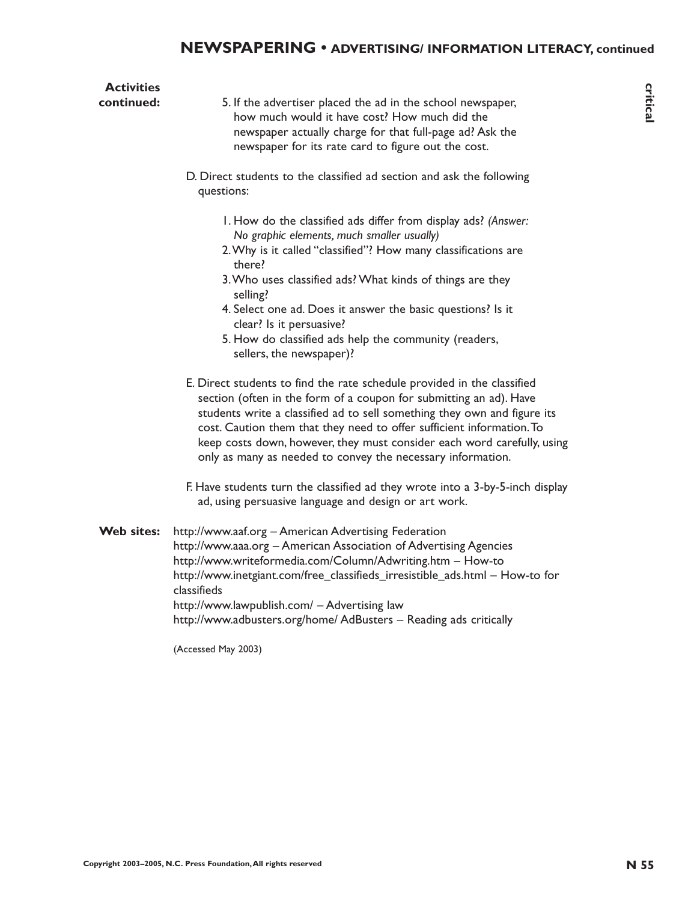| <b>Activities</b><br>continued: | 5. If the advertiser placed the ad in the school newspaper,<br>how much would it have cost? How much did the<br>newspaper actually charge for that full-page ad? Ask the<br>newspaper for its rate card to figure out the cost.                                                                                                                                                                                                                                                                                               | critical |
|---------------------------------|-------------------------------------------------------------------------------------------------------------------------------------------------------------------------------------------------------------------------------------------------------------------------------------------------------------------------------------------------------------------------------------------------------------------------------------------------------------------------------------------------------------------------------|----------|
|                                 | D. Direct students to the classified ad section and ask the following<br>questions:                                                                                                                                                                                                                                                                                                                                                                                                                                           |          |
|                                 | I. How do the classified ads differ from display ads? (Answer:<br>No graphic elements, much smaller usually)<br>2. Why is it called "classified"? How many classifications are<br>there?<br>3. Who uses classified ads? What kinds of things are they<br>selling?<br>4. Select one ad. Does it answer the basic questions? Is it<br>clear? Is it persuasive?<br>5. How do classified ads help the community (readers,<br>sellers, the newspaper)?                                                                             |          |
|                                 | E. Direct students to find the rate schedule provided in the classified<br>section (often in the form of a coupon for submitting an ad). Have<br>students write a classified ad to sell something they own and figure its<br>cost. Caution them that they need to offer sufficient information. To<br>keep costs down, however, they must consider each word carefully, using<br>only as many as needed to convey the necessary information.<br>F. Have students turn the classified ad they wrote into a 3-by-5-inch display |          |
|                                 | ad, using persuasive language and design or art work.                                                                                                                                                                                                                                                                                                                                                                                                                                                                         |          |
| Web sites:                      | http://www.aaf.org - American Advertising Federation<br>http://www.aaa.org - American Association of Advertising Agencies<br>http://www.writeformedia.com/Column/Adwriting.htm - How-to<br>http://www.inetgiant.com/free_classifieds_irresistible_ads.html - How-to for<br>classifieds<br>http://www.lawpublish.com/ - Advertising law<br>http://www.adbusters.org/home/ AdBusters - Reading ads critically                                                                                                                   |          |
|                                 | (Accessed May 2003)                                                                                                                                                                                                                                                                                                                                                                                                                                                                                                           |          |
|                                 |                                                                                                                                                                                                                                                                                                                                                                                                                                                                                                                               |          |
|                                 |                                                                                                                                                                                                                                                                                                                                                                                                                                                                                                                               |          |
|                                 |                                                                                                                                                                                                                                                                                                                                                                                                                                                                                                                               |          |
|                                 |                                                                                                                                                                                                                                                                                                                                                                                                                                                                                                                               |          |
|                                 | Copyright 2003-2005, N.C. Press Foundation, All rights reserved                                                                                                                                                                                                                                                                                                                                                                                                                                                               | N 55     |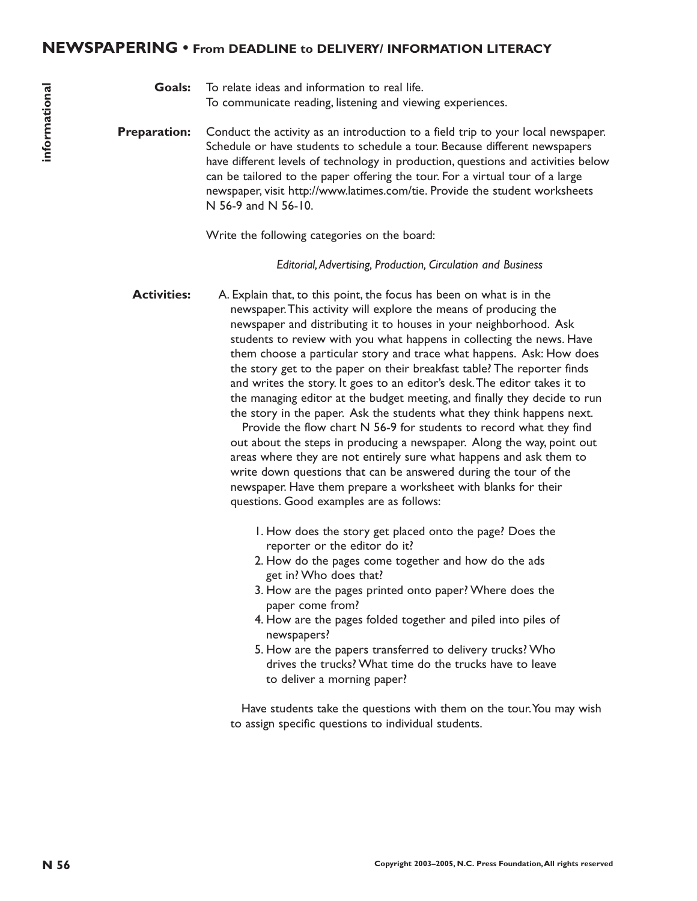# **NEWSPAPERING • From DEADLINE to DELIVERY/ INFORMATION LITERACY**

**Goals:** To relate ideas and information to real life. To communicate reading, listening and viewing experiences.

**Preparation:** Conduct the activity as an introduction to a field trip to your local newspaper. Schedule or have students to schedule a tour. Because different newspapers have different levels of technology in production, questions and activities below can be tailored to the paper offering the tour. For a virtual tour of a large newspaper, visit http://www.latimes.com/tie. Provide the student worksheets N 56-9 and N 56-10.

Write the following categories on the board:

*Editorial,Advertising, Production, Circulation and Business*

**Notice:** The relations and intermediate that life, the pipe by correlation of the computer conduct the activity and intermediate the computer conduction and the tip to your location of the conduction of the conduction and **Activities:** A. Explain that, to this point, the focus has been on what is in the newspaper.This activity will explore the means of producing the newspaper and distributing it to houses in your neighborhood. Ask students to review with you what happens in collecting the news. Have them choose a particular story and trace what happens. Ask: How does the story get to the paper on their breakfast table? The reporter finds and writes the story. It goes to an editor's desk.The editor takes it to the managing editor at the budget meeting, and finally they decide to run the story in the paper. Ask the students what they think happens next.

Provide the flow chart N 56-9 for students to record what they find out about the steps in producing a newspaper. Along the way, point out areas where they are not entirely sure what happens and ask them to write down questions that can be answered during the tour of the newspaper. Have them prepare a worksheet with blanks for their questions. Good examples are as follows:

- 1. How does the story get placed onto the page? Does the reporter or the editor do it?
- 2. How do the pages come together and how do the ads get in? Who does that?
- 3. How are the pages printed onto paper? Where does the paper come from?
- 4. How are the pages folded together and piled into piles of newspapers?
- 5. How are the papers transferred to delivery trucks? Who drives the trucks? What time do the trucks have to leave to deliver a morning paper?

Have students take the questions with them on the tour.You may wish to assign specific questions to individual students.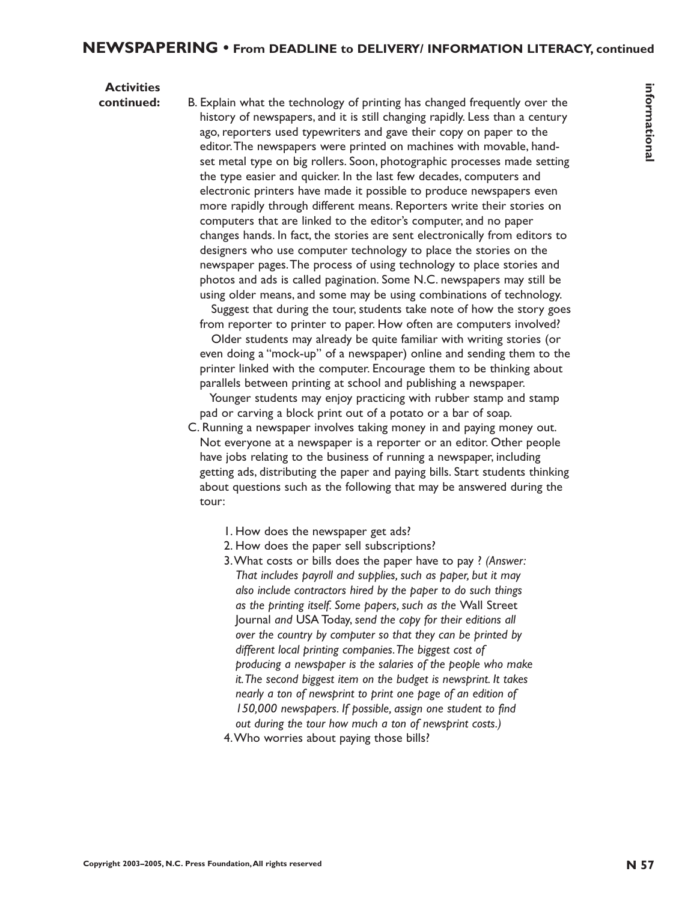# **Activities**

**Consideration** in the third the controllange of priority is not the property and the property of the state of the state of the state of the state of the state of the state of the state of the state of the state of the sta **continued:** B. Explain what the technology of printing has changed frequently over the history of newspapers, and it is still changing rapidly. Less than a century ago, reporters used typewriters and gave their copy on paper to the editor.The newspapers were printed on machines with movable, handset metal type on big rollers. Soon, photographic processes made setting the type easier and quicker. In the last few decades, computers and electronic printers have made it possible to produce newspapers even more rapidly through different means. Reporters write their stories on computers that are linked to the editor's computer, and no paper changes hands. In fact, the stories are sent electronically from editors to designers who use computer technology to place the stories on the newspaper pages.The process of using technology to place stories and photos and ads is called pagination. Some N.C. newspapers may still be using older means, and some may be using combinations of technology.

Suggest that during the tour, students take note of how the story goes from reporter to printer to paper. How often are computers involved?

Older students may already be quite familiar with writing stories (or even doing a "mock-up" of a newspaper) online and sending them to the printer linked with the computer. Encourage them to be thinking about parallels between printing at school and publishing a newspaper.

Younger students may enjoy practicing with rubber stamp and stamp pad or carving a block print out of a potato or a bar of soap.

C. Running a newspaper involves taking money in and paying money out. Not everyone at a newspaper is a reporter or an editor. Other people have jobs relating to the business of running a newspaper, including getting ads, distributing the paper and paying bills. Start students thinking about questions such as the following that may be answered during the tour:

- 1. How does the newspaper get ads?
- 2. How does the paper sell subscriptions?
- 3.What costs or bills does the paper have to pay ? *(Answer: That includes payroll and supplies, such as paper, but it may also include contractors hired by the paper to do such things as the printing itself. Some papers, such as the* Wall Street Journal *and* USA Today, *send the copy for their editions all over the country by computer so that they can be printed by different local printing companies.The biggest cost of producing a newspaper is the salaries of the people who make it.The second biggest item on the budget is newsprint. It takes nearly a ton of newsprint to print one page of an edition of 150,000 newspapers. If possible, assign one student to find out during the tour how much a ton of newsprint costs.)* 4.Who worries about paying those bills?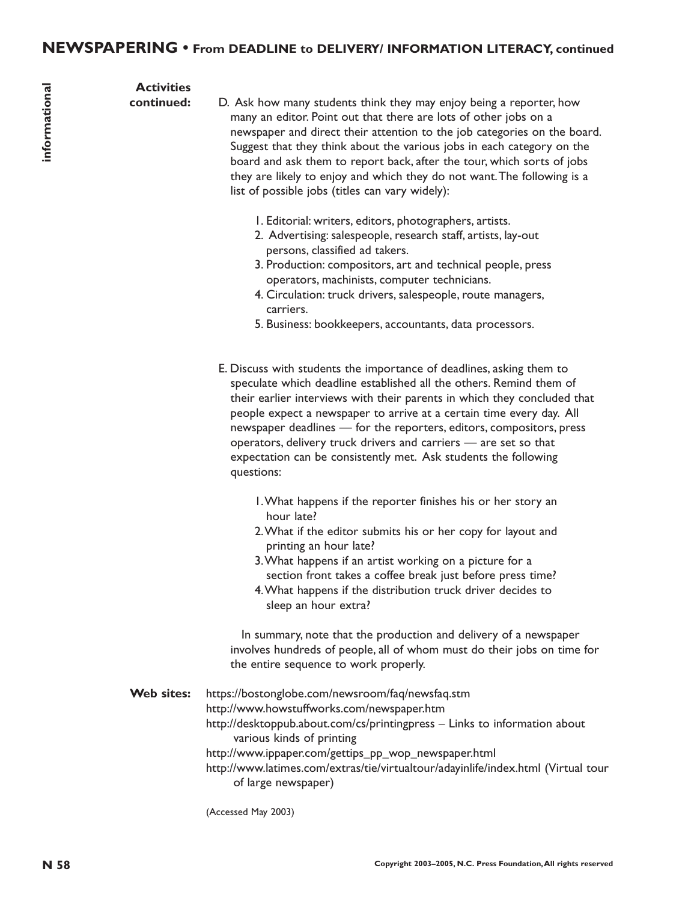#### **Activities continued:**

- D. Ask how many students think they may enjoy being a reporter, how many an editor. Point out that there are lots of other jobs on a newspaper and direct their attention to the job categories on the board. Suggest that they think about the various jobs in each category on the board and ask them to report back, after the tour, which sorts of jobs they are likely to enjoy and which they do not want.The following is a list of possible jobs (titles can vary widely):
	- 1. Editorial: writers, editors, photographers, artists.
	- 2. Advertising: salespeople, research staff, artists, lay-out persons, classified ad takers.
	- 3. Production: compositors, art and technical people, press operators, machinists, computer technicians.
	- 4. Circulation: truck drivers, salespeople, route managers, carriers.
	- 5. Business: bookkeepers, accountants, data processors.
	- E. Discuss with students the importance of deadlines, asking them to speculate which deadline established all the others. Remind them of their earlier interviews with their parents in which they concluded that people expect a newspaper to arrive at a certain time every day. All newspaper deadlines — for the reporters, editors, compositors, press operators, delivery truck drivers and carriers — are set so that expectation can be consistently met. Ask students the following questions:
		- 1.What happens if the reporter finishes his or her story an hour late?
		- 2.What if the editor submits his or her copy for layout and printing an hour late?
		- 3.What happens if an artist working on a picture for a section front takes a coffee break just before press time?
		- 4.What happens if the distribution truck driver decides to sleep an hour extra?

In summary, note that the production and delivery of a newspaper involves hundreds of people, all of whom must do their jobs on time for the entire sequence to work properly.

**A Coriginal The Content System and System and System and System and System and System and the system and the system and the system and the system and the system and the system and the system and the system and the system Web sites:** https://bostonglobe.com/newsroom/faq/newsfaq.stm http://www.howstuffworks.com/newspaper.htm http://desktoppub.about.com/cs/printingpress – Links to information about various kinds of printing http://www.ippaper.com/gettips\_pp\_wop\_newspaper.html http://www.latimes.com/extras/tie/virtualtour/adayinlife/index.html (Virtual tour of large newspaper)

(Accessed May 2003)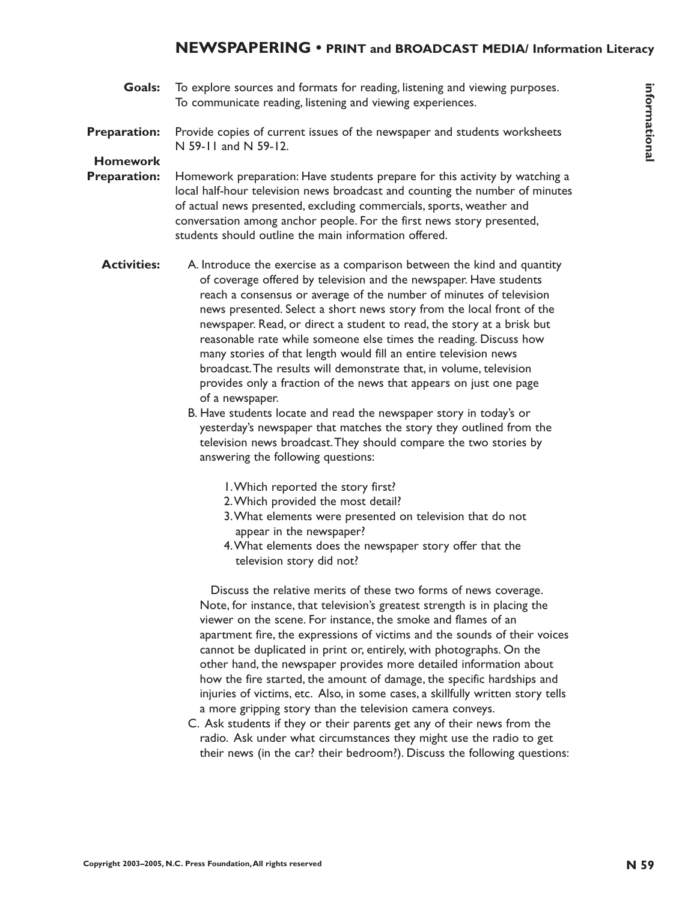**Goals:** To explore sources and formats for reading, listening and viewing purposes. To communicate reading, listening and viewing experiences.

#### **Preparation:** Provide copies of current issues of the newspaper and students worksheets N 59-11 and N 59-12.

# **Homework**

- **Preparation:** Homework preparation: Have students prepare for this activity by watching a local half-hour television news broadcast and counting the number of minutes of actual news presented, excluding commercials, sports, weather and conversation among anchor people. For the first news story presented, students should outline the main information offered.
- **Conder** To explore sources and formation for earlier functing and viewing perpendents.<br> **Preparation:** Provide copies of our constraints and viewing experiences.<br> **Preparation:** N.S. Press Foundation Constraines and viewi **Activities:** A. Introduce the exercise as a comparison between the kind and quantity of coverage offered by television and the newspaper. Have students reach a consensus or average of the number of minutes of television news presented. Select a short news story from the local front of the newspaper. Read, or direct a student to read, the story at a brisk but reasonable rate while someone else times the reading. Discuss how many stories of that length would fill an entire television news broadcast.The results will demonstrate that, in volume, television provides only a fraction of the news that appears on just one page of a newspaper.
	- B. Have students locate and read the newspaper story in today's or yesterday's newspaper that matches the story they outlined from the television news broadcast.They should compare the two stories by answering the following questions:
		- 1.Which reported the story first?
		- 2.Which provided the most detail?
		- 3.What elements were presented on television that do not appear in the newspaper?
		- 4.What elements does the newspaper story offer that the television story did not?

Discuss the relative merits of these two forms of news coverage. Note, for instance, that television's greatest strength is in placing the viewer on the scene. For instance, the smoke and flames of an apartment fire, the expressions of victims and the sounds of their voices cannot be duplicated in print or, entirely, with photographs. On the other hand, the newspaper provides more detailed information about how the fire started, the amount of damage, the specific hardships and injuries of victims, etc. Also, in some cases, a skillfully written story tells a more gripping story than the television camera conveys.

C. Ask students if they or their parents get any of their news from the radio. Ask under what circumstances they might use the radio to get their news (in the car? their bedroom?). Discuss the following questions: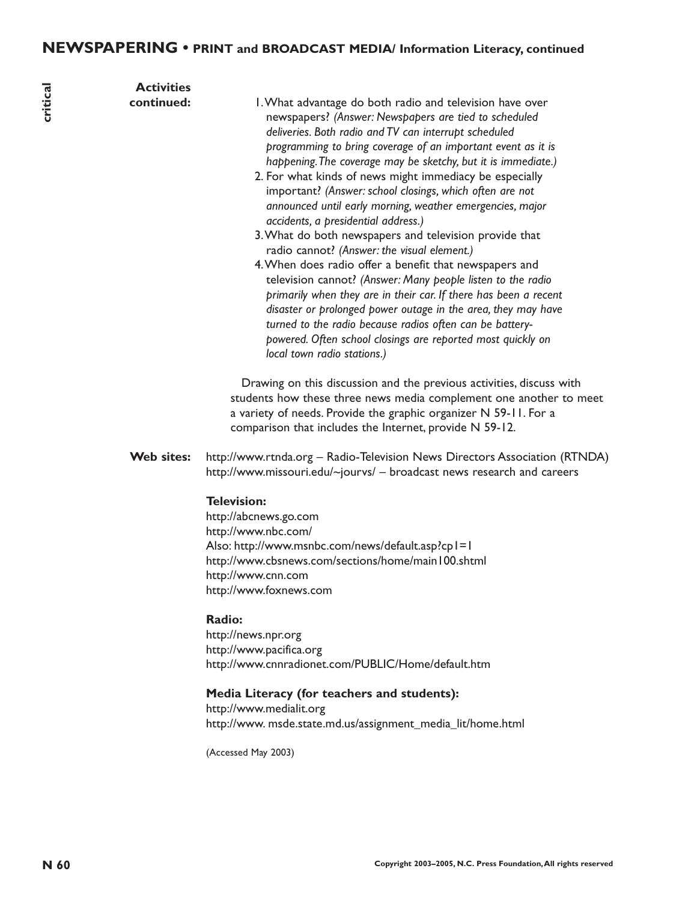| critical | <b>Activities</b><br>continued: | I. What advantage do both radio and television have over<br>newspapers? (Answer: Newspapers are tied to scheduled<br>deliveries. Both radio and TV can interrupt scheduled<br>programming to bring coverage of an important event as it is<br>happening. The coverage may be sketchy, but it is immediate.)<br>2. For what kinds of news might immediacy be especially<br>important? (Answer: school closings, which often are not<br>announced until early morning, weather emergencies, major<br>accidents, a presidential address.)<br>3. What do both newspapers and television provide that<br>radio cannot? (Answer: the visual element.)<br>4. When does radio offer a benefit that newspapers and<br>television cannot? (Answer: Many people listen to the radio<br>primarily when they are in their car. If there has been a recent<br>disaster or prolonged power outage in the area, they may have<br>turned to the radio because radios often can be battery-<br>powered. Often school closings are reported most quickly on<br>local town radio stations.)<br>Drawing on this discussion and the previous activities, discuss with<br>students how these three news media complement one another to meet<br>a variety of needs. Provide the graphic organizer N 59-11. For a<br>comparison that includes the Internet, provide N 59-12. |
|----------|---------------------------------|------------------------------------------------------------------------------------------------------------------------------------------------------------------------------------------------------------------------------------------------------------------------------------------------------------------------------------------------------------------------------------------------------------------------------------------------------------------------------------------------------------------------------------------------------------------------------------------------------------------------------------------------------------------------------------------------------------------------------------------------------------------------------------------------------------------------------------------------------------------------------------------------------------------------------------------------------------------------------------------------------------------------------------------------------------------------------------------------------------------------------------------------------------------------------------------------------------------------------------------------------------------------------------------------------------------------------------------------------|
|          | Web sites:                      | http://www.rtnda.org - Radio-Television News Directors Association (RTNDA)<br>http://www.missouri.edu/~jourvs/ - broadcast news research and careers<br><b>Television:</b><br>http://abcnews.go.com<br>http://www.nbc.com/<br>Also: http://www.msnbc.com/news/default.asp?cp1=1<br>http://www.cbsnews.com/sections/home/main100.shtml<br>http://www.cnn.com<br>http://www.foxnews.com<br>Radio:<br>http://news.npr.org<br>http://www.pacifica.org<br>http://www.cnnradionet.com/PUBLIC/Home/default.htm<br>Media Literacy (for teachers and students):<br>http://www.medialit.org<br>http://www.msde.state.md.us/assignment_media_lit/home.html<br>(Accessed May 2003)                                                                                                                                                                                                                                                                                                                                                                                                                                                                                                                                                                                                                                                                               |
| N 60     |                                 | Copyright 2003-2005, N.C. Press Foundation, All rights reserved                                                                                                                                                                                                                                                                                                                                                                                                                                                                                                                                                                                                                                                                                                                                                                                                                                                                                                                                                                                                                                                                                                                                                                                                                                                                                      |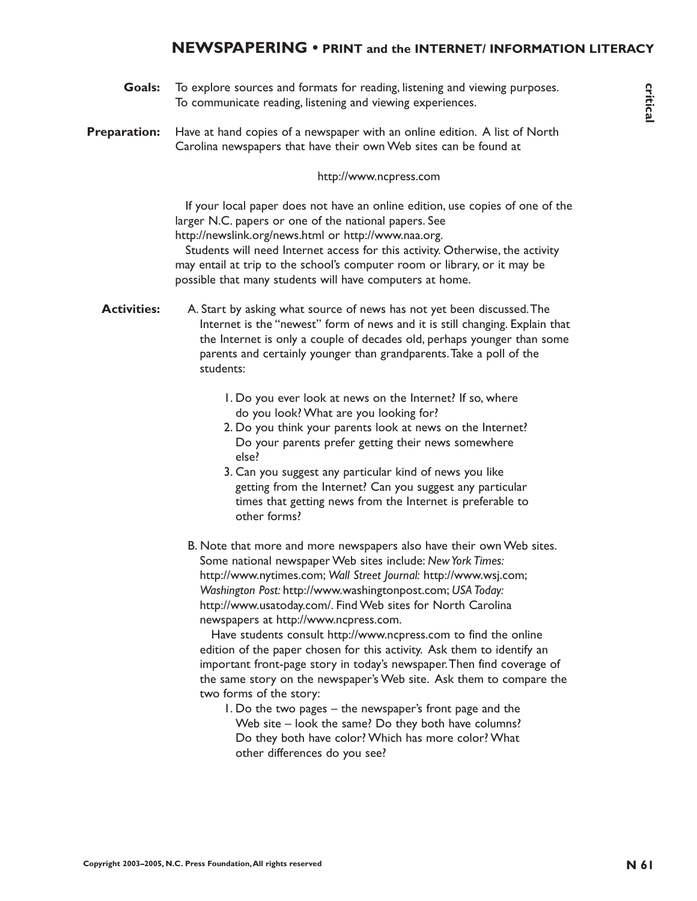# **NEWSPAPERING • PRINT and the INTERNET/ INFORMATION LITERACY**

- To explore sources and formats for reading, listening and viewing purposes. To communicate reading, listening and viewing experiences. **Goals:**
- Have at hand copies of a newspaper with an online edition. A list of North Carolina newspapers that have their own Web sites can be found at **Preparation:**

#### http://www.ncpress.com

If your local paper does not have an online edition, use copies of one of the larger N.C. papers or one of the national papers. See http://newslink.org/news.html or http://www.naa.org.

Students will need Internet access for this activity. Otherwise, the activity may entail at trip to the school's computer room or library, or it may be possible that many students will have computers at home.

A. Start by asking what source of news has not yet been discussed.The Internet is the "newest" form of news and it is still changing. Explain that the Internet is only a couple of decades old, perhaps younger than some parents and certainly younger than grandparents.Take a poll of the students: **Activities:**

- 1. Do you ever look at news on the Internet? If so, where do you look? What are you looking for?
- 2. Do you think your parents look at news on the Internet? Do your parents prefer getting their news somewhere else?
- 3. Can you suggest any particular kind of news you like getting from the Internet? Can you suggest any particular times that getting news from the Internet is preferable to other forms?
- B. Note that more and more newspapers also have their own Web sites. Some national newspaper Web sites include: *New York Times:* http://www.nytimes.com; *Wall Street Journal:* http://www.wsj.com; *Washington Post:* http://www.washingtonpost.com; *USA Today:* http://www.usatoday.com/. Find Web sites for North Carolina newspapers at http://www.ncpress.com.

Have students consult http://www.ncpress.com to find the online edition of the paper chosen for this activity. Ask them to identify an important front-page story in today's newspaper.Then find coverage of the same story on the newspaper's Web site. Ask them to compare the two forms of the story:

1. Do the two pages – the newspaper's front page and the Web site – look the same? Do they both have columns? Do they both have color? Which has more color? What other differences do you see?

critical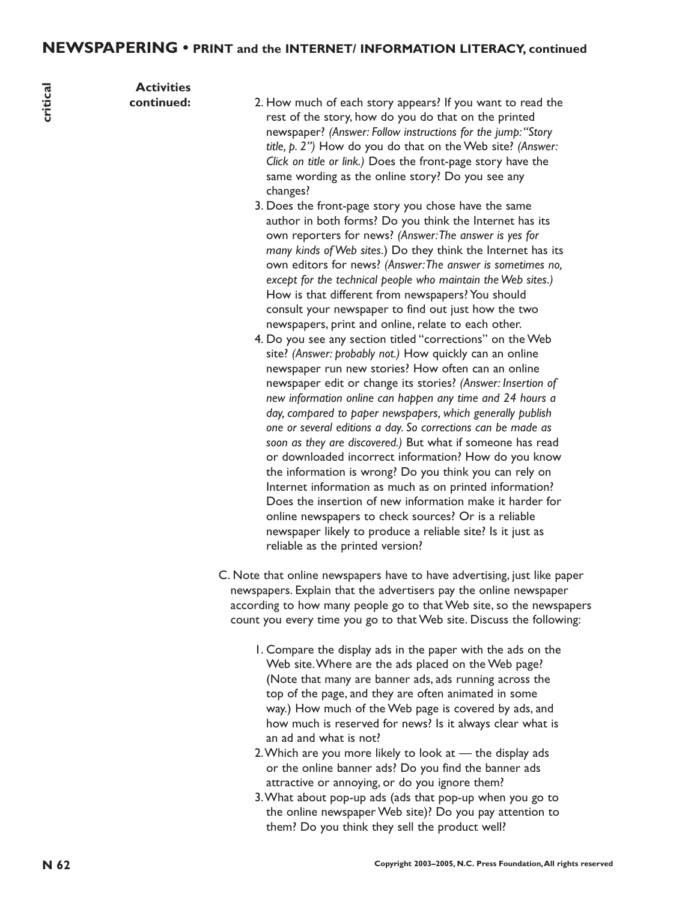critical **N 62 critical**

**Activities continued:**

- 2. How much of each story appears? If you want to read the rest of the story, how do you do that on the printed newspaper? *(Answer: Follow instructions for the jump:"Story title, p. 2")* How do you do that on the Web site? *(Answer: Click on title or link.)* Does the front-page story have the same wording as the online story? Do you see any changes?
- 3. Does the front-page story you chose have the same author in both forms? Do you think the Internet has its own reporters for news? *(Answer:The answer is yes for many kinds of Web sites.*) Do they think the Internet has its own editors for news? *(Answer:The answer is sometimes no, except for the technical people who maintain the Web sites.)* How is that different from newspapers? You should consult your newspaper to find out just how the two newspapers, print and online, relate to each other.
- 4. Do you see any section titled "corrections" on the Web site? *(Answer: probably not.)* How quickly can an online newspaper run new stories? How often can an online newspaper edit or change its stories? *(Answer: Insertion of new information online can happen any time and 24 hours a day, compared to paper newspapers, which generally publish one or several editions a day. So corrections can be made as soon as they are discovered.)* But what if someone has read or downloaded incorrect information? How do you know the information is wrong? Do you think you can rely on Internet information as much as on printed information? Does the insertion of new information make it harder for online newspapers to check sources? Or is a reliable newspaper likely to produce a reliable site? Is it just as reliable as the printed version?
- C. Note that online newspapers have to have advertising, just like paper newspapers. Explain that the advertisers pay the online newspaper according to how many people go to that Web site, so the newspapers count you every time you go to that Web site. Discuss the following:
	- 1. Compare the display ads in the paper with the ads on the Web site.Where are the ads placed on the Web page? (Note that many are banner ads, ads running across the top of the page, and they are often animated in some way.) How much of the Web page is covered by ads, and how much is reserved for news? Is it always clear what is an ad and what is not?
	- 2.Which are you more likely to look at the display ads or the online banner ads? Do you find the banner ads attractive or annoying, or do you ignore them?
	- 3.What about pop-up ads (ads that pop-up when you go to the online newspaper Web site)? Do you pay attention to them? Do you think they sell the product well?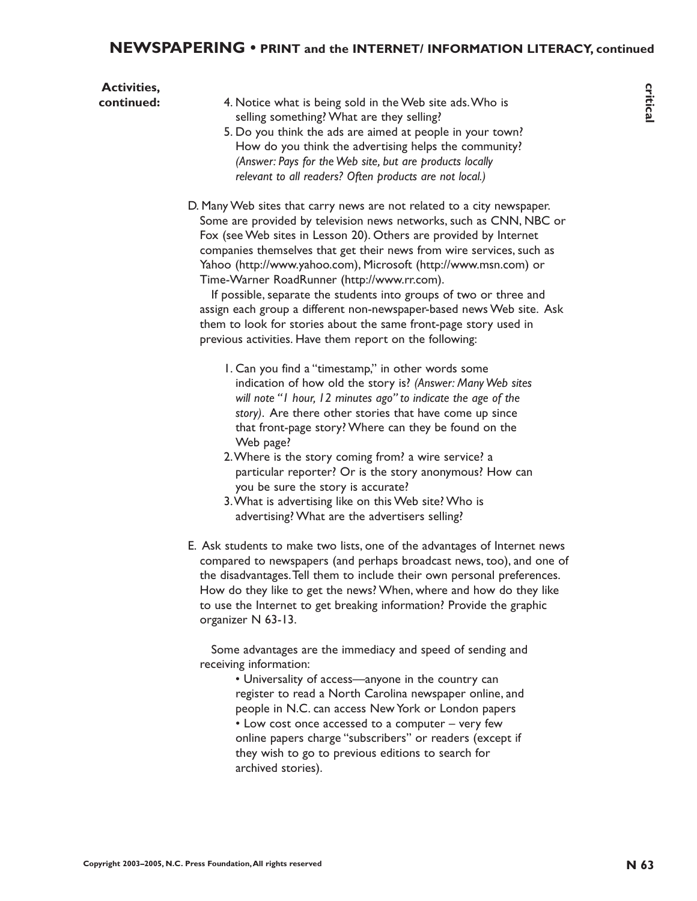# **NEWSPAPERING • PRINT and the INTERNET/ INFORMATION LITERACY, continued**

| <b>Activities,</b><br>continued: | 4. Notice what is being sold in the Web site ads. Who is<br>selling something? What are they selling?<br>5. Do you think the ads are aimed at people in your town?<br>How do you think the advertising helps the community?<br>(Answer: Pays for the Web site, but are products locally<br>relevant to all readers? Often products are not local.)                                                                                                                                                                                                                                                                                                                                       |
|----------------------------------|------------------------------------------------------------------------------------------------------------------------------------------------------------------------------------------------------------------------------------------------------------------------------------------------------------------------------------------------------------------------------------------------------------------------------------------------------------------------------------------------------------------------------------------------------------------------------------------------------------------------------------------------------------------------------------------|
|                                  | D. Many Web sites that carry news are not related to a city newspaper.<br>Some are provided by television news networks, such as CNN, NBC or<br>Fox (see Web sites in Lesson 20). Others are provided by Internet<br>companies themselves that get their news from wire services, such as<br>Yahoo (http://www.yahoo.com), Microsoft (http://www.msn.com) or<br>Time-Warner RoadRunner (http://www.rr.com).<br>If possible, separate the students into groups of two or three and<br>assign each group a different non-newspaper-based news Web site. Ask<br>them to look for stories about the same front-page story used in<br>previous activities. Have them report on the following: |
|                                  | I. Can you find a "timestamp," in other words some<br>indication of how old the story is? (Answer: Many Web sites<br>will note "I hour, I2 minutes ago" to indicate the age of the<br>story). Are there other stories that have come up since<br>that front-page story? Where can they be found on the<br>Web page?<br>2. Where is the story coming from? a wire service? a<br>particular reporter? Or is the story anonymous? How can<br>you be sure the story is accurate?<br>3. What is advertising like on this Web site? Who is<br>advertising? What are the advertisers selling?                                                                                                   |
|                                  | E. Ask students to make two lists, one of the advantages of Internet news<br>compared to newspapers (and perhaps broadcast news, too), and one of<br>the disadvantages. Tell them to include their own personal preferences.<br>How do they like to get the news? When, where and how do they like<br>to use the Internet to get breaking information? Provide the graphic<br>organizer N 63-13.                                                                                                                                                                                                                                                                                         |
|                                  | Some advantages are the immediacy and speed of sending and<br>receiving information:<br>• Universality of access-anyone in the country can<br>register to read a North Carolina newspaper online, and<br>people in N.C. can access New York or London papers<br>• Low cost once accessed to a computer - very few<br>online papers charge "subscribers" or readers (except if<br>they wish to go to previous editions to search for<br>archived stories).                                                                                                                                                                                                                                |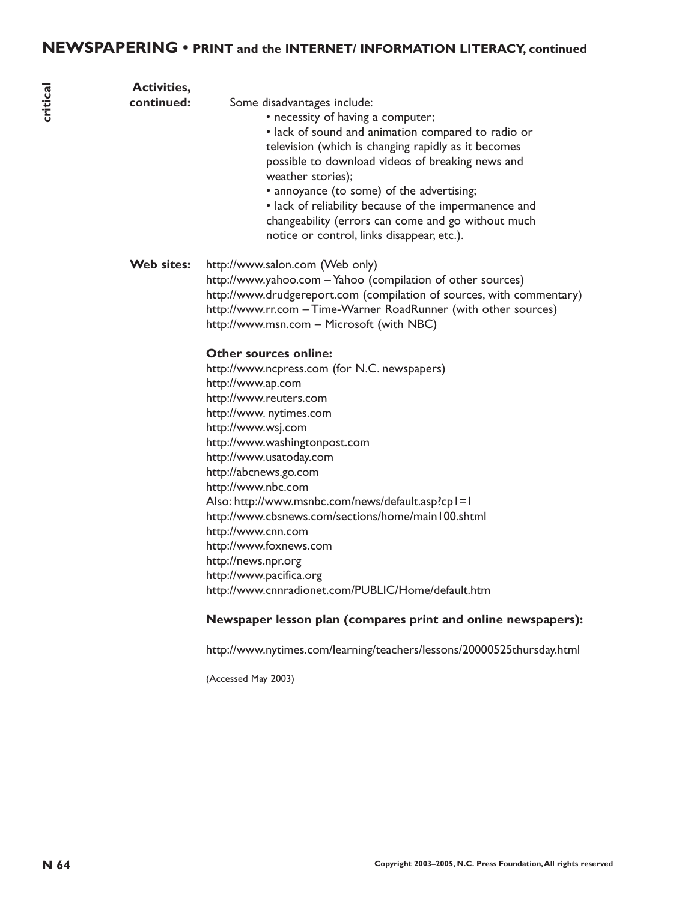# **NEWSPAPERING • PRINT and the INTERNET/ INFORMATION LITERACY, continued**

| <b>Activities,</b><br>continued: | Some disadvantages include:<br>• necessity of having a computer;<br>· lack of sound and animation compared to radio or<br>television (which is changing rapidly as it becomes<br>possible to download videos of breaking news and<br>weather stories);<br>• annoyance (to some) of the advertising;<br>• lack of reliability because of the impermanence and<br>changeability (errors can come and go without much<br>notice or control, links disappear, etc.).                                                                                                                                                                                                                                                                                                                                                                                       |
|----------------------------------|--------------------------------------------------------------------------------------------------------------------------------------------------------------------------------------------------------------------------------------------------------------------------------------------------------------------------------------------------------------------------------------------------------------------------------------------------------------------------------------------------------------------------------------------------------------------------------------------------------------------------------------------------------------------------------------------------------------------------------------------------------------------------------------------------------------------------------------------------------|
| Web sites:                       | http://www.salon.com (Web only)<br>http://www.yahoo.com - Yahoo (compilation of other sources)<br>http://www.drudgereport.com (compilation of sources, with commentary)<br>http://www.rr.com - Time-Warner RoadRunner (with other sources)<br>http://www.msn.com - Microsoft (with NBC)<br><b>Other sources online:</b><br>http://www.ncpress.com (for N.C. newspapers)<br>http://www.ap.com<br>http://www.reuters.com<br>http://www. nytimes.com<br>http://www.wsj.com<br>http://www.washingtonpost.com<br>http://www.usatoday.com<br>http://abcnews.go.com<br>http://www.nbc.com<br>Also: http://www.msnbc.com/news/default.asp?cp1=1<br>http://www.cbsnews.com/sections/home/main I00.shtml<br>http://www.cnn.com<br>http://www.foxnews.com<br>http://news.npr.org<br>http://www.pacifica.org<br>http://www.cnnradionet.com/PUBLIC/Home/default.htm |
|                                  | Newspaper lesson plan (compares print and online newspapers):<br>http://www.nytimes.com/learning/teachers/lessons/20000525thursday.html                                                                                                                                                                                                                                                                                                                                                                                                                                                                                                                                                                                                                                                                                                                |
|                                  |                                                                                                                                                                                                                                                                                                                                                                                                                                                                                                                                                                                                                                                                                                                                                                                                                                                        |

(Accessed May 2003)

critical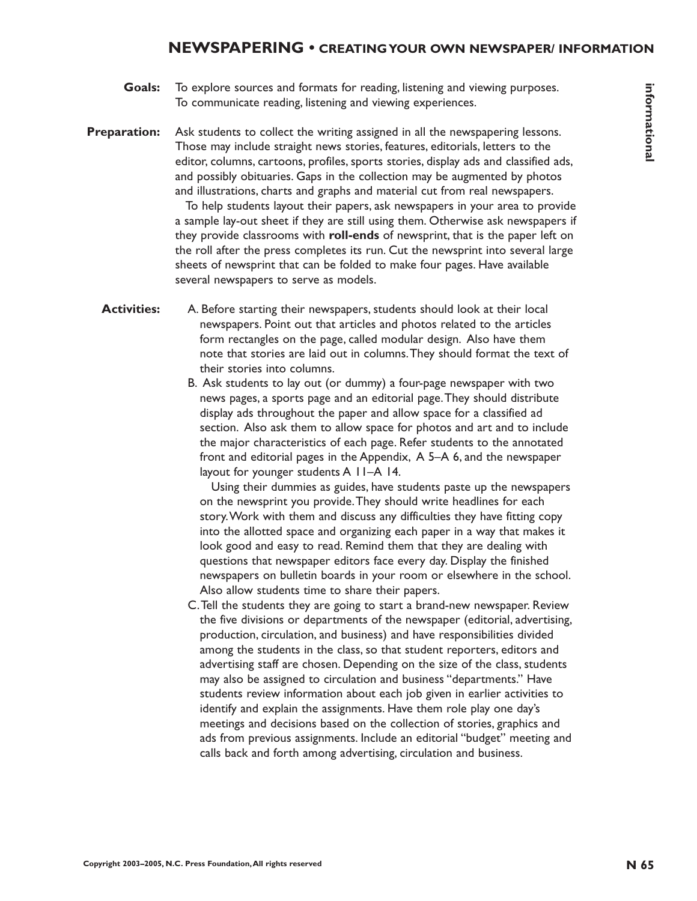# **N 65informational** informational

- To explore sources and formats for reading, listening and viewing purposes. To communicate reading, listening and viewing experiences. **Goals:**
- Ask students to collect the writing assigned in all the newspapering lessons. Those may include straight news stories, features, editorials, letters to the editor, columns, cartoons, profiles, sports stories, display ads and classified ads, and possibly obituaries. Gaps in the collection may be augmented by photos and illustrations, charts and graphs and material cut from real newspapers. **Preparation:**

To help students layout their papers, ask newspapers in your area to provide a sample lay-out sheet if they are still using them. Otherwise ask newspapers if they provide classrooms with **roll-ends** of newsprint, that is the paper left on the roll after the press completes its run. Cut the newsprint into several large sheets of newsprint that can be folded to make four pages. Have available several newspapers to serve as models.

- A. Before starting their newspapers, students should look at their local newspapers. Point out that articles and photos related to the articles form rectangles on the page, called modular design. Also have them note that stories are laid out in columns.They should format the text of their stories into columns. **Activities:**
	- B. Ask students to lay out (or dummy) a four-page newspaper with two news pages, a sports page and an editorial page.They should distribute display ads throughout the paper and allow space for a classified ad section. Also ask them to allow space for photos and art and to include the major characteristics of each page. Refer students to the annotated front and editorial pages in the Appendix, A 5–A 6, and the newspaper layout for younger students A 11–A 14.

Using their dummies as guides, have students paste up the newspapers on the newsprint you provide.They should write headlines for each story.Work with them and discuss any difficulties they have fitting copy into the allotted space and organizing each paper in a way that makes it look good and easy to read. Remind them that they are dealing with questions that newspaper editors face every day. Display the finished newspapers on bulletin boards in your room or elsewhere in the school. Also allow students time to share their papers.

C.Tell the students they are going to start a brand-new newspaper. Review the five divisions or departments of the newspaper (editorial, advertising, production, circulation, and business) and have responsibilities divided among the students in the class, so that student reporters, editors and advertising staff are chosen. Depending on the size of the class, students may also be assigned to circulation and business "departments." Have students review information about each job given in earlier activities to identify and explain the assignments. Have them role play one day's meetings and decisions based on the collection of stories, graphics and ads from previous assignments. Include an editorial "budget" meeting and calls back and forth among advertising, circulation and business.